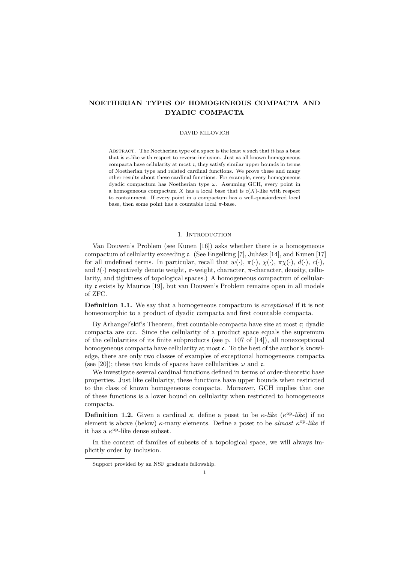# NOETHERIAN TYPES OF HOMOGENEOUS COMPACTA AND DYADIC COMPACTA

#### DAVID MILOVICH

ABSTRACT. The Noetherian type of a space is the least  $\kappa$  such that it has a base that is κ-like with respect to reverse inclusion. Just as all known homogeneous compacta have cellularity at most c, they satisfy similar upper bounds in terms of Noetherian type and related cardinal functions. We prove these and many other results about these cardinal functions. For example, every homogeneous dyadic compactum has Noetherian type ω. Assuming GCH, every point in a homogeneous compactum X has a local base that is  $c(X)$ -like with respect to containment. If every point in a compactum has a well-quasiordered local base, then some point has a countable local  $\pi$ -base.

# 1. INTRODUCTION

Van Douwen's Problem (see Kunen [16]) asks whether there is a homogeneous compactum of cellularity exceeding  $\mathfrak c$ . (See Engelking [7], Juhász [14], and Kunen [17] for all undefined terms. In particular, recall that  $w(\cdot)$ ,  $\pi(\cdot)$ ,  $\chi(\cdot)$ ,  $\pi\chi(\cdot)$ ,  $d(\cdot)$ ,  $c(\cdot)$ , and  $t(\cdot)$  respectively denote weight,  $\pi$ -weight, character,  $\pi$ -character, density, cellularity, and tightness of topological spaces.) A homogeneous compactum of cellularity c exists by Maurice [19], but van Douwen's Problem remains open in all models of ZFC.

**Definition 1.1.** We say that a homogeneous compactum is *exceptional* if it is not homeomorphic to a product of dyadic compacta and first countable compacta.

By Arhangel'skiï's Theorem, first countable compacta have size at most c; dyadic compacta are ccc. Since the cellularity of a product space equals the supremum of the cellularities of its finite subproducts (see p. 107 of [14]), all nonexceptional homogeneous compacta have cellularity at most  $\mathfrak{c}$ . To the best of the author's knowledge, there are only two classes of examples of exceptional homogeneous compacta (see [20]); these two kinds of spaces have cellularities  $\omega$  and  $\mathfrak{c}$ .

We investigate several cardinal functions defined in terms of order-theoretic base properties. Just like cellularity, these functions have upper bounds when restricted to the class of known homogeneous compacta. Moreover, GCH implies that one of these functions is a lower bound on cellularity when restricted to homogeneous compacta.

**Definition 1.2.** Given a cardinal  $\kappa$ , define a poset to be  $\kappa$ -like ( $\kappa^{op}$ -like) if no element is above (below)  $\kappa$ -many elements. Define a poset to be *almost*  $\kappa^{\rm op}\text{-}like$  if it has a  $\kappa^{\rm op}\text{-like}$  dense subset.

In the context of families of subsets of a topological space, we will always implicitly order by inclusion.

Support provided by an NSF graduate fellowship.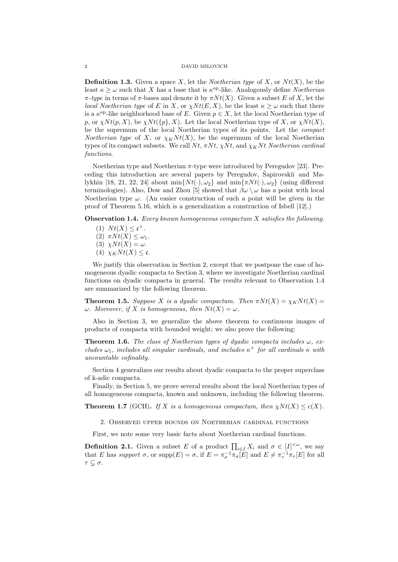**Definition 1.3.** Given a space X, let the *Noetherian type* of X, or  $N_t(X)$ , be the least  $\kappa \geq \omega$  such that X has a base that is  $\kappa^{\text{op}}$ -like. Analogously define Noetherian  $\pi$ -type in terms of  $\pi$ -bases and denote it by  $\pi N t(X)$ . Given a subset E of X, let the *local Noetherian type* of E in X, or  $\chi N t(E, X)$ , be the least  $\kappa \geq \omega$  such that there is a  $\kappa^{\text{op}}$ -like neighborhood base of E. Given  $p \in X$ , let the local Noetherian type of p, or  $\chi N t(p, X)$ , be  $\chi N t(\{p\}, X)$ . Let the local Noetherian type of X, or  $\chi N t(X)$ , be the supremum of the local Noetherian types of its points. Let the compact *Noetherian type* of X, or  $\chi_K N t(X)$ , be the supremum of the local Noetherian types of its compact subsets. We call  $N_t$ ,  $\pi N_t$ ,  $\chi N_t$ , and  $\chi_K N_t$  Noetherian cardinal functions.

Noetherian type and Noetherian π-type were introduced by Peregudov [23]. Preceding this introduction are several papers by Peregudov, Sapirovskiı̆ and Malykhin [18, 21, 22, 24] about  $\min\{N t(\cdot), \omega_2\}$  and  $\min\{\pi N t(\cdot), \omega_2\}$  (using different terminologies). Also, Dow and Zhou [5] showed that  $\beta\omega \setminus \omega$  has a point with local Noetherian type  $\omega$ . (An easier construction of such a point will be given in the proof of Theorem 5.16, which is a generalization a construction of Isbell [12].)

**Observation 1.4.** Every known homogeneous compactum  $X$  satisfies the following.

- (1)  $N t(X) \leq c^+$ .
- (2)  $\pi N t(X) \leq \omega_1$ .
- (3)  $\chi N t(X) = \omega$ .
- (4)  $\chi_K N t(X) \leq \mathfrak{c}.$

We justify this observation in Section 2, except that we postpone the case of homogeneous dyadic compacta to Section 3, where we investigate Noetherian cardinal functions on dyadic compacta in general. The results relevant to Observation 1.4 are summarized by the following theorem.

**Theorem 1.5.** Suppose X is a dyadic compactum. Then  $\pi N t(X) = \chi_K N t(X)$ ω. Moreover, if X is homogeneous, then  $Nt(X) = ω$ .

Also in Section 3, we generalize the above theorem to continuous images of products of compacta with bounded weight; we also prove the following:

**Theorem 1.6.** The class of Noetherian types of dyadic compacta includes  $\omega$ , excludes  $\omega_1$ , includes all singular cardinals, and includes  $\kappa^+$  for all cardinals  $\kappa$  with uncountable cofinality.

Section 4 generalizes our results about dyadic compacta to the proper superclass of k-adic compacta.

Finally, in Section 5, we prove several results about the local Noetherian types of all homogeneous compacta, known and unknown, including the following theorem.

**Theorem 1.7** (GCH). If X is a homogeneous compactum, then  $xNt(X) \leq c(X)$ .

2. Observed upper bounds on Noetherian cardinal functions

First, we note some very basic facts about Noetherian cardinal functions.

**Definition 2.1.** Given a subset E of a product  $\prod_{i\in I} X_i$  and  $\sigma \in [I]^{<\omega}$ , we say that E has support  $\sigma$ , or  $\text{supp}(E) = \sigma$ , if  $E = \pi_{\sigma}^{-1} \pi_{\sigma}[E]$  and  $E \neq \pi_{\tau}^{-1} \pi_{\tau}[E]$  for all  $\tau \subsetneq \sigma$ .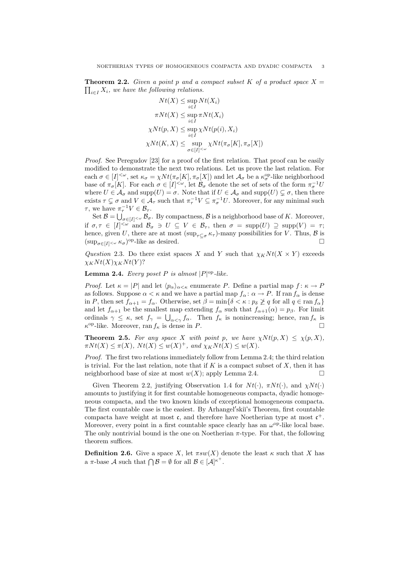**Theorem 2.2.** Given a point p and a compact subset K of a product space  $X =$  $\prod_{i\in I} X_i$ , we have the following relations.

$$
Nt(X) \le \sup_{i \in I} Nt(X_i)
$$
  
\n
$$
\pi Nt(X) \le \sup_{i \in I} \pi Nt(X_i)
$$
  
\n
$$
\chi Nt(p, X) \le \sup_{i \in I} \chi Nt(p(i), X_i)
$$
  
\n
$$
\chi Nt(K, X) \le \sup_{\sigma \in [I]^{<\omega}} \chi Nt(\pi_{\sigma}[K], \pi_{\sigma}[X])
$$

Proof. See Peregudov [23] for a proof of the first relation. That proof can be easily modified to demonstrate the next two relations. Let us prove the last relation. For each  $\sigma \in [I]^{<\omega}$ , set  $\kappa_{\sigma} = \chi N t(\pi_{\sigma}[K], \pi_{\sigma}[X])$  and let  $\mathcal{A}_{\sigma}$  be a  $\kappa_{\sigma}^{\text{op-like}}$  neighborhood base of  $\pi_{\sigma}[K]$ . For each  $\sigma \in [I]^{<\omega}$ , let  $\mathcal{B}_{\sigma}$  denote the set of sets of the form  $\pi_{\sigma}^{-1}U$ where  $U \in \mathcal{A}_{\sigma}$  and  $\text{supp}(U) = \sigma$ . Note that if  $U \in \mathcal{A}_{\sigma}$  and  $\text{supp}(U) \subsetneq \sigma$ , then there exists  $\tau \subsetneq \sigma$  and  $V \in \mathcal{A}_{\tau}$  such that  $\pi_{\tau}^{-1}V \subseteq \pi_{\sigma}^{-1}U$ . Moreover, for any minimal such  $\tau$ , we have  $\pi_{\tau}^{-1}V \in \mathcal{B}_{\tau}$ .

Set  $\mathcal{B}=\bigcup_{\sigma\in [I]^{<\omega}}\mathcal{B}_\sigma.$  By compactness,  $\mathcal B$  is a neighborhood base of  $K.$  Moreover, if  $\sigma, \tau \in [I]^{<\omega}$  and  $\mathcal{B}_{\sigma} \ni U \subseteq V \in \mathcal{B}_{\tau}$ , then  $\sigma = \text{supp}(U) \supseteq \text{supp}(V) = \tau$ ; hence, given U, there are at most  $(\sup_{\tau \subset \sigma} \kappa_{\tau})$ -many possibilities for V. Thus, B is  $(\sup_{\sigma \in [I]^{\lt}^{\omega}} \kappa_{\sigma})^{\text{op-like}}$  as desired.

Question 2.3. Do there exist spaces X and Y such that  $\chi_K N t(X \times Y)$  exceeds  $\chi_K N t(X) \chi_K N t(Y)$ ?

**Lemma 2.4.** Every poset P is almost  $|P|^{op}$ -like.

*Proof.* Let  $\kappa = |P|$  and let  $\langle p_{\alpha} \rangle_{\alpha \leq \kappa}$  enumerate P. Define a partial map  $f : \kappa \to P$ as follows. Suppose  $\alpha < \kappa$  and we have a partial map  $f_{\alpha} : \alpha \to P$ . If ran  $f_{\alpha}$  is dense in P, then set  $f_{\alpha+1} = f_{\alpha}$ . Otherwise, set  $\beta = \min\{\delta < \kappa : p_{\delta} \not\geq q \text{ for all } q \in \text{ran } f_{\alpha}\}\$ and let  $f_{\alpha+1}$  be the smallest map extending  $f_{\alpha}$  such that  $f_{\alpha+1}(\alpha) = p_{\beta}$ . For limit ordinals  $\gamma \leq \kappa$ , set  $f_{\gamma} = \bigcup_{\alpha < \gamma} f_{\alpha}$ . Then  $f_{\kappa}$  is nonincreasing; hence, ran  $f_{\kappa}$  is  $\kappa^{\text{op-like}}$ . Moreover, ran  $f_{\kappa}$  is dense in P.

**Theorem 2.5.** For any space X with point p, we have  $\chi N t(p, X) \leq \chi(p, X)$ ,  $\pi N t(X) \leq \pi(X), N t(X) \leq w(X)^+$ , and  $\chi_K N t(X) \leq w(X)$ .

Proof. The first two relations immediately follow from Lemma 2.4; the third relation is trivial. For the last relation, note that if  $K$  is a compact subset of  $X$ , then it has neighborhood base of size at most  $w(X)$ ; apply Lemma 2.4.

Given Theorem 2.2, justifying Observation 1.4 for  $N t(\cdot)$ ,  $\pi N t(\cdot)$ , and  $\chi N t(\cdot)$ amounts to justifying it for first countable homogeneous compacta, dyadic homogeneous compacta, and the two known kinds of exceptional homogeneous compacta. The first countable case is the easiest. By Arhangel'skiï's Theorem, first countable compacta have weight at most  $\mathfrak{c}$ , and therefore have Noetherian type at most  $\mathfrak{c}^+$ . Moreover, every point in a first countable space clearly has an  $\omega^{\rm op}\text{-like local base.}$ The only nontrivial bound is the one on Noetherian  $\pi$ -type. For that, the following theorem suffices.

**Definition 2.6.** Give a space X, let  $\pi sw(X)$  denote the least  $\kappa$  such that X has a  $\pi$ -base A such that  $\bigcap \mathcal{B} = \emptyset$  for all  $\mathcal{B} \in [\mathcal{A}]^{\kappa^+}$ .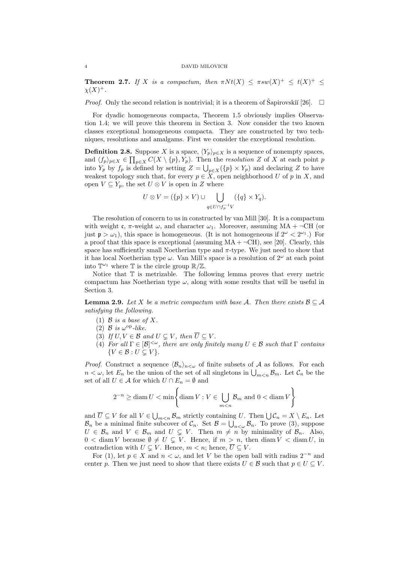**Theorem 2.7.** If X is a compactum, then  $\pi N t(X) \leq \pi s w(X)^{+} \leq t(X)^{+} \leq$  $\chi(X)^+$ .

*Proof.* Only the second relation is nontrivial; it is a theorem of Šapirovskiı̆ $[26]$ .  $\Box$ 

For dyadic homogeneous compacta, Theorem 1.5 obviously implies Observation 1.4; we will prove this theorem in Section 3. Now consider the two known classes exceptional homogeneous compacta. They are constructed by two techniques, resolutions and amalgams. First we consider the exceptional resolution.

**Definition 2.8.** Suppose X is a space,  $\langle Y_p \rangle_{p \in X}$  is a sequence of nonempty spaces, and  $\langle f_p \rangle_{p \in X} \in \prod_{p \in X} C(X \setminus \{p\}, Y_p)$ . Then the *resolution* Z of X at each point p into  $Y_p$  by  $f_p$  is defined by setting  $Z = \bigcup_{p \in X} (\{p\} \times Y_p)$  and declaring Z to have weakest topology such that, for every  $p \in X$ , open neighborhood U of p in X, and open  $V \subseteq Y_p$ , the set  $U \otimes V$  is open in Z where

$$
U \otimes V = (\{p\} \times V) \cup \bigcup_{q \in U \cap f_p^{-1}V} (\{q\} \times Y_q).
$$

The resolution of concern to us in constructed by van Mill [30]. It is a compactum with weight c,  $\pi$ -weight  $\omega$ , and character  $\omega_1$ . Moreover, assuming MA +  $\neg$ CH (or just  $p > \omega_1$ ), this space is homogeneous. (It is not homogeneous if  $2^{\omega} < 2^{\omega_1}$ .) For a proof that this space is exceptional (assuming  $MA + \neg CH$ ), see [20]. Clearly, this space has sufficiently small Noetherian type and  $\pi$ -type. We just need to show that it has local Noetherian type  $\omega$ . Van Mill's space is a resolution of  $2^{\omega}$  at each point into  $\mathbb{T}^{\omega_1}$  where  $\mathbb T$  is the circle group  $\mathbb{R}/\mathbb{Z}$ .

Notice that  $\mathbb T$  is metrizable. The following lemma proves that every metric compactum has Noetherian type  $\omega$ , along with some results that will be useful in Section 3.

**Lemma 2.9.** Let X be a metric compactum with base A. Then there exists  $\mathcal{B} \subseteq \mathcal{A}$ satisfying the following.

- (1)  $\beta$  is a base of X.
- (2)  $\beta$  is  $\omega^{\rm op}$ -like.
- (3) If  $U, V \in \mathcal{B}$  and  $U \subset V$ , then  $\overline{U} \subset V$ .
- (4) For all  $\Gamma \in [\mathcal{B}]^{<\omega}$ , there are only finitely many  $U \in \mathcal{B}$  such that  $\Gamma$  contains  $\{V \in \mathcal{B} : U \subseteq V\}.$

*Proof.* Construct a sequence  $\langle \mathcal{B}_n \rangle_{n<\omega}$  of finite subsets of A as follows. For each  $n < \omega$ , let  $E_n$  be the union of the set of all singletons in  $\bigcup_{m \leq n} \mathcal{B}_m$ . Let  $\mathcal{C}_n$  be the set of all  $U \in \mathcal{A}$  for which  $U \cap E_n = \emptyset$  and

$$
2^{-n} \ge \operatorname{diam} U < \min \left\{ \operatorname{diam} V : V \in \bigcup_{m < n} \mathcal{B}_m \text{ and } 0 < \operatorname{diam} V \right\}
$$

and  $\overline{U} \subseteq V$  for all  $V \in \bigcup_{m \leq n} \mathcal{B}_m$  strictly containing U. Then  $\bigcup \mathcal{C}_n = X \setminus E_n$ . Let  $\mathcal{B}_n$  be a minimal finite subcover of  $\mathcal{C}_n$ . Set  $\mathcal{B} = \bigcup_{n<\omega} \mathcal{B}_n$ . To prove (3), suppose  $U \in \mathcal{B}_n$  and  $V \in \mathcal{B}_m$  and  $U \subsetneq V$ . Then  $m \neq n$  by minimality of  $\mathcal{B}_n$ . Also,  $0 < \text{diam } V$  because  $\emptyset \neq U \subsetneq V$ . Hence, if  $m > n$ , then  $\text{diam } V < \text{diam } U$ , in contradiction with  $U \subsetneq V$ . Hence,  $m < n$ ; hence,  $\overline{U} \subseteq V$ .

For (1), let  $p \in X$  and  $n < \omega$ , and let V be the open ball with radius  $2^{-n}$  and center p. Then we just need to show that there exists  $U \in \mathcal{B}$  such that  $p \in U \subseteq V$ .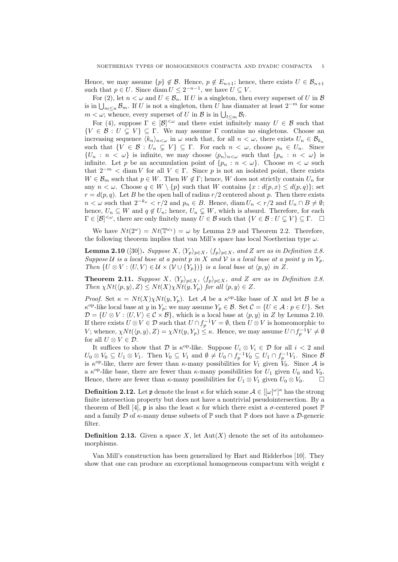Hence, we may assume  $\{p\} \notin \mathcal{B}$ . Hence,  $p \notin E_{n+1}$ ; hence, there exists  $U \in \mathcal{B}_{n+1}$ such that  $p \in U$ . Since diam  $U \leq 2^{-n-1}$ , we have  $U \subseteq V$ .

For (2), let  $n < \omega$  and  $U \in \mathcal{B}_n$ . If U is a singleton, then every superset of U in  $\mathcal{B}$ is in  $\bigcup_{m\leq n} \mathcal{B}_m$ . If U is not a singleton, then U has diamater at least  $2^{-m}$  for some  $m < \omega$ ; whence, every superset of U in B is in  $\bigcup_{l \leq m} \mathcal{B}_l$ .

For (4), suppose  $\Gamma \in [\mathcal{B}]^{<\omega}$  and there exist infinitely many  $U \in \mathcal{B}$  such that  ${V \in \mathcal{B} : U \subsetneq V} \subseteq \Gamma$ . We may assume  $\Gamma$  contains no singletons. Choose an increasing sequence  $\langle k_n \rangle_{n \leq \omega}$  in  $\omega$  such that, for all  $n < \omega$ , there exists  $U_n \in \mathcal{B}_{k_n}$ such that  $\{V \in \mathcal{B} : U_n \subsetneq V\} \subseteq \Gamma$ . For each  $n < \omega$ , choose  $p_n \in U_n$ . Since  $\{U_n : n < \omega\}$  is infinite, we may choose  $\langle p_n \rangle_{n \langle \omega}$  such that  $\{p_n : n < \omega\}$  is infinite. Let p be an accumulation point of  $\{p_n : n < \omega\}$ . Choose  $m < \omega$  such that  $2^{-m}$  < diam V for all  $V \in \Gamma$ . Since p is not an isolated point, there exists  $W \in \mathcal{B}_m$  such that  $p \in W$ . Then  $W \notin \Gamma$ ; hence, W does not strictly contain  $U_n$  for any  $n < \omega$ . Choose  $q \in W \setminus \{p\}$  such that W contains  $\{x : d(p,x) \leq d(p,q)\}\;$  set  $r = d(p, q)$ . Let B be the open ball of radius  $r/2$  centered about p. Then there exists  $n < \omega$  such that  $2^{-k_n} < r/2$  and  $p_n \in B$ . Hence, diam  $U_n < r/2$  and  $U_n \cap B \neq \emptyset$ ; hence,  $U_n \subseteq W$  and  $q \notin U_n$ ; hence,  $U_n \subseteq W$ , which is absurd. Therefore, for each  $\Gamma \in [\mathcal{B}]^{<\omega}$ , there are only finitely many  $U \in \mathcal{B}$  such that  $\{V \in \mathcal{B} : U \subsetneq V\} \subseteq \Gamma$ .  $\Box$ 

We have  $Nt(2^{\omega}) = Nt(\mathbb{T}^{\omega_1}) = \omega$  by Lemma 2.9 and Theorem 2.2. Therefore, the following theorem implies that van Mill's space has local Noetherian type  $\omega$ .

**Lemma 2.10** ([30]). Suppose X,  $\langle Y_p \rangle_{p \in X}$ ,  $\langle f_p \rangle_{p \in X}$ , and Z are as in Definition 2.8. Suppose  $U$  is a local base at a point  $p$  in  $X$  and  $V$  is a local base at a point  $y$  in  $Y_p$ . Then  $\{U \otimes V : \langle U, V \rangle \in \mathcal{U} \times (\mathcal{V} \cup \{Y_n\})\}$  is a local base at  $\langle p, y \rangle$  in Z.

**Theorem 2.11.** Suppose X,  $\langle Y_p \rangle_{p \in X}$ ,  $\langle f_p \rangle_{p \in X}$ , and Z are as in Definition 2.8. Then  $\chi N t(\langle p, y \rangle, Z) \leq N t(X) \chi N t(y, Y_p)$  for all  $\langle p, y \rangle \in Z$ .

*Proof.* Set  $\kappa = Nt(X)\chi Nt(y,Y_p)$ . Let A be a  $\kappa^{\rm op}$ -like base of X and let B be a  $\kappa^{\text{op-like}}$  local base at y in  $Y_p$ ; we may assume  $Y_p \in \mathcal{B}$ . Set  $\mathcal{C} = \{U \in \mathcal{A} : p \in U\}$ . Set  $\mathcal{D} = \{U \otimes V : \langle U, V \rangle \in \mathcal{C} \times \mathcal{B}\},\$  which is a local base at  $\langle p, y \rangle$  in Z by Lemma 2.10. If there exists  $U \otimes V \in \mathcal{D}$  such that  $U \cap f_p^{-1}V = \emptyset$ , then  $U \otimes V$  is homeomorphic to V; whence,  $\chi N t(\langle p, y \rangle, Z) = \chi N t(y, Y_p) \leq \kappa$ . Hence, we may assume  $U \cap f_p^{-1}V \neq \emptyset$ for all  $U \otimes V \in \mathcal{D}$ .

It suffices to show that  $D$  is  $\kappa^{\text{op}}$ -like. Suppose  $U_i \otimes V_i \in D$  for all  $i < 2$  and  $U_0 \otimes V_0 \subseteq U_1 \otimes V_1$ . Then  $V_0 \subseteq V_1$  and  $\emptyset \neq U_0 \cap f_p^{-1}V_0 \subseteq U_1 \cap f_p^{-1}V_1$ . Since B is  $\kappa^{\text{op-like}}$ , there are fewer than  $\kappa$ -many possibilities for  $V_1$  given  $V_0$ . Since A is a  $\kappa$ <sup>op</sup>-like base, there are fewer than  $\kappa$ -many possibilities for  $U_1$  given  $U_0$  and  $V_0$ . Hence, there are fewer than  $\kappa$ -many possibilities for  $U_1 \otimes V_1$  given  $U_0 \otimes V_0$ .  $\Box$ 

**Definition 2.12.** Let **p** denote the least  $\kappa$  for which some  $\mathcal{A} \in [[\omega]^{\omega}]^{\kappa}$  has the strong finite intersection property but does not have a nontrivial pseudointersection. By a theorem of Bell [4], **p** is also the least  $\kappa$  for which there exist a  $\sigma$ -centered poset  $\mathbb{P}$ and a family D of  $\kappa$ -many dense subsets of  $\mathbb P$  such that  $\mathbb P$  does not have a D-generic filter.

**Definition 2.13.** Given a space X, let  $Aut(X)$  denote the set of its autohomeomorphisms.

Van Mill's construction has been generalized by Hart and Ridderbos [10]. They show that one can produce an exceptional homogeneous compactum with weight  $\mathfrak c$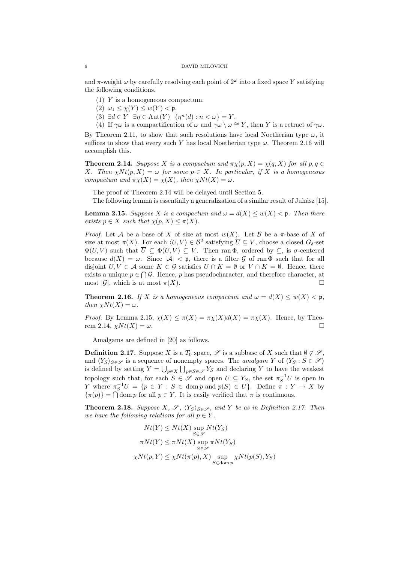and  $\pi$ -weight  $\omega$  by carefully resolving each point of  $2^{\omega}$  into a fixed space Y satisfying the following conditions.

- (1) Y is a homogeneous compactum.
- (2)  $\omega_1 \leq \chi(Y) \leq w(Y) < \mathfrak{p}$ .
- (3)  $\exists d \in Y \; \exists \eta \in \text{Aut}(Y) \; \{ \eta^n(d) : n < \omega \} = Y.$

(4) If  $\gamma\omega$  is a compactification of  $\omega$  and  $\gamma\omega \setminus \omega \cong Y$ , then Y is a retract of  $\gamma\omega$ . By Theorem 2.11, to show that such resolutions have local Noetherian type  $\omega$ , it suffices to show that every such Y has local Noetherian type  $\omega$ . Theorem 2.16 will accomplish this.

**Theorem 2.14.** Suppose X is a compactum and  $\pi \chi(p, X) = \chi(q, X)$  for all  $p, q \in$ X. Then  $\chi N t(p, X) = \omega$  for some  $p \in X$ . In particular, if X is a homogeneous compactum and  $\pi_X(X) = \chi(X)$ , then  $\chi N t(X) = \omega$ .

The proof of Theorem 2.14 will be delayed until Section 5.

The following lemma is essentially a generalization of a similar result of Juhász [15].

**Lemma 2.15.** Suppose X is a compactum and  $\omega = d(X) \leq w(X) < \mathfrak{p}$ . Then there exists  $p \in X$  such that  $\chi(p, X) \leq \pi(X)$ .

*Proof.* Let A be a base of X of size at most  $w(X)$ . Let B be a  $\pi$ -base of X of size at most  $\pi(X)$ . For each  $\langle U, V \rangle \in \mathcal{B}^2$  satisfying  $\overline{U} \subseteq V$ , choose a closed  $G_{\delta}$ -set  $\Phi(U, V)$  such that  $\overline{U} \subseteq \Phi(U, V) \subseteq V$ . Then ran  $\overline{\Phi}$ , ordered by  $\subseteq$ , is  $\sigma$ -centered because  $d(X) = \omega$ . Since  $|\mathcal{A}| < \mathfrak{p}$ , there is a filter G of ran  $\Phi$  such that for all disjoint  $U, V \in \mathcal{A}$  some  $K \in \mathcal{G}$  satisfies  $U \cap K = \emptyset$  or  $V \cap K = \emptyset$ . Hence, there exists a unique  $p \in \bigcap \mathcal{G}$ . Hence, p has pseudocharacter, and therefore character, at most  $|\mathcal{G}|$ , which is at most  $\pi(X)$ .

**Theorem 2.16.** If X is a homogeneous compactum and  $\omega = d(X) \leq w(X) < \mathfrak{p}$ , then  $\chi N t(X) = \omega$ .

*Proof.* By Lemma 2.15,  $\chi(X) \leq \pi(X) = \pi \chi(X) d(X) = \pi \chi(X)$ . Hence, by Theorem 2.14,  $\chi N t(X) = \omega$ .

Amalgams are defined in [20] as follows.

**Definition 2.17.** Suppose X is a  $T_0$  space,  $\mathscr S$  is a subbase of X such that  $\emptyset \notin \mathscr S$ , and  $\langle Y_S \rangle_{S \in \mathscr{S}}$  is a sequence of nonempty spaces. The amalgam Y of  $\langle Y_S : S \in \mathscr{S} \rangle$ is defined by setting  $Y = \bigcup_{p \in X} \prod_{p \in S \in \mathscr{S}} Y_S$  and declaring Y to have the weakest topology such that, for each  $S \in \mathscr{S}$  and open  $U \subseteq Y_S$ , the set  $\pi_S^{-1}U$  is open in Y where  $\pi_S^{-1}U = \{p \in Y : S \in \text{dom } p \text{ and } p(S) \in U\}.$  Define  $\pi : Y \to X$  by  $\{\pi(p)\} = \bigcap \text{dom } p \text{ for all } p \in Y.$  It is easily verified that  $\pi$  is continuous.

**Theorem 2.18.** Suppose X,  $\mathscr{S}$ ,  $\langle Y_S \rangle_{S \in \mathscr{S}}$ , and Y be as in Definition 2.17. Then we have the following relations for all  $p \in Y$ .

$$
Nt(Y) \leq Nt(X) \sup_{S \in \mathscr{S}} Nt(Y_S)
$$
  

$$
\pi Nt(Y) \leq \pi Nt(X) \sup_{S \in \mathscr{S}} \pi Nt(Y_S)
$$
  

$$
\chi Nt(p, Y) \leq \chi Nt(\pi(p), X) \sup_{S \in \text{dom } p} \chi Nt(p(S), Y_S)
$$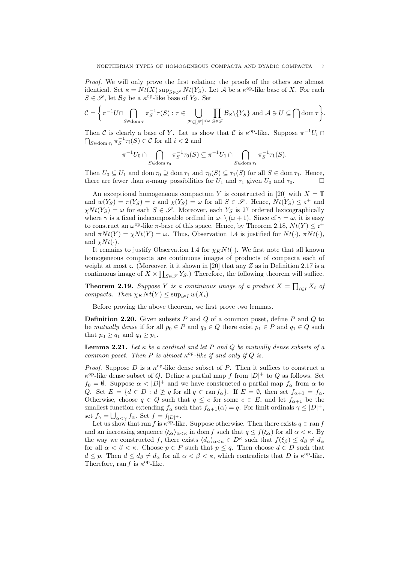Proof. We will only prove the first relation; the proofs of the others are almost identical. Set  $\kappa = Nt(X) \sup_{S \in \mathcal{S}} Nt(Y_S)$ . Let A be a  $\kappa^{\text{op}}$ -like base of X. For each  $S \in \mathscr{S}$ , let  $\mathcal{B}_S$  be a  $\kappa^{\text{op}}$ -like base of  $Y_S$ . Set

$$
\mathcal{C} = \left\{ \pi^{-1} U \cap \bigcap_{S \in \text{dom}\,\tau} \pi_S^{-1} \tau(S) : \tau \in \bigcup_{\mathcal{F} \in [\mathscr{S}]^{<\omega}} \prod_{S \in \mathcal{F}} \mathcal{B}_S \setminus \{Y_S\} \text{ and } \mathcal{A} \ni U \subseteq \bigcap \text{dom}\,\tau \right\}.
$$

Then C is clearly a base of Y. Let us show that C is  $\kappa^{\text{op}}$ -like. Suppose  $\pi^{-1}U_i \cap$  $\bigcap_{S \in \text{dom } \tau_i} \pi_S^{-1} \tau_i(S) \in \mathcal{C}$  for all  $i < 2$  and

$$
\pi^{-1}U_0 \cap \bigcap_{S \in \text{dom } \tau_0} \pi_S^{-1} \tau_0(S) \subseteq \pi^{-1}U_1 \cap \bigcap_{S \in \text{dom } \tau_1} \pi_S^{-1} \tau_1(S).
$$

Then  $U_0 \subseteq U_1$  and dom  $\tau_0 \supseteq \text{dom } \tau_1$  and  $\tau_0(S) \subseteq \tau_1(S)$  for all  $S \in \text{dom } \tau_1$ . Hence, there are fewer than  $\kappa$ -many possibilities for  $U_1$  and  $\tau_1$  given  $U_0$  and  $\tau_0$ .

An exceptional homogeneous compactum Y is constructed in [20] with  $X = T$ and  $w(Y_S) = \pi(Y_S) = \mathfrak{c}$  and  $\chi(Y_S) = \omega$  for all  $S \in \mathcal{S}$ . Hence,  $Nt(Y_S) \leq \mathfrak{c}^+$  and  $\chi N t(Y_S) = \omega$  for each  $S \in \mathscr{S}$ . Moreover, each  $Y_S$  is  $2^{\gamma}$  ordered lexicographically where  $\gamma$  is a fixed indecomposable ordinal in  $\omega_1 \setminus (\omega + 1)$ . Since  $cf \gamma = \omega$ , it is easy to construct an  $\omega^{\rm op}$ -like  $\pi$ -base of this space. Hence, by Theorem 2.18,  $Nt(Y) \leq \mathfrak{c}^+$ and  $\pi N t(Y) = \chi N t(Y) = \omega$ . Thus, Observation 1.4 is justified for  $N t(\cdot)$ ,  $\pi N t(\cdot)$ , and  $\chi N t(\cdot)$ .

It remains to justify Observation 1.4 for  $\chi_K N t(\cdot)$ . We first note that all known homogeneous compacta are continuous images of products of compacta each of weight at most  $\mathfrak c$ . (Moreover, it it shown in [20] that any Z as in Definition 2.17 is a continuous image of  $X \times \prod_{S \in \mathscr{S}} Y_S$ .) Therefore, the following theorem will suffice.

**Theorem 2.19.** Suppose Y is a continuous image of a product  $X = \prod_{i \in I} X_i$  of compacta. Then  $\chi_K Nt(Y) \leq \sup_{i \in I} w(X_i)$ 

Before proving the above theorem, we first prove two lemmas.

**Definition 2.20.** Given subsets  $P$  and  $Q$  of a common poset, define  $P$  and  $Q$  to be mutually dense if for all  $p_0 \in P$  and  $q_0 \in Q$  there exist  $p_1 \in P$  and  $q_1 \in Q$  such that  $p_0 \geq q_1$  and  $q_0 \geq p_1$ .

**Lemma 2.21.** Let  $\kappa$  be a cardinal and let P and Q be mutually dense subsets of a common poset. Then P is almost  $\kappa^{\rm op}$ -like if and only if Q is.

*Proof.* Suppose D is a  $\kappa^{op}$ -like dense subset of P. Then it suffices to construct a  $\kappa^{\text{op}}$ -like dense subset of Q. Define a partial map f from  $|D|$ <sup>+</sup> to Q as follows. Set  $f_0 = \emptyset$ . Suppose  $\alpha < |D|^+$  and we have constructed a partial map  $f_\alpha$  from  $\alpha$  to Q. Set  $E = \{d \in D : d \not\geq q \text{ for all } q \in \text{ran } f_\alpha\}$ . If  $E = \emptyset$ , then set  $f_{\alpha+1} = f_\alpha$ . Otherwise, choose  $q \in Q$  such that  $q \leq e$  for some  $e \in E$ , and let  $f_{\alpha+1}$  be the smallest function extending  $f_{\alpha}$  such that  $f_{\alpha+1}(\alpha) = q$ . For limit ordinals  $\gamma \leq |D|^+$ , set  $f_{\gamma} = \bigcup_{\alpha < \gamma} f_{\alpha}$ . Set  $f = f_{|D|} +$ .

Let us show that ran f is  $\kappa^{\text{op}}$ -like. Suppose otherwise. Then there exists  $q \in \text{ran } f$ and an increasing sequence  $\langle \xi_\alpha \rangle_{\alpha \leq \kappa}$  in dom f such that  $q \leq f(\xi_\alpha)$  for all  $\alpha \leq \kappa$ . By the way we constructed f, there exists  $\langle d_{\alpha} \rangle_{\alpha < \kappa} \in D^{\kappa}$  such that  $f(\xi_{\beta}) \leq d_{\beta} \neq d_{\alpha}$ for all  $\alpha < \beta < \kappa$ . Choose  $p \in P$  such that  $p \leq q$ . Then choose  $d \in D$  such that  $d \leq p$ . Then  $d \leq d_{\beta} \neq d_{\alpha}$  for all  $\alpha < \beta < \kappa$ , which contradicts that D is  $\kappa^{\text{op-like}}$ . Therefore, ran f is  $\kappa^{\text{op}}$ -like.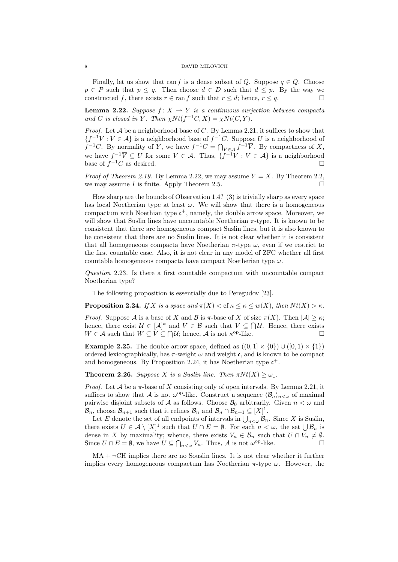Finally, let us show that ran f is a dense subset of Q. Suppose  $q \in Q$ . Choose  $p \in P$  such that  $p \leq q$ . Then choose  $d \in D$  such that  $d \leq p$ . By the way we constructed f, there exists  $r \in \text{ran } f$  such that  $r \leq d$ ; hence,  $r \leq q$ .

**Lemma 2.22.** Suppose  $f: X \to Y$  is a continuous surjection between compacta and C is closed in Y. Then  $\chi N t(f^{-1}C, X) = \chi N t(C, Y)$ .

*Proof.* Let  $A$  be a neighborhood base of  $C$ . By Lemma 2.21, it suffices to show that  ${f^{-1}V : V \in \mathcal{A}}$  is a neighborhood base of  $f^{-1}C$ . Suppose U is a neighborhood of  $f^{-1}C$ . By normality of Y, we have  $f^{-1}C = \bigcap_{V \in \mathcal{A}} f^{-1}\overline{V}$ . By compactness of X, we have  $f^{-1}\overline{V} \subseteq U$  for some  $V \in \mathcal{A}$ . Thus,  $\{f^{-1}V : V \in \mathcal{A}\}\)$  is a neighborhood base of  $f^{-1}C$  as desired.  $^{-1}C$  as desired.

*Proof of Theorem 2.19.* By Lemma 2.22, we may assume  $Y = X$ . By Theorem 2.2, we may assume I is finite. Apply Theorem 2.5.

How sharp are the bounds of Observation 1.4? (3) is trivially sharp as every space has local Noetherian type at least  $\omega$ . We will show that there is a homogeneous compactum with Noethian type  $\mathfrak{c}^+$ , namely, the double arrow space. Moreover, we will show that Suslin lines have uncountable Noetherian  $\pi$ -type. It is known to be consistent that there are homogeneous compact Suslin lines, but it is also known to be consistent that there are no Suslin lines. It is not clear whether it is consistent that all homogeneous compacta have Noetherian  $\pi$ -type  $\omega$ , even if we restrict to the first countable case. Also, it is not clear in any model of ZFC whether all first countable homogeneous compacta have compact Noetherian type  $\omega$ .

Question 2.23. Is there a first countable compactum with uncountable compact Noetherian type?

The following proposition is essentially due to Peregudov [23].

**Proposition 2.24.** If X is a space and  $\pi(X) <$  cf  $\kappa \leq \kappa \leq w(X)$ , then  $Nt(X) > \kappa$ .

*Proof.* Suppose A is a base of X and B is  $\pi$ -base of X of size  $\pi(X)$ . Then  $|\mathcal{A}| > \kappa$ ; hence, there exist  $\mathcal{U} \in [\mathcal{A}]^{\kappa}$  and  $V \in \mathcal{B}$  such that  $V \subseteq \bigcap \mathcal{U}$ . Hence, there exists  $W \in \mathcal{A}$  such that  $W \subseteq V \subseteq \bigcap \mathcal{U}$ ; hence,  $\mathcal{A}$  is not  $\kappa^{\text{op-like}}$ .

**Example 2.25.** The double arrow space, defined as  $((0,1] \times \{0\}) \cup ([0,1] \times \{1\})$ ordered lexicographically, has  $\pi$ -weight  $\omega$  and weight c, and is known to be compact and homogeneous. By Proposition 2.24, it has Noetherian type  $\mathfrak{c}^+$ .

**Theorem 2.26.** Suppose X is a Suslin line. Then  $\pi N t(X) \geq \omega_1$ .

*Proof.* Let  $A$  be a  $\pi$ -base of X consisting only of open intervals. By Lemma 2.21, it suffices to show that A is not  $\omega^{\text{op}}$ -like. Construct a sequence  $\langle \mathcal{B}_n \rangle_{n \leq \omega}$  of maximal pairwise disjoint subsets of A as follows. Choose  $\mathcal{B}_0$  arbitrarily. Given  $n < \omega$  and  $\mathcal{B}_n$ , choose  $\mathcal{B}_{n+1}$  such that it refines  $\mathcal{B}_n$  and  $\mathcal{B}_n \cap \mathcal{B}_{n+1} \subseteq [X]^1$ .

Let E denote the set of all endpoints of intervals in  $\bigcup_{n<\omega} \mathcal{B}_n$ . Since X is Suslin, there exists  $U \in \mathcal{A} \setminus [X]^1$  such that  $U \cap E = \emptyset$ . For each  $n < \omega$ , the set  $\bigcup \mathcal{B}_n$  is dense in X by maximality; whence, there exists  $V_n \in \mathcal{B}_n$  such that  $U \cap V_n \neq \emptyset$ . Since  $U \cap E = \emptyset$ , we have  $U \subseteq \bigcap_{n < \omega} V_n$ . Thus,  $\mathcal A$  is not  $\omega^{\mathrm{op}}$ -like.

 $MA + \neg CH$  implies there are no Souslin lines. It is not clear whether it further implies every homogeneous compactum has Noetherian  $\pi$ -type  $\omega$ . However, the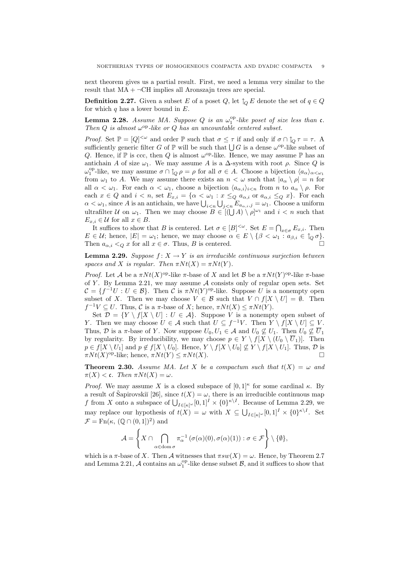next theorem gives us a partial result. First, we need a lemma very similar to the result that  $MA + \neg CH$  implies all Aronszajn trees are special.

**Definition 2.27.** Given a subset E of a poset Q, let  $\uparrow_{Q} E$  denote the set of  $q \in Q$ for which  $q$  has a lower bound in  $E$ .

**Lemma 2.28.** Assume MA. Suppose Q is an  $\omega_1^{\text{op}}$ -like poset of size less than c. Then  $Q$  is almost  $\omega^{\rm op}$ -like or  $Q$  has an uncountable centered subset.

*Proof.* Set  $\mathbb{P} = [Q]^{<\omega}$  and order  $\mathbb P$  such that  $\sigma \leq \tau$  if and only if  $\sigma \cap \uparrow_Q \tau = \tau$ . A sufficiently generic filter G of  $\mathbb P$  will be such that  $\bigcup G$  is a dense  $\omega^{\mathrm{op}}$ -like subset of Q. Hence, if  $\mathbb P$  is ccc, then Q is almost  $\omega^{\text{op}}$ -like. Hence, we may assume  $\mathbb P$  has an antichain A of size  $\omega_1$ . We may assume A is a  $\Delta$ -system with root  $\rho$ . Since Q is  $\omega_1^{\text{op}}$ -like, we may assume  $\sigma \cap \uparrow_Q \rho = \rho$  for all  $\sigma \in A$ . Choose a bijection  $\langle a_{\alpha} \rangle_{\alpha < \omega_1}$ from  $\omega_1$  to A. We may assume there exists an  $n < \omega$  such that  $|a_{\alpha} \setminus \rho| = n$  for all  $\alpha < \omega_1$ . For each  $\alpha < \omega_1$ , choose a bijection  $\langle a_{\alpha,i} \rangle_{i \le n}$  from n to  $a_{\alpha} \setminus \rho$ . For each  $x \in Q$  and  $i < n$ , set  $E_{x,i} = \{ \alpha < \omega_1 : x \leq_Q a_{\alpha,i} \text{ or } a_{\alpha,i} \leq_Q x \}.$  For each  $\alpha < \omega_1$ , since A is an antichain, we have  $\bigcup_{i \leq n} \bigcup_{j \leq n} E_{a_{\alpha,i},j} = \omega_1$ . Choose a uniform ultrafilter U on  $\omega_1$ . Then we may choose  $B \in [(\bigcup A) \setminus \rho]^{\omega_1}$  and  $i < n$  such that  $E_{x,i} \in \mathcal{U}$  for all  $x \in B$ .

It suffices to show that B is centered. Let  $\sigma \in [B]^{<\omega}$ . Set  $E = \bigcap_{x \in \sigma} E_{x,i}$ . Then  $E \in \mathcal{U}$ ; hence,  $|E| = \omega_1$ ; hence, we may choose  $\alpha \in E \setminus \{\beta < \omega_1 : a_{\beta,i} \in \hat{I}_Q \sigma\}$ .<br>Then  $a \leq \alpha$  is  $\alpha$  for all  $x \in \sigma$ . Thus  $B$  is centered Then  $a_{\alpha,i} <_{Q} x$  for all  $x \in \sigma$ . Thus, B is centered.

**Lemma 2.29.** Suppose  $f: X \to Y$  is an irreducible continuous surjection between spaces and X is regular. Then  $\pi N t(X) = \pi N t(Y)$ .

Proof. Let A be a  $\pi N t(X)$ <sup>op</sup>-like  $\pi$ -base of X and let B be a  $\pi N t(Y)$ <sup>op</sup>-like  $\pi$ -base of Y. By Lemma 2.21, we may assume  $A$  consists only of regular open sets. Set  $\mathcal{C} = \{f^{-1}U : U \in \mathcal{B}\}.$  Then C is  $\pi N t(Y)$ <sup>op</sup>-like. Suppose U is a nonempty open subset of X. Then we may choose  $V \in \mathcal{B}$  such that  $V \cap f[X \setminus U] = \emptyset$ . Then  $f^{-1}V \subseteq U$ . Thus, C is a  $\pi$ -base of X; hence,  $\pi N t(X) \leq \pi N t(Y)$ .

Set  $\mathcal{D} = \{Y \setminus f[X \setminus U] : U \in \mathcal{A}\}.$  Suppose V is a nonempty open subset of Y. Then we may choose  $U \in \mathcal{A}$  such that  $U \subseteq f^{-1}V$ . Then  $Y \setminus f[X \setminus U] \subseteq V$ . Thus, D is a  $\pi$ -base of Y. Now suppose  $U_0, U_1 \in \mathcal{A}$  and  $U_0 \nsubseteq U_1$ . Then  $U_0 \nsubseteq \overline{U}_1$ by regularity. By irreducibility, we may choose  $p \in Y \setminus f[X \setminus (U_0 \setminus \overline{U}_1)]$ . Then  $p \in f[X \setminus U_1]$  and  $p \notin f[X \setminus U_0]$ . Hence,  $Y \setminus f[X \setminus U_0] \nsubseteq Y \setminus f[X \setminus U_1]$ . Thus,  $D$  is  $\pi N t(X)$ <sup>op</sup>-like; hence,  $\pi N t(Y) \leq \pi N t(X)$ .

**Theorem 2.30.** Assume MA. Let X be a compactum such that  $t(X) = \omega$  and  $\pi(X) < \mathfrak{c}$ . Then  $\pi N t(X) = \omega$ .

*Proof.* We may assume X is a closed subspace of  $[0,1]^{\kappa}$  for some cardinal  $\kappa$ . By a result of Šapirovskiĭ [26], since  $t(X) = \omega$ , there is an irreducible continuous map f from X onto a subspace of  $\bigcup_{I \in [\kappa]^{\omega}} [0,1]^I \times \{0\}^{\kappa \setminus I}$ . Because of Lemma 2.29, we may replace our hypothesis of  $t(X) = \omega$  with  $X \subseteq \bigcup_{I \in [\kappa]^{\omega}} [0,1]^I \times \{0\}^{\kappa \setminus I}$ . Set  $\mathcal{F} = \text{Fn}(\kappa, (\mathbb{Q} \cap (0,1])^2)$  and

$$
\mathcal{A} = \left\{ X \cap \bigcap_{\alpha \in \text{dom}\,\sigma} \pi_{\alpha}^{-1} \left( \sigma(\alpha)(0), \sigma(\alpha)(1) \right) : \sigma \in \mathcal{F} \right\} \setminus \{\emptyset\},\
$$

which is a  $\pi$ -base of X. Then A witnesses that  $\pi sw(X) = \omega$ . Hence, by Theorem 2.7 and Lemma 2.21, A contains an  $\omega_1^{\text{op}}$ -like dense subset  $\mathcal{B}$ , and it suffices to show that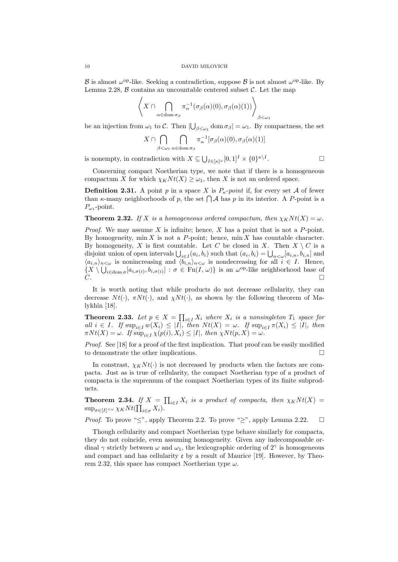B is almost  $\omega^{\rm op}$ -like. Seeking a contradiction, suppose B is not almost  $\omega^{\rm op}$ -like. By Lemma 2.28,  $\beta$  contains an uncountable centered subset  $\beta$ . Let the map

$$
\left\langle X \cap \bigcap_{\alpha \in \text{dom}\,\sigma_{\beta}} \pi_{\alpha}^{-1}(\sigma_{\beta}(\alpha)(0), \sigma_{\beta}(\alpha)(1)) \right\rangle_{\beta < \omega_1}
$$

be an injection from  $\omega_1$  to C. Then  $|\bigcup_{\beta<\omega_1}$  dom  $\sigma_{\beta}|=\omega_1$ . By compactness, the set

$$
X \cap \bigcap_{\beta < \omega_1} \bigcap_{\alpha \in \text{dom } \sigma_\beta} \pi_\alpha^{-1}[\sigma_\beta(\alpha)(0), \sigma_\beta(\alpha)(1)]
$$

is nonempty, in contradiction with  $X \subseteq \bigcup_{I \in [\kappa]^{\omega}} [0,1]^I \times \{0\}^{\kappa \setminus I}$ 

. — Первый проста в серверності в серверності в серверності в серверності в серверності в серверності в сервер<br>В серверності в серверності в серверності в серверності в серверності в серверності в серверності в серверност

Concerning compact Noetherian type, we note that if there is a homogeneous compactum X for which  $\chi_K N t(X) > \omega_1$ , then X is not an ordered space.

**Definition 2.31.** A point p in a space X is  $P_k$ -point if, for every set A of fewer than  $\kappa$ -many neighborhoods of p, the set  $\bigcap \mathcal{A}$  has p in its interior. A P-point is a  $P_{\omega_1}$ -point.

**Theorem 2.32.** If X is a homogeneous ordered compactum, then  $\chi_K N t(X) = \omega$ .

*Proof.* We may assume  $X$  is infinite; hence,  $X$  has a point that is not a  $P$ -point. By homogeneity, min  $X$  is not a P-point; hence, min  $X$  has countable character. By homogeneity, X is first countable. Let C be closed in X. Then  $X \setminus C$  is a disjoint union of open intervals  $\bigcup_{i\in I}(a_i,b_i)$  such that  $(a_i,b_i) = \bigcup_{n<\omega}[a_{i,n},b_{i,n}]$  and  $\langle a_{i,n}\rangle_{n\leq \omega}$  is nonincreasing and  $\langle b_{i,n}\rangle_{n\leq \omega}$  is nondecreasing for all  $i \in I$ . Hence,  $\{X \setminus \bigcup_{i \in \text{dom }\sigma} [a_{i,\sigma(i)}, b_{i,\sigma(i)}] : \sigma \in \text{Fn}(I, \omega)\}\$ is an  $\omega^{\text{op-like}}$  neighborhood base of  $\overline{C}$ .

It is worth noting that while products do not decrease cellularity, they can decrease  $N t(\cdot)$ ,  $\pi N t(\cdot)$ , and  $\chi N t(\cdot)$ , as shown by the following theorem of Malykhin [18].

**Theorem 2.33.** Let  $p \in X = \prod_{i \in I} X_i$  where  $X_i$  is a nonsingleton  $T_1$  space for all  $i \in I$ . If  $\sup_{i \in I} w(X_i) \leq |I|$ , then  $Nt(X) = \omega$ . If  $\sup_{i \in I} \pi(X_i) \leq |I|$ , then  $\pi N t(X) = \omega$ . If  $\sup_{i \in I} \chi(p(i), X_i) \leq |I|$ , then  $\chi N t(p, X) = \omega$ .

Proof. See [18] for a proof of the first implication. That proof can be easily modified to demonstrate the other implications.

In constrast,  $\chi_K N t(\cdot)$  is not decreased by products when the factors are compacta. Just as is true of cellularity, the compact Noetherian type of a product of compacta is the supremum of the compact Noetherian types of its finite subproducts.

**Theorem 2.34.** If  $X = \prod_{i \in I} X_i$  is a product of compacta, then  $\chi_K N t(X) =$  $\sup_{\sigma \in [I]^{<\omega}} \chi_K N t(\prod_{i \in \sigma} X_i).$ 

*Proof.* To prove " $\leq$ ", apply Theorem 2.2. To prove " $\geq$ ", apply Lemma 2.22.  $\Box$ 

Though cellularity and compact Noetherian type behave similarly for compacta, they do not coincide, even assuming homogeneity. Given any indecomposable ordinal  $\gamma$  strictly between  $\omega$  and  $\omega_1$ , the lexicographic ordering of  $2^{\gamma}$  is homogeneous and compact and has cellularity  $\mathfrak c$  by a result of Maurice [19]. However, by Theorem 2.32, this space has compact Noetherian type  $\omega$ .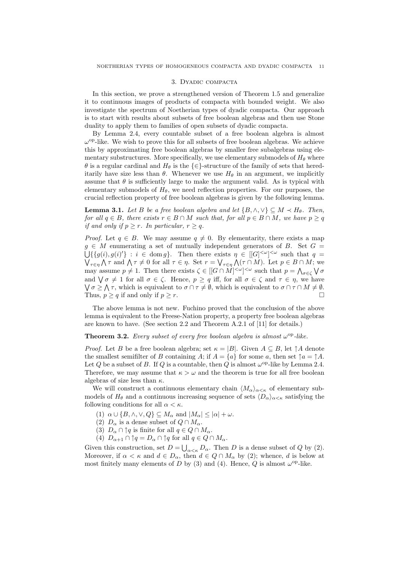#### 3. Dyadic compacta

In this section, we prove a strengthened version of Theorem 1.5 and generalize it to continuous images of products of compacta with bounded weight. We also investigate the spectrum of Noetherian types of dyadic compacta. Our approach is to start with results about subsets of free boolean algebras and then use Stone duality to apply them to families of open subsets of dyadic compacta.

By Lemma 2.4, every countable subset of a free boolean algebra is almost  $\omega$ <sup>op</sup>-like. We wish to prove this for all subsets of free boolean algebras. We achieve this by approximating free boolean algebras by smaller free subalgebras using elementary substructures. More specifically, we use elementary submodels of  $H_\theta$  where  $\theta$  is a regular cardinal and  $H_{\theta}$  is the {∈}-structure of the family of sets that hereditarily have size less than  $\theta$ . Whenever we use  $H_{\theta}$  in an argument, we implicitly assume that  $\theta$  is sufficiently large to make the argument valid. As is typical with elementary submodels of  $H_{\theta}$ , we need reflection properties. For our purposes, the crucial reflection property of free boolean algebras is given by the following lemma.

**Lemma 3.1.** Let B be a free boolean algebra and let  $\{B, \wedge, \vee\} \subseteq M \prec H_{\theta}$ . Then, for all  $q \in B$ , there exists  $r \in B \cap M$  such that, for all  $p \in B \cap M$ , we have  $p \ge q$ if and only if  $p \geq r$ . In particular,  $r \geq q$ .

*Proof.* Let  $q \in B$ . We may assume  $q \neq 0$ . By elementarity, there exists a map  $g \in M$  enumerating a set of mutually independent generators of B. Set  $G =$  $\bigcup \{ \{g(i), g(i)'\} : i \in \text{dom } g\}.$  Then there exists  $\eta \in [[G]^{<\omega}]^{<\omega}$  such that  $q =$  $\bigvee_{\tau\in\eta}\bigwedge\tau$  and  $\bigwedge\tau\neq 0$  for all  $\tau\in\eta$ . Set  $r=\bigvee_{\tau\in\eta}\bigwedge(\tau\cap M)$ . Let  $p\in B\cap M$ ; we may assume  $p \neq 1$ . Then there exists  $\zeta \in [[G \cap M]^{<\omega}]^{<\omega}$  such that  $p = \bigwedge_{\sigma \in \zeta} \bigvee \sigma$ and  $\bigvee \sigma \neq 1$  for all  $\sigma \in \zeta$ . Hence,  $p \geq q$  iff, for all  $\sigma \in \zeta$  and  $\tau \in \eta$ , we have  $\bigvee \sigma \geq \bigwedge \tau$ , which is equivalent to  $\sigma \cap \tau \neq \emptyset$ , which is equivalent to  $\sigma \cap \tau \cap M \neq \emptyset$ . Thus,  $p \geq q$  if and only if  $p \geq r$ .

The above lemma is not new. Fuchino proved that the conclusion of the above lemma is equivalent to the Freese-Nation property, a property free boolean algebras are known to have. (See section 2.2 and Theorem A.2.1 of [11] for details.)

**Theorem 3.2.** Every subset of every free boolean algebra is almost  $\omega^{\rm op}$ -like.

*Proof.* Let B be a free boolean algebra; set  $\kappa = |B|$ . Given  $A \subseteq B$ , let  $\uparrow A$  denote the smallest semifilter of B containing A; if  $A = \{a\}$  for some a, then set  $\uparrow a = \uparrow A$ . Let Q be a subset of B. If Q is a countable, then Q is almost  $\omega^{\rm op}$ -like by Lemma 2.4. Therefore, we may assume that  $\kappa > \omega$  and the theorem is true for all free boolean algebras of size less than  $\kappa$ .

We will construct a continuous elementary chain  $\langle M_{\alpha}\rangle_{\alpha<\kappa}$  of elementary submodels of  $H_{\theta}$  and a continuous increasing sequence of sets  $\langle D_{\alpha}\rangle_{\alpha<\kappa}$  satisfying the following conditions for all  $\alpha < \kappa$ .

- (1)  $\alpha \cup \{B, \wedge, \vee, Q\} \subseteq M_\alpha$  and  $|M_\alpha| \leq |\alpha| + \omega$ .
- (2)  $D_{\alpha}$  is a dense subset of  $Q \cap M_{\alpha}$ .
- (3)  $D_{\alpha} \cap \uparrow q$  is finite for all  $q \in Q \cap M_{\alpha}$ .
- (4)  $D_{\alpha+1} \cap \uparrow q = D_{\alpha} \cap \uparrow q$  for all  $q \in Q \cap M_{\alpha}$ .

Given this construction, set  $D = \bigcup_{\alpha < \kappa} D_{\alpha}$ . Then D is a dense subset of Q by (2). Moreover, if  $\alpha < \kappa$  and  $d \in D_\alpha$ , then  $d \in Q \cap M_\alpha$  by (2); whence, d is below at most finitely many elements of D by (3) and (4). Hence, Q is almost  $\omega^{\rm op}$ -like.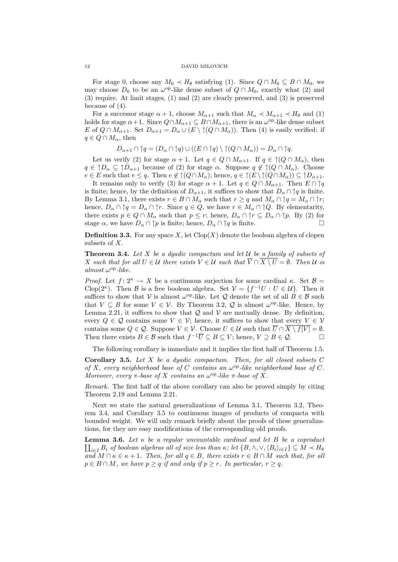For stage 0, choose any  $M_0 \prec H_\theta$  satisfying (1). Since  $Q \cap M_0 \subseteq B \cap M_0$ , we may choose  $D_0$  to be an  $\omega^{\text{op}}$ -like dense subset of  $Q \cap M_0$ , exactly what (2) and (3) require. At limit stages, (1) and (2) are clearly preserved, and (3) is preserved because of (4).

For a successor stage  $\alpha + 1$ , choose  $M_{\alpha+1}$  such that  $M_{\alpha} \prec M_{\alpha+1} \prec H_{\theta}$  and (1) holds for stage  $\alpha+1$ . Since  $Q \cap M_{\alpha+1} \subseteq B \cap M_{\alpha+1}$ , there is an  $\omega^{\rm op}$ -like dense subset E of  $Q \cap M_{\alpha+1}$ . Set  $D_{\alpha+1} = D_{\alpha} \cup (E \setminus \uparrow (Q \cap M_{\alpha}))$ . Then (4) is easily verified: if  $q \in Q \cap M_{\alpha}$ , then

$$
D_{\alpha+1} \cap \uparrow q = (D_{\alpha} \cap \uparrow q) \cup ((E \cap \uparrow q) \setminus \uparrow (Q \cap M_{\alpha})) = D_{\alpha} \cap \uparrow q.
$$

Let us verify (2) for stage  $\alpha + 1$ . Let  $q \in Q \cap M_{\alpha+1}$ . If  $q \in \hat{\mathcal{T}}(Q \cap M_{\alpha})$ , then  $q \in \uparrow D_{\alpha} \subseteq \uparrow D_{\alpha+1}$  because of (2) for stage  $\alpha$ . Suppose  $q \notin \uparrow (Q \cap M_{\alpha})$ . Choose  $e \in E$  such that  $e \leq q$ . Then  $e \notin \hat{\mathcal{L}}(Q \cap M_\alpha)$ ; hence,  $q \in \hat{\mathcal{L}}(E \setminus \hat{\mathcal{L}}(Q \cap M_\alpha)) \subseteq \hat{\mathcal{L}}_{\alpha+1}$ .

It remains only to verify (3) for stage  $\alpha + 1$ . Let  $q \in Q \cap M_{\alpha+1}$ . Then  $E \cap \uparrow q$ is finite; hence, by the definition of  $D_{\alpha+1}$ , it suffices to show that  $D_{\alpha} \cap \hat{p}$  is finite. By Lemma 3.1, there exists  $r \in B \cap M_\alpha$  such that  $r \geq q$  and  $M_\alpha \cap q = M_\alpha \cap \gamma$ ; hence,  $D_{\alpha} \cap \hat{p} = D_{\alpha} \cap \hat{r}$ . Since  $q \in Q$ , we have  $r \in M_{\alpha} \cap \hat{p}$ . By elementarity, there exists  $p \in Q \cap M_\alpha$  such that  $p \leq r$ ; hence,  $D_\alpha \cap \uparrow r \subseteq D_\alpha \cap \uparrow p$ . By (2) for stage  $\alpha$ , we have  $D_{\alpha} \cap \uparrow p$  is finite; hence,  $D_{\alpha} \cap \uparrow q$  is finite.

**Definition 3.3.** For any space X, let  $Clop(X)$  denote the boolean algebra of clopen subsets of X.

**Theorem 3.4.** Let  $X$  be a dyadic compactum and let  $U$  be a family of subsets of X such that for all  $U \in \mathcal{U}$  there exists  $V \in \mathcal{U}$  such that  $\overline{V} \cap \overline{X \setminus U} = \emptyset$ . Then U is almost  $\omega^{\mathrm{op}}\text{-}like.$ 

*Proof.* Let  $f: 2^{\kappa} \to X$  be a continuous surjection for some cardinal  $\kappa$ . Set  $\mathcal{B} =$ Clop( $2^{\kappa}$ ). Then B is a free boolean algebra. Set  $\mathcal{V} = \{f^{-1}U : U \in \mathcal{U}\}\$ . Then it suffices to show that V is almost  $\omega^{\text{op}}$ -like. Let Q denote the set of all  $B \in \mathcal{B}$  such that  $V \subseteq B$  for some  $V \in V$ . By Theorem 3.2, Q is almost  $\omega^{\text{op}}$ -like. Hence, by Lemma 2.21, it suffices to show that  $\mathcal Q$  and  $\mathcal V$  are mutually dense. By definition, every  $Q \in \mathcal{Q}$  contains some  $V \in \mathcal{V}$ ; hence, it suffices to show that every  $V \in \mathcal{V}$ contains some  $Q \in \mathcal{Q}$ . Suppose  $V \in \mathcal{V}$ . Choose  $U \in \mathcal{U}$  such that  $\overline{U} \cap \overline{X \setminus f[V]} = \emptyset$ . Then there exists  $B \in \mathcal{B}$  such that  $f^{-1}\overline{U} \subseteq B \subseteq V$ ; hence,  $V \supseteq B \in \mathcal{Q}$ .

The following corollary is immediate and it implies the first half of Theorem 1.5.

Corollary 3.5. Let  $X$  be a dyadic compactum. Then, for all closed subsets  $C$ of X, every neighborhood base of C contains an  $\omega^{\rm op}$ -like neighborhood base of C. Moreover, every  $\pi$ -base of X contains an  $\omega^{\rm op}$ -like  $\pi$ -base of X.

Remark. The first half of the above corollary can also be proved simply by citing Theorem 2.19 and Lemma 2.21.

Next we state the natural generalizations of Lemma 3.1, Theorem 3.2, Theorem 3.4, and Corollary 3.5 to continuous images of products of compacta with bounded weight. We will only remark briefly about the proofs of these generalizations, for they are easy modifications of the corresponding old proofs.

**Lemma 3.6.** Let  $\kappa$  be a regular uncountable cardinal and let B be a coproduct  $\coprod_{i\in I} B_i$  of boolean algebras all of size less than  $\kappa$ ; let  $\{B,\wedge,\vee,\langle B_i\rangle_{i\in I}\}\subseteq M\prec H_\theta$ and  $M \cap \kappa \in \kappa + 1$ . Then, for all  $q \in B$ , there exists  $r \in B \cap M$  such that, for all  $p \in B \cap M$ , we have  $p \geq q$  if and only if  $p \geq r$ . In particular,  $r \geq q$ .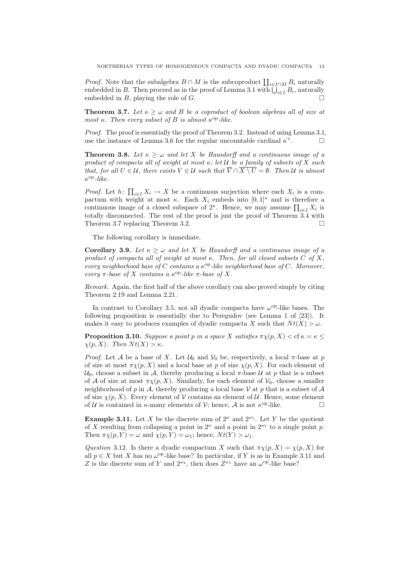*Proof.* Note that the subalgebra  $B \cap M$  is the subcoproduct  $\prod_{i \in I \cap M} B_i$  naturally embedded in B. Then proceed as in the proof of Lemma 3.1 with  $\bigcup_{i\in I} B_i$ , naturally embedded in B, playing the role of G.

**Theorem 3.7.** Let  $\kappa \geq \omega$  and B be a coproduct of boolean algebras all of size at most  $\kappa$ . Then every subset of B is almost  $\kappa^{\rm op}$ -like.

Proof. The proof is essentially the proof of Theorem 3.2. Instead of using Lemma 3.1, use the instance of Lemma 3.6 for the regular uncountable cardinal  $\kappa^+$ .

**Theorem 3.8.** Let  $\kappa \geq \omega$  and let X be Hausdorff and a continuous image of a product of compacta all of weight at most  $\kappa$ ; let U be a family of subsets of X such that, for all  $U \in \mathcal{U}$ , there exists  $V \in \mathcal{U}$  such that  $\overline{V} \cap \overline{X \setminus U} = \emptyset$ . Then  $\mathcal{U}$  is almost  $\kappa^{\rm op}\text{-}like.$ 

*Proof.* Let  $h: \prod_{i \in I} X_i \to X$  be a continuous surjection where each  $X_i$  is a compactum with weight at most  $\kappa$ . Each  $X_i$  embeds into  $[0,1]^{\kappa}$  and is therefore a continuous image of a closed subspace of  $2^{\kappa}$ . Hence, we may assume  $\prod_{i\in I} X_i$  is totally disconnected. The rest of the proof is just the proof of Theorem 3.4 with Theorem 3.7 replacing Theorem 3.2.

The following corollary is immediate.

**Corollary 3.9.** Let  $\kappa \geq \omega$  and let X be Hausdorff and a continuous image of a product of compacta all of weight at most  $\kappa$ . Then, for all closed subsets C of X, every neighborhood base of C contains a  $\kappa^{\rm op}$ -like neighborhood base of C. Moreover, every  $\pi$ -base of X contains a  $\kappa^{\rm op}$ -like  $\pi$ -base of X.

Remark. Again, the first half of the above corollary can also proved simply by citing Theorem 2.19 and Lemma 2.21.

In contrast to Corollary 3.5, not all dyadic compacta have  $\omega^{\rm op}\text{-like}$  bases. The following proposition is essentially due to Peregudov (see Lemma 1 of [23]). It makes it easy to produces examples of dyadic compacta X such that  $N t(X) > \omega$ .

**Proposition 3.10.** Suppose a point p in a space X satisfies  $\pi \chi(p, X) <$  cf  $\kappa = \kappa \le$  $\chi(p, X)$ . Then  $N t(X) > \kappa$ .

*Proof.* Let A be a base of X. Let  $\mathcal{U}_0$  and  $\mathcal{V}_0$  be, respectively, a local  $\pi$ -base at p of size at most  $\pi \chi(p, X)$  and a local base at p of size  $\chi(p, X)$ . For each element of  $U_0$ , choose a subset in A, thereby producing a local  $\pi$ -base U at p that is a subset of A of size at most  $\pi \chi(p, X)$ . Similarly, for each element of  $V_0$ , choose a smaller neighborhood of p in A, thereby producing a local base V at p that is a subset of A of size  $\chi(p, X)$ . Every element of V contains an element of U. Hence, some element of U is contained in  $\kappa$ -many elements of V; hence, A is not  $\kappa^{\rm op}\text{-like}$ .

**Example 3.11.** Let X be the discrete sum of  $2^{\omega}$  and  $2^{\omega_1}$ . Let Y be the quotient of X resulting from collapsing a point in  $2^{\omega}$  and a point in  $2^{\omega_1}$  to a single point p. Then  $\pi \chi(p, Y) = \omega$  and  $\chi(p, Y) = \omega_1$ ; hence,  $Nt(Y) > \omega_1$ .

Question 3.12. Is there a dyadic compactum X such that  $\pi \chi(p, X) = \chi(p, X)$  for all  $p \in X$  but X has no  $\omega^{\text{op}}$ -like base? In particular, if Y is as in Example 3.11 and Z is the discrete sum of Y and  $2^{\omega_2}$ , then does  $Z^{\omega_1}$  have an  $\omega^{\rm op}$ -like base?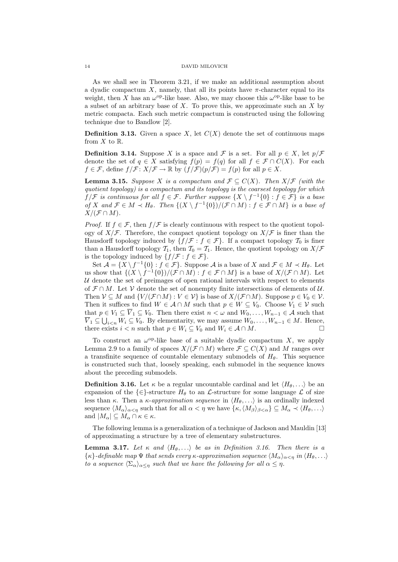As we shall see in Theorem 3.21, if we make an additional assumption about a dyadic compactum X, namely, that all its points have  $\pi$ -character equal to its weight, then X has an  $\omega^{\rm op}$ -like base. Also, we may choose this  $\omega^{\rm op}$ -like base to be a subset of an arbitrary base of  $X$ . To prove this, we approximate such an  $X$  by metric compacta. Each such metric compactum is constructed using the following technique due to Bandlow [2].

**Definition 3.13.** Given a space X, let  $C(X)$  denote the set of continuous maps from  $X$  to  $\mathbb R$ .

**Definition 3.14.** Suppose X is a space and F is a set. For all  $p \in X$ , let  $p/\mathcal{F}$ denote the set of  $q \in X$  satisfying  $f(p) = f(q)$  for all  $f \in \mathcal{F} \cap C(X)$ . For each  $f \in \mathcal{F}$ , define  $f/\mathcal{F} : X/\mathcal{F} \to \mathbb{R}$  by  $(f/\mathcal{F})(p/\mathcal{F}) = f(p)$  for all  $p \in X$ .

**Lemma 3.15.** Suppose X is a compactum and  $\mathcal{F} \subseteq C(X)$ . Then  $X/\mathcal{F}$  (with the quotient topology) is a compactum and its topology is the coarsest topology for which  $f/\mathcal{F}$  is continuous for all  $f \in \mathcal{F}$ . Further suppose  $\{X \setminus f^{-1}\{0\} : f \in \mathcal{F}\}\$ is a base of X and  $\mathcal{F} \in M \prec H_{\theta}$ . Then  $\{(X \setminus f^{-1}\{0\})/(\mathcal{F} \cap M) : f \in \mathcal{F} \cap M\}$  is a base of  $X/({\mathcal F}\cap M)$ .

*Proof.* If  $f \in \mathcal{F}$ , then  $f/\mathcal{F}$  is clearly continuous with respect to the quotient topology of  $X/F$ . Therefore, the compact quotient topology on  $X/F$  is finer than the Hausdorff topology induced by  $\{f/\mathcal{F} : f \in \mathcal{F}\}\$ . If a compact topology  $\mathcal{T}_0$  is finer than a Hausdorff topology  $\mathcal{T}_1$ , then  $\mathcal{T}_0 = \mathcal{T}_1$ . Hence, the quotient topology on  $X/\mathcal{F}$ is the topology induced by  $\{f/\mathcal{F} : f \in \mathcal{F}\}.$ 

Set  $\mathcal{A} = \{X \setminus f^{-1}\{0\} : f \in \mathcal{F}\}\$ . Suppose  $\mathcal{A}$  is a base of X and  $\mathcal{F} \in M \prec H_{\theta}$ . Let us show that  $\{(X \setminus f^{-1}\{0\})/(\mathcal{F} \cap M) : f \in \mathcal{F} \cap M\}$  is a base of  $X/(\mathcal{F} \cap M)$ . Let  $U$  denote the set of preimages of open rational intervals with respect to elements of  $\mathcal{F} \cap M$ . Let V denote the set of nonempty finite intersections of elements of U. Then  $V \subseteq M$  and  $\{V/(\mathcal{F} \cap M) : V \in \mathcal{V}\}\$ is base of  $X/(\mathcal{F} \cap M)$ . Suppose  $p \in V_0 \in \mathcal{V}$ . Then it suffices to find  $W \in \mathcal{A} \cap M$  such that  $p \in W \subseteq V_0$ . Choose  $V_1 \in \mathcal{V}$  such that  $p \in V_1 \subseteq V_1 \subseteq V_0$ . Then there exist  $n < \omega$  and  $W_0, \ldots, W_{n-1} \in \mathcal{A}$  such that  $\overline{V}_1 \subseteq \bigcup_{i \leq n} W_i \subseteq V_0$ . By elementarity, we may assume  $W_0, \ldots, W_{n-1} \in M$ . Hence, there exists  $i < n$  such that  $p \in W_i \subseteq V_0$  and  $W_i \in A \cap M$ .

To construct an  $\omega^{\rm op}$ -like base of a suitable dyadic compactum X, we apply Lemma 2.9 to a family of spaces  $X/(\mathcal{F} \cap M)$  where  $\mathcal{F} \subseteq C(X)$  and M ranges over a transfinite sequence of countable elementary submodels of  $H_{\theta}$ . This sequence is constructed such that, loosely speaking, each submodel in the sequence knows about the preceding submodels.

**Definition 3.16.** Let  $\kappa$  be a regular uncountable cardinal and let  $\langle H_{\theta}, \ldots \rangle$  be an expansion of the  $\{\in\}$ -structure  $H_{\theta}$  to an  $\mathcal{L}$ -structure for some language  $\mathcal{L}$  of size less than κ. Then a κ-approximation sequence in  $\langle H_\theta, \ldots \rangle$  is an ordinally indexed sequence  $\langle M_{\alpha}\rangle_{\alpha<\eta}$  such that for all  $\alpha<\eta$  we have  $\{\kappa,\langle M_{\beta}\rangle_{\beta<\alpha}\}\subseteq M_{\alpha}\prec\langle H_{\theta},\ldots\rangle$ and  $|M_{\alpha}| \subseteq M_{\alpha} \cap \kappa \in \kappa$ .

The following lemma is a generalization of a technique of Jackson and Mauldin [13] of approximating a structure by a tree of elementary substructures.

**Lemma 3.17.** Let  $\kappa$  and  $\langle H_\theta, \ldots \rangle$  be as in Definition 3.16. Then there is a  $\{\kappa\}$ -definable map  $\Psi$  that sends every  $\kappa$ -approximation sequence  $\langle M_{\alpha}\rangle_{\alpha<\eta}$  in  $\langle H_{\theta},\ldots\rangle$ to a sequence  $\langle \Sigma_{\alpha} \rangle_{\alpha \leq \eta}$  such that we have the following for all  $\alpha \leq \eta$ .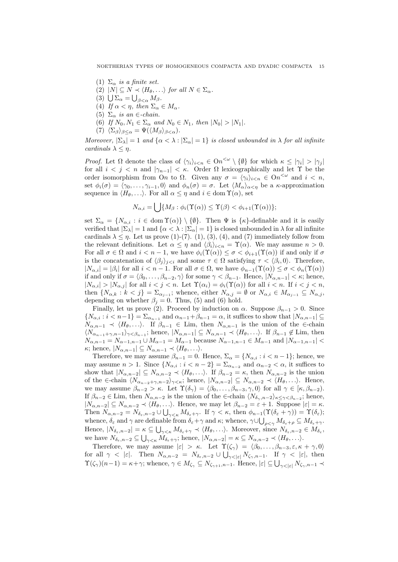- (1)  $\Sigma_{\alpha}$  is a finite set.
- (2)  $|N| \subseteq N \prec \langle H_\theta, \ldots \rangle$  for all  $N \in \Sigma_\alpha$ .
- (3)  $\bigcup \Sigma_{\alpha} = \bigcup_{\beta < \alpha} M_{\beta}.$
- (4) If  $\alpha < \eta$ , then  $\Sigma_{\alpha} \in M_{\alpha}$ .
- (5)  $\Sigma_{\alpha}$  is an ∈-chain.
- (6) If  $N_0, N_1 \in \Sigma_\alpha$  and  $N_0 \in N_1$ , then  $|N_0| > |N_1|$ .
- (7)  $\langle \Sigma_{\beta} \rangle_{\beta < \alpha} = \Psi(\langle M_{\beta} \rangle_{\beta < \alpha}).$

Moreover,  $|\Sigma_{\lambda}| = 1$  and  $\{\alpha < \lambda : |\Sigma_{\alpha}| = 1\}$  is closed unbounded in  $\lambda$  for all infinite cardinals  $\lambda \leq \eta$ .

*Proof.* Let  $\Omega$  denote the class of  $\langle \gamma_i \rangle_{i \leq n} \in \Omega n^{\leq \omega} \setminus \{\emptyset\}$  for which  $\kappa \leq |\gamma_i| > |\gamma_j|$ for all  $i < j < n$  and  $|\gamma_{n-1}| < \kappa$ . Order  $\Omega$  lexicographically and let  $\Upsilon$  be the order isomorphism from On to  $\Omega$ . Given any  $\sigma = \langle \gamma_i \rangle_{i \leq n} \in \Omega n^{\leq \omega}$  and  $i \leq n$ , set  $\phi_i(\sigma) = \langle \gamma_0, \ldots, \gamma_{i-1}, 0 \rangle$  and  $\phi_n(\sigma) = \sigma$ . Let  $\langle M_\alpha \rangle_{\alpha < \eta}$  be a  $\kappa$ -approximation sequence in  $\langle H_\theta, \ldots \rangle$ . For all  $\alpha \leq \eta$  and  $i \in \text{dom } \Upsilon(\alpha)$ , set

$$
N_{\alpha,i} = \bigcup \{ M_{\beta} : \phi_i(\Upsilon(\alpha)) \leq \Upsilon(\beta) < \phi_{i+1}(\Upsilon(\alpha)) \};
$$

set  $\Sigma_{\alpha} = \{N_{\alpha,i} : i \in \text{dom } \Upsilon(\alpha)\}\setminus \{\emptyset\}.$  Then  $\Psi$  is  $\{\kappa\}$ -definable and it is easily verified that  $|\Sigma_{\lambda}| = 1$  and  $\{\alpha < \lambda : |\Sigma_{\alpha}| = 1\}$  is closed unbounded in  $\lambda$  for all infinite cardinals  $\lambda \leq \eta$ . Let us prove (1)-(7). (1), (3), (4), and (7) immediately follow from the relevant definitions. Let  $\alpha \leq \eta$  and  $\langle \beta_i \rangle_{i \leq n} = \Upsilon(\alpha)$ . We may assume  $n > 0$ . For all  $\sigma \in \Omega$  and  $i < n - 1$ , we have  $\phi_i(\Upsilon(\alpha)) \leq \sigma < \phi_{i+1}(\Upsilon(\alpha))$  if and only if  $\sigma$ is the concatenation of  $\langle \beta_j \rangle_{j \leq i}$  and some  $\tau \in \Omega$  satisfying  $\tau \langle \beta_i, 0 \rangle$ . Therefore,  $|N_{\alpha,i}| = |\beta_i|$  for all  $i < n-1$ . For all  $\sigma \in \Omega$ , we have  $\phi_{n-1}(\Upsilon(\alpha)) \leq \sigma < \phi_n(\Upsilon(\alpha))$ if and only if  $\sigma = \langle \beta_0, \ldots, \beta_{n-2}, \gamma \rangle$  for some  $\gamma < \beta_{n-1}$ . Hence,  $|N_{\alpha,n-1}| < \kappa$ ; hence,  $|N_{\alpha,i}|>|N_{\alpha,j}|$  for all  $i < j < n$ . Let  $\Upsilon(\alpha_i) = \phi_i(\Upsilon(\alpha))$  for all  $i < n$ . If  $i < j < n$ , then  $\{N_{\alpha,k}: k < j\} = \sum_{\alpha_{j-1}}$ ; whence, either  $N_{\alpha,j} = \emptyset$  or  $N_{\alpha,i} \in M_{\alpha_{j-1}} \subseteq N_{\alpha,j}$ , depending on whether  $\beta_j = 0$ . Thus, (5) and (6) hold.

Finally, let us prove (2). Proceed by induction on  $\alpha$ . Suppose  $\beta_{n-1} > 0$ . Since  $\{N_{\alpha,i} : i < n-1\} = \sum_{\alpha_{n-1}}$  and  $\alpha_{n-1} + \beta_{n-1} = \alpha$ , it suffices to show that  $|N_{\alpha,n-1}| \subseteq$  $N_{\alpha,n-1} \prec \langle H_\theta, \ldots \rangle$ . If  $\beta_{n-1} \in \text{Lim},$  then  $N_{\alpha,n-1}$  is the union of the  $\in$ -chain  $\langle N_{\alpha_{n-1}+\gamma,n-1}\rangle_{\gamma<\beta_{n-1}}$ ; hence,  $|N_{\alpha,n-1}|\subseteq N_{\alpha,n-1}\prec \langle H_{\theta},\ldots\rangle$ . If  $\beta_{n-1}\notin\mathrm{Lim}$ , then  $N_{\alpha,n-1} = N_{\alpha-1,n-1} \cup M_{\alpha-1} = M_{\alpha-1}$  because  $N_{\alpha-1,n-1} \in M_{\alpha-1}$  and  $|N_{\alpha-1,n-1}| <$  $\kappa$ ; hence,  $|N_{\alpha,n-1}| \subseteq N_{\alpha,n-1} \prec \langle H_\theta, \ldots \rangle$ .

Therefore, we may assume  $\beta_{n-1} = 0$ . Hence,  $\Sigma_{\alpha} = \{N_{\alpha,i} : i < n-1\}$ ; hence, we may assume  $n > 1$ . Since  $\{N_{\alpha,i} : i < n-2\} = \sum_{\alpha_{n-2}}$  and  $\alpha_{n-2} < \alpha$ , it suffices to show that  $|N_{\alpha,n-2}| \subseteq N_{\alpha,n-2} \prec \langle H_\theta, \ldots \rangle$ . If  $\beta_{n-2} = \kappa$ , then  $N_{\alpha,n-2}$  is the union of the ∈-chain  $\langle N_{\alpha_{n-2}+\gamma,n-2}\rangle_{\gamma<\kappa}$ ; hence,  $|N_{\alpha,n-2}| \subseteq N_{\alpha,n-2} \prec \langle H_{\theta}, \ldots \rangle$ . Hence, we may assume  $\beta_{n-2} > \kappa$ . Let  $\Upsilon(\delta_\gamma) = \langle \beta_0, \ldots, \beta_{n-3}, \gamma, 0 \rangle$  for all  $\gamma \in [\kappa, \beta_{n-2})$ . If  $\beta_{n-2} \in \text{Lim}$ , then  $N_{\alpha,n-2}$  is the union of the  $\in$ -chain  $\langle N_{\delta_{\gamma},n-2} \rangle_{\kappa \leq \gamma < \beta_{n-2}}$ ; hence,  $|N_{\alpha,n-2}| \subseteq N_{\alpha,n-2} \prec \langle H_\theta, \ldots \rangle$ . Hence, we may let  $\beta_{n-2} = \varepsilon + 1$ . Suppose  $|\varepsilon| = \kappa$ . Then  $N_{\alpha,n-2} = N_{\delta_{\varepsilon},n-2} \cup \bigcup_{\gamma<\kappa} M_{\delta_{\varepsilon}+\gamma}$ . If  $\gamma<\kappa$ , then  $\phi_{n-1}(\Upsilon(\delta_{\varepsilon}+\gamma))=\Upsilon(\delta_{\varepsilon});$ whence,  $\delta_{\varepsilon}$  and  $\gamma$  are definable from  $\delta_{\varepsilon} + \gamma$  and  $\kappa$ ; whence,  $\gamma \cup \bigcup_{\rho < \gamma} M_{\delta_{\varepsilon} + \rho} \subseteq M_{\delta_{\varepsilon} + \gamma}$ . Hence,  $|N_{\delta_{\varepsilon},n-2}| = \kappa \subseteq \bigcup_{\gamma<\kappa} M_{\delta_{\varepsilon}+\gamma} \prec \langle H_{\theta}, \ldots \rangle$ . Moreover, since  $N_{\delta_{\varepsilon},n-2} \in M_{\delta_{\varepsilon}}$ , we have  $N_{\delta_{\varepsilon},n-2} \subseteq \bigcup_{\gamma<\kappa} M_{\delta_{\varepsilon}+\gamma}$ ; hence,  $|N_{\alpha,n-2}| = \kappa \subseteq N_{\alpha,n-2} \prec \langle H_{\theta}, \ldots \rangle$ .

Therefore, we may assume  $|\varepsilon| > \kappa$ . Let  $\Upsilon(\zeta_\gamma) = \langle \beta_0, \ldots, \beta_{n-3}, \varepsilon, \kappa + \gamma, 0 \rangle$ for all  $\gamma < |\varepsilon|$ . Then  $N_{\alpha,n-2} = N_{\delta_{\varepsilon},n-2} \cup \bigcup_{\gamma < |\varepsilon|} N_{\zeta_{\gamma},n-1}$ . If  $\gamma < |\varepsilon|$ , then  $\Upsilon(\zeta_\gamma)(n-1) = \kappa + \gamma$ ; whence,  $\gamma \in M_{\zeta_\gamma} \subseteq N_{\zeta_{\gamma+1},n-1}$ . Hence,  $|\varepsilon| \subseteq \bigcup_{\gamma < |\varepsilon|} N_{\zeta_\gamma,n-1} \prec$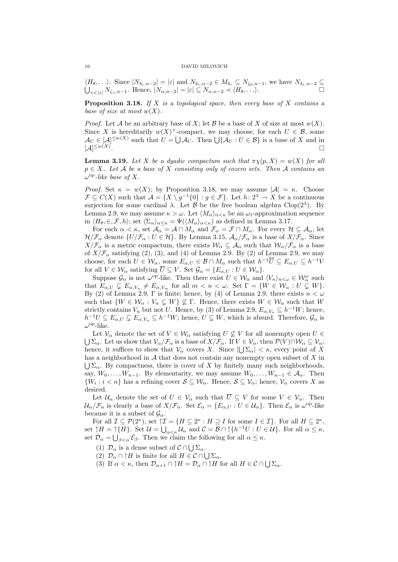$\langle H_\theta, \ldots \rangle$ . Since  $|N_{\delta_{\varepsilon},n-2}| = |\varepsilon|$  and  $N_{\delta_{\varepsilon},n-2} \in M_{\delta_{\varepsilon}} \subseteq N_{\zeta_0,n-1}$ , we have  $N_{\delta_{\varepsilon},n-2} \subseteq$  $\bigcup_{\gamma<|\varepsilon|} N_{\zeta_\gamma,n-1}$ . Hence,  $|N_{\alpha,n-2}| = |\varepsilon| \subseteq N_{\alpha,n-2} \prec \langle H_\theta,\ldots\rangle$ .

**Proposition 3.18.** If  $X$  is a topological space, then every base of  $X$  contains a base of size at most  $w(X)$ .

*Proof.* Let A be an arbitrary base of X; let B be a base of X of size at most  $w(X)$ . Since X is hereditarily  $w(X)^+$ -compact, we may choose, for each  $U \in \mathcal{B}$ , some  $\mathcal{A}_U \in [\mathcal{A}]^{\leq w(X)}$  such that  $U = \bigcup \mathcal{A}_U$ . Then  $\bigcup \{\mathcal{A}_U : U \in \mathcal{B}\}$  is a base of X and in  $\left[\mathcal{A}\right]^{\leq w(X)}$ .

**Lemma 3.19.** Let X be a dyadic compactum such that  $\pi_X(p, X) = w(X)$  for all  $p \in X$ . Let A be a base of X consisting only of cozero sets. Then A contains an  $\omega^{\rm op}\text{-}like$  base of X.

Proof. Set  $\kappa = w(X)$ ; by Proposition 3.18, we may assume  $|\mathcal{A}| = \kappa$ . Choose  $\mathcal{F} \subseteq C(X)$  such that  $\mathcal{A} = \{X \setminus g^{-1}\{0\} : g \in \mathcal{F}\}\$ . Let  $h: 2^{\lambda} \to X$  be a continuous surjection for some cardinal  $\lambda$ . Let  $\beta$  be the free boolean algebra Clop(2<sup> $\lambda$ </sup>). By Lemma 2.9, we may assume  $\kappa > \omega$ . Let  $\langle M_{\alpha}\rangle_{\alpha<\kappa}$  be an  $\omega_1$ -approximation sequence in  $\langle H_\theta, \in, \mathcal{F}, h \rangle$ ; set  $\langle \Sigma_\alpha \rangle_{\alpha \leq \kappa} = \Psi(\langle M_\alpha \rangle_{\alpha \leq \kappa})$  as defined in Lemma 3.17.

For each  $\alpha < \kappa$ , set  $\mathcal{A}_{\alpha} = \mathcal{A} \cap M_{\alpha}$  and  $\mathcal{F}_{\alpha} = \mathcal{F} \cap M_{\alpha}$ . For every  $\mathcal{H} \subseteq \mathcal{A}_{\alpha}$ , let  $\mathcal{H}/\mathcal{F}_{\alpha}$  denote  $\{U/\mathcal{F}_{\alpha}: U \in \mathcal{H}\}\$ . By Lemma 3.15,  $\mathcal{A}_{\alpha}/\mathcal{F}_{\alpha}$  is a base of  $X/\mathcal{F}_{\alpha}$ . Since  $X/\mathcal{F}_{\alpha}$  is a metric compactum, there exists  $\mathcal{W}_{\alpha} \subseteq \mathcal{A}_{\alpha}$  such that  $\mathcal{W}_{\alpha}/\mathcal{F}_{\alpha}$  is a base of  $X/\mathcal{F}_{\alpha}$  satisfying (2), (3), and (4) of Lemma 2.9. By (2) of Lemma 2.9, we may choose, for each  $U \in \mathcal{W}_{\alpha}$ , some  $E_{\alpha,U} \in \mathcal{B} \cap M_{\alpha}$  such that  $h^{-1}\overline{U} \subseteq E_{\alpha,U} \subseteq h^{-1}V$ for all  $V \in \mathcal{W}_{\alpha}$  satisfying  $\overline{U} \subseteq V$ . Set  $\mathcal{G}_{\alpha} = \{E_{\alpha,U} : U \in \mathcal{W}_{\alpha}\}.$ 

Suppose  $\mathcal{G}_{\alpha}$  is not  $\omega^{\text{op}}$ -like. Then there exist  $U \in \mathcal{W}_{\alpha}$  and  $\langle V_n \rangle_{n \langle \omega} \in \mathcal{W}_{\alpha}^{\omega}$  such that  $E_{\alpha,U} \subsetneq E_{\alpha,V_n} \neq E_{\alpha,V_m}$  for all  $m < n < \omega$ . Set  $\Gamma = \{W \in \mathcal{W}_{\alpha} : U \subsetneq W\}.$ By (2) of Lemma 2.9,  $\Gamma$  is finite; hence, by (4) of Lemma 2.9, there exists  $n < \omega$ such that  $\{W \in \mathcal{W}_\alpha : V_n \subsetneq W\} \nsubseteq \Gamma$ . Hence, there exists  $W \in \mathcal{W}_\alpha$  such that W strictly contains  $V_n$  but not U. Hence, by (3) of Lemma 2.9,  $E_{\alpha,V_n} \subseteq h^{-1}W$ ; hence,  $h^{-1}U \subseteq E_{\alpha,U} \subsetneq E_{\alpha,V_n} \subseteq h^{-1}W$ ; hence,  $U \subsetneq W$ , which is absurd. Therefore,  $\mathcal{G}_{\alpha}$  is  $\omega^{\rm op}\text{-like}.$ 

Let  $\mathcal{V}_{\alpha}$  denote the set of  $V \in \mathcal{W}_{\alpha}$  satisfying  $U \nsubseteq V$  for all nonempty open  $U \in$  $\bigcup \Sigma_{\alpha}$ . Let us show that  $\mathcal{V}_{\alpha}/\mathcal{F}_{\alpha}$  is a base of  $X/\mathcal{F}_{\alpha}$ . If  $V \in \mathcal{V}_{\alpha}$ , then  $\mathcal{P}(V) \cap \mathcal{W}_{\alpha} \subseteq \mathcal{V}_{\alpha}$ ; hence, it suffices to show that  $\mathcal{V}_{\alpha}$  covers X. Since  $|\bigcup \Sigma_{\alpha}| < \kappa$ , every point of X has a neighborhood in  $A$  that does not contain any nonempty open subset of  $X$  in  $\bigcup \Sigma_{\alpha}$ . By compactness, there is cover of X by finitely many such neighborhoods, say,  $W_0, \ldots, W_{n-1}$ . By elementarity, we may assume  $W_0, \ldots, W_{n-1} \in \mathcal{A}_{\alpha}$ . Then  $\{W_i : i < n\}$  has a refining cover  $S \subseteq W_\alpha$ . Hence,  $S \subseteq V_\alpha$ ; hence,  $V_\alpha$  covers X as desired.

Let  $\mathcal{U}_{\alpha}$  denote the set of  $U \in \mathcal{V}_{\alpha}$  such that  $\overline{U} \subseteq V$  for some  $V \in \mathcal{V}_{\alpha}$ . Then  $\mathcal{U}_{\alpha}/\mathcal{F}_{\alpha}$  is clearly a base of  $X/\mathcal{F}_{\alpha}$ . Set  $\mathcal{E}_{\alpha} = \{E_{\alpha,U} : U \in \mathcal{U}_{\alpha}\}\$ . Then  $\mathcal{E}_{\alpha}$  is  $\omega^{\text{op-like}}$ because it is a subset of  $\mathcal{G}_{\alpha}$ .

For all  $\mathcal{I} \subseteq \mathcal{P}(2^{\kappa})$ , set  $\mathcal{I} = \{H \subseteq 2^{\kappa} : H \supseteq I \text{ for some } I \in \mathcal{I}\}\.$  For all  $H \subseteq 2^{\kappa}$ , set  $\uparrow H = \uparrow \{H\}$ . Set  $\mathcal{U} = \bigcup_{\alpha < \kappa} \mathcal{U}_{\alpha}$  and  $\mathcal{C} = \mathcal{B} \cap \uparrow \{h^{-1}U : U \in \mathcal{U}\}$ . For all  $\alpha \leq \kappa$ , set  $\mathcal{D}_{\alpha} = \bigcup_{\beta < \alpha} \mathcal{E}_{\beta}$ . Then we claim the following for all  $\alpha \leq \kappa$ .

- (1)  $\mathcal{D}_{\alpha}$  is a dense subset of  $\mathcal{C} \cap \bigcup \Sigma_{\alpha}$ .
- (2)  $\mathcal{D}_{\alpha} \cap \uparrow H$  is finite for all  $H \in \mathcal{C} \cap \bigcup \Sigma_{\alpha}$ .
- (3) If  $\alpha < \kappa$ , then  $\mathcal{D}_{\alpha+1} \cap \uparrow H = \mathcal{D}_{\alpha} \cap \uparrow H$  for all  $H \in \mathcal{C} \cap \bigcup \Sigma_{\alpha}$ .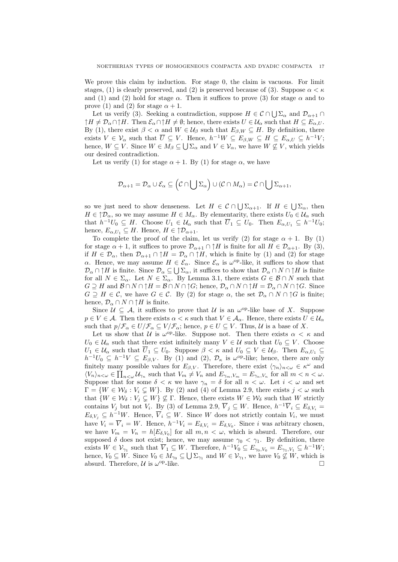We prove this claim by induction. For stage 0, the claim is vacuous. For limit stages, (1) is clearly preserved, and (2) is preserved because of (3). Suppose  $\alpha < \kappa$ and (1) and (2) hold for stage  $\alpha$ . Then it suffices to prove (3) for stage  $\alpha$  and to prove (1) and (2) for stage  $\alpha + 1$ .

Let us verify (3). Seeking a contradiction, suppose  $H \in \mathcal{C} \cap \bigcup \Sigma_{\alpha}$  and  $\mathcal{D}_{\alpha+1} \cap$  $\uparrow H \neq \mathcal{D}_{\alpha} \cap \uparrow H$ . Then  $\mathcal{E}_{\alpha} \cap \uparrow H \neq \emptyset$ ; hence, there exists  $U \in \mathcal{U}_{\alpha}$  such that  $H \subseteq E_{\alpha,U}$ . By (1), there exist  $\beta < \alpha$  and  $W \in \mathcal{U}_{\beta}$  such that  $E_{\beta,W} \subseteq H$ . By definition, there exists  $V \in \mathcal{V}_{\alpha}$  such that  $\overline{U} \subseteq V$ . Hence,  $h^{-1}W \subseteq E_{\beta,W} \subseteq H \subseteq E_{\alpha,U} \subseteq h^{-1}V$ ; hence,  $W \subseteq V$ . Since  $W \in M_\beta \subseteq \bigcup \Sigma_\alpha$  and  $V \in \mathcal{V}_\alpha$ , we have  $W \nsubseteq V$ , which yields our desired contradiction.

Let us verify (1) for stage  $\alpha + 1$ . By (1) for stage  $\alpha$ , we have

$$
\mathcal{D}_{\alpha+1} = \mathcal{D}_{\alpha} \cup \mathcal{E}_{\alpha} \subseteq (\mathcal{C} \cap \bigcup \Sigma_{\alpha}) \cup (\mathcal{C} \cap M_{\alpha}) = \mathcal{C} \cap \bigcup \Sigma_{\alpha+1},
$$

so we just need to show denseness. Let  $H \in \mathcal{C} \cap \bigcup \Sigma_{\alpha+1}$ . If  $H \in \bigcup \Sigma_{\alpha}$ , then  $H \in \mathcal{D}_{\alpha}$ , so we may assume  $H \in M_{\alpha}$ . By elementarity, there exists  $U_0 \in \mathcal{U}_{\alpha}$  such that  $h^{-1}U_0 \subseteq H$ . Choose  $U_1 \in \mathcal{U}_{\alpha}$  such that  $\overline{U}_1 \subseteq U_0$ . Then  $E_{\alpha,U_1} \subseteq h^{-1}U_0$ ; hence,  $E_{\alpha,U_1} \subseteq H$ . Hence,  $H \in \uparrow \mathcal{D}_{\alpha+1}$ .

To complete the proof of the claim, let us verify (2) for stage  $\alpha + 1$ . By (1) for stage  $\alpha + 1$ , it suffices to prove  $\mathcal{D}_{\alpha+1} \cap \uparrow H$  is finite for all  $H \in \mathcal{D}_{\alpha+1}$ . By (3), if  $H \in \mathcal{D}_{\alpha}$ , then  $\mathcal{D}_{\alpha+1} \cap \uparrow H = \mathcal{D}_{\alpha} \cap \uparrow H$ , which is finite by (1) and (2) for stage α. Hence, we may assume  $H \in \mathcal{E}_{\alpha}$ . Since  $\mathcal{E}_{\alpha}$  is  $\omega^{\text{op-like}}$ , it suffices to show that  $\mathcal{D}_\alpha \cap \uparrow H$  is finite. Since  $\mathcal{D}_\alpha \subseteq \bigcup \Sigma_\alpha$ , it suffices to show that  $\mathcal{D}_\alpha \cap N \cap \uparrow H$  is finite for all  $N \in \Sigma_{\alpha}$ . Let  $N \in \Sigma_{\alpha}$ . By Lemma 3.1, there exists  $G \in \mathcal{B} \cap N$  such that  $G \supseteq H$  and  $\mathcal{B} \cap N \cap \uparrow H = \mathcal{B} \cap N \cap \uparrow G$ ; hence,  $\mathcal{D}_{\alpha} \cap N \cap \uparrow H = \mathcal{D}_{\alpha} \cap N \cap \uparrow G$ . Since  $G \supseteq H \in \mathcal{C}$ , we have  $G \in \mathcal{C}$ . By (2) for stage  $\alpha$ , the set  $\mathcal{D}_{\alpha} \cap N \cap \mathcal{C}$  is finite; hence,  $\mathcal{D}_{\alpha} \cap N \cap \uparrow H$  is finite.

Since  $\mathcal{U} \subseteq \mathcal{A}$ , it suffices to prove that  $\mathcal{U}$  is an  $\omega^{\mathrm{op}}$ -like base of X. Suppose  $p \in V \in \mathcal{A}$ . Then there exists  $\alpha < \kappa$  such that  $V \in \mathcal{A}_{\alpha}$ . Hence, there exists  $U \in \mathcal{U}_{\alpha}$ such that  $p/\mathcal{F}_{\alpha} \in U/\mathcal{F}_{\alpha} \subseteq V/\mathcal{F}_{\alpha}$ ; hence,  $p \in U \subseteq V$ . Thus, U is a base of X.

Let us show that U is  $\omega^{\rm op}$ -like. Suppose not. Then there exists  $\alpha < \kappa$  and  $U_0 \in \mathcal{U}_\alpha$  such that there exist infinitely many  $V \in \mathcal{U}$  such that  $U_0 \subseteq V$ . Choose  $U_1 \in \mathcal{U}_{\alpha}$  such that  $\overline{U}_1 \subseteq U_0$ . Suppose  $\beta < \kappa$  and  $U_0 \subseteq V \in \mathcal{U}_{\beta}$ . Then  $E_{\alpha,U_1} \subseteq$  $h^{-1}U_0 \subseteq h^{-1}V \subseteq E_{\beta,V}$ . By (1) and (2),  $\mathcal{D}_{\kappa}$  is  $\omega^{\text{op-like}}$ ; hence, there are only finitely many possible values for  $E_{\beta,V}$ . Therefore, there exist  $\langle \gamma_n \rangle_{n \langle \omega} \in \kappa^{\omega}$  and  $\langle V_n \rangle_{n \leq \omega} \in \prod_{n \leq \omega} \mathcal{U}_{\gamma_n}$  such that  $V_m \neq V_n$  and  $E_{\gamma_m, V_m} = E_{\gamma_n, V_n}$  for all  $m < n < \omega$ . Suppose that for some  $\delta < \kappa$  we have  $\gamma_n = \delta$  for all  $n < \omega$ . Let  $i < \omega$  and set  $\Gamma = \{W \in \mathcal{W}_{\delta} : V_i \subsetneq W\}$ . By (2) and (4) of Lemma 2.9, there exists  $j < \omega$  such that  $\{W \in \mathcal{W}_\delta : V_j \subsetneq W\} \nsubseteq \Gamma$ . Hence, there exists  $W \in \mathcal{W}_\delta$  such that W strictly contains  $V_j$  but not  $V_i$ . By (3) of Lemma 2.9,  $\overline{V}_j \subseteq W$ . Hence,  $h^{-1}\overline{V}_i \subseteq E_{\delta,V_i}$  $E_{\delta,V_j} \subseteq h^{-1}W$ . Hence,  $\overline{V}_i \subseteq W$ . Since W does not strictly contain  $V_i$ , we must have  $V_i = \overline{V}_i = W$ . Hence,  $h^{-1}V_i = E_{\delta,V_i} = E_{\delta,V_0}$ . Since i was arbitrary chosen, we have  $V_m = V_n = h[E_{\delta, V_0}]$  for all  $m, n < \omega$ , which is absurd. Therefore, our supposed  $\delta$  does not exist; hence, we may assume  $\gamma_0 < \gamma_1$ . By definition, there exists  $W \in \mathcal{V}_{\gamma_1}$  such that  $\overline{V}_1 \subseteq W$ . Therefore,  $h^{-1}V_0 \subseteq E_{\gamma_0, V_0} = E_{\gamma_1, V_1} \subseteq h^{-1}W$ ; hence,  $V_0 \subseteq W$ . Since  $V_0 \in M_{\gamma_0} \subseteq \bigcup \Sigma_{\gamma_1}$  and  $W \in \mathcal{V}_{\gamma_1}$ , we have  $V_0 \nsubseteq W$ , which is absurd. Therefore,  $U$  is  $\omega^{\rm op}$ -like.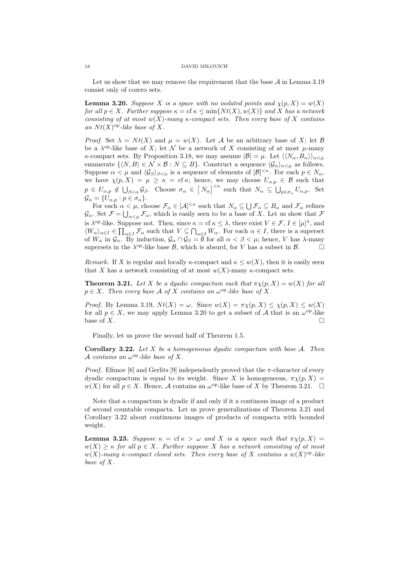Let us show that we may remove the requirement that the base  $A$  in Lemma 3.19 consist only of cozero sets.

**Lemma 3.20.** Suppose X is a space with no isolated points and  $\chi(p, X) = w(X)$ for all  $p \in X$ . Further suppose  $\kappa = \text{cf } \kappa \le \min\{Nt(X), w(X)\}\)$  and X has a network consisting of at most  $w(X)$ -many  $\kappa$ -compact sets. Then every base of X contains an  $Nt(X)$ <sup>op</sup>-like base of X.

*Proof.* Set  $\lambda = Nt(X)$  and  $\mu = w(X)$ . Let A be an arbitrary base of X; let B be a  $\lambda^{op}$ -like base of X; let N be a network of X consisting of at most  $\mu$ -many κ-compact sets. By Proposition 3.18, we may assume  $|\mathcal{B}| = \mu$ . Let  $\langle \langle N_{\alpha}, B_{\alpha} \rangle \rangle_{\alpha \leq \mu}$ enumerate  $\{ \langle N, B \rangle \in \mathcal{N} \times \mathcal{B} : N \subseteq B \}$ . Construct a sequence  $\langle \mathcal{G}_{\alpha} \rangle_{\alpha \leq \mu}$  as follows. Suppose  $\alpha < \mu$  and  $\langle \mathcal{G}_{\beta} \rangle_{\beta < \alpha}$  is a sequence of elements of  $[\mathcal{B}]^{<\kappa}$ . For each  $p \in N_{\alpha}$ , we have  $\chi(p, X) = \mu \geq \kappa = \text{cf } \kappa$ ; hence, we may choose  $U_{\alpha, p} \in \mathcal{B}$  such that  $p \in U_{\alpha,p} \notin \bigcup_{\beta<\alpha} \mathcal{G}_{\beta}$ . Choose  $\sigma_{\alpha} \in [N_{\alpha}]^{<\kappa}$  such that  $N_{\alpha} \subseteq \bigcup_{p \in \sigma_{\alpha}} U_{\alpha,p}$ . Set  $\mathcal{G}_\alpha = \{U_{\alpha,p}: p \in \sigma_\alpha\}.$ 

For each  $\alpha < \mu$ , choose  $\mathcal{F}_{\alpha} \in [\mathcal{A}]^{<\kappa}$  such that  $N_{\alpha} \subseteq \bigcup \mathcal{F}_{\alpha} \subseteq B_{\alpha}$  and  $\mathcal{F}_{\alpha}$  refines  $\mathcal{G}_{\alpha}$ . Set  $\mathcal{F} = \bigcup_{\alpha \leq \mu} \mathcal{F}_{\alpha}$ , which is easily seen to be a base of X. Let us show that  $\mathcal{F}$ is  $\lambda^{\text{op}}$ -like. Suppose not. Then, since  $\kappa = \text{cf } \kappa \leq \lambda$ , there exist  $V \in \mathcal{F}, I \in [\mu]^{\lambda}$ , and  $\langle W_{\alpha}\rangle_{\alpha\in I}\in\prod_{\alpha\in I}\mathcal{F}_{\alpha}$  such that  $V\subseteq\bigcap_{\alpha\in I}W_{\alpha}$ . For each  $\alpha\in I$ , there is a superset of  $W_{\alpha}$  in  $\mathcal{G}_{\alpha}$ . By induction,  $\mathcal{G}_{\alpha} \cap \mathcal{G}_{\beta} = \emptyset$  for all  $\alpha < \beta < \mu$ ; hence, V has  $\lambda$ -many supersets in the  $\lambda^{\text{op}}$ -like base  $\beta$ , which is absurd, for V has a subset in  $\beta$ .

Remark. If X is regular and locally  $\kappa$ -compact and  $\kappa \leq w(X)$ , then it is easily seen that X has a network consisting of at most  $w(X)$ -many  $\kappa$ -compact sets.

**Theorem 3.21.** Let X be a dyadic compactum such that  $\pi \chi(p, X) = w(X)$  for all  $p \in X$ . Then every base A of X contains an  $\omega^{\rm op}$ -like base of X.

Proof. By Lemma 3.19,  $Nt(X) = \omega$ . Since  $w(X) = \pi \chi(p, X) \leq \chi(p, X) \leq w(X)$ for all  $p \in X$ , we may apply Lemma 3.20 to get a subset of A that is an  $\omega^{\text{op-like}}$ base of  $X$ .

Finally, let us prove the second half of Theorem 1.5.

**Corollary 3.22.** Let  $X$  be a homogeneous dyadic compactum with base  $A$ . Then A contains an  $\omega^{\rm op}-like$  base of X.

*Proof.* Efimov [6] and Gerlits [9] independently proved that the  $\pi$ -character of every dyadic compactum is equal to its weight. Since X is homogeneous,  $\pi_Y(p, X) =$  $w(X)$  for all  $p \in X$ . Hence, A contains an  $\omega^{\text{op}}$ -like base of X by Theorem 3.21.  $\square$ 

Note that a compactum is dyadic if and only if it a continous image of a product of second countable compacta. Let us prove generalizations of Theorem 3.21 and Corollary 3.22 about continuous images of products of compacta with bounded weight.

**Lemma 3.23.** Suppose  $\kappa = \text{cf } \kappa > \omega$  and X is a space such that  $\pi_X(p, X) =$  $w(X) \geq \kappa$  for all  $p \in X$ . Further suppose X has a network consisting of at most  $w(X)$ -many  $\kappa$ -compact closed sets. Then every base of X contains a  $w(X)$ <sup>op</sup>-like base of X.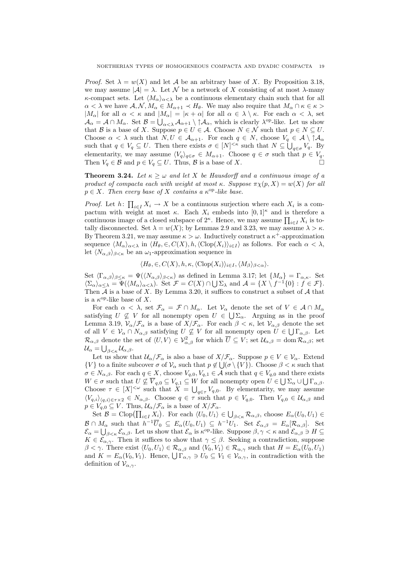*Proof.* Set  $\lambda = w(X)$  and let A be an arbitrary base of X. By Proposition 3.18, we may assume  $|\mathcal{A}| = \lambda$ . Let N be a network of X consisting of at most  $\lambda$ -many κ-compact sets. Let  $\langle M_{\alpha}\rangle_{\alpha<\lambda}$  be a continuous elementary chain such that for all  $\alpha < \lambda$  we have  $\mathcal{A}, \mathcal{N}, M_{\alpha} \in M_{\alpha+1} \prec H_{\theta}$ . We may also require that  $M_{\alpha} \cap \kappa \in \kappa >$  $|M_{\alpha}|$  for all  $\alpha < \kappa$  and  $|M_{\alpha}| = |\kappa + \alpha|$  for all  $\alpha \in \lambda \setminus \kappa$ . For each  $\alpha < \lambda$ , set  $\mathcal{A}_{\alpha} = \mathcal{A} \cap M_{\alpha}$ . Set  $\mathcal{B} = \bigcup_{\alpha < \lambda} \mathcal{A}_{\alpha+1} \setminus \uparrow \mathcal{A}_{\alpha}$ , which is clearly  $\lambda^{\text{op}}$ -like. Let us show that B is a base of X. Suppose  $p \in U \in \mathcal{A}$ . Choose  $N \in \mathcal{N}$  such that  $p \in N \subseteq U$ . Choose  $\alpha < \lambda$  such that  $N, U \in \mathcal{A}_{\alpha+1}$ . For each  $q \in N$ , choose  $V_q \in \mathcal{A} \setminus \uparrow \mathcal{A}_{\alpha}$ such that  $q \in V_q \subseteq U$ . Then there exists  $\sigma \in [N]^{<\kappa}$  such that  $N \subseteq \bigcup_{q \in \sigma} V_q$ . By elementarity, we may assume  $\langle V_q \rangle_{q \in \sigma} \in M_{\alpha+1}$ . Choose  $q \in \sigma$  such that  $p \in V_q$ . Then  $V_q \in \mathcal{B}$  and  $p \in V_q \subseteq U$ . Thus,  $\mathcal{B}$  is a base of X.

**Theorem 3.24.** Let  $\kappa > \omega$  and let X be Hausdorff and a continuous image of a product of compacta each with weight at most κ. Suppose  $\pi \chi(p, X) = w(X)$  for all  $p \in X$ . Then every base of X contains a  $\kappa^{\rm op}$ -like base.

*Proof.* Let  $h: \prod_{i \in I} X_i \to X$  be a continuous surjection where each  $X_i$  is a compactum with weight at most  $\kappa$ . Each  $X_i$  embeds into  $[0,1]^{\kappa}$  and is therefore a continuous image of a closed subspace of  $2^{\kappa}$ . Hence, we may assume  $\prod_{i\in I} X_i$  is totally disconnected. Set  $\lambda = w(X)$ ; by Lemmas 2.9 and 3.23, we may assume  $\lambda > \kappa$ . By Theorem 3.21, we may assume  $\kappa > \omega$ . Inductively construct a  $\kappa^+$ -approximation sequence  $\langle M_{\alpha}\rangle_{\alpha<\lambda}$  in  $\langle H_{\theta},\in, C(X), h, \langle \text{Clop}(X_i)\rangle_{i\in I}$  as follows. For each  $\alpha<\lambda$ , let  $\langle N_{\alpha,\beta}\rangle_{\beta<\kappa}$  be an  $\omega_1$ -approximation sequence in

 $\langle H_\theta, \in, C(X), h, \kappa, \langle \text{Clop}(X_i) \rangle_{i \in I}, \langle M_\beta \rangle_{\beta < \alpha} \rangle.$ 

Set  $\langle \Gamma_{\alpha,\beta}\rangle_{\beta\leq\kappa} = \Psi(\langle N_{\alpha,\beta}\rangle_{\beta<\kappa})$  as defined in Lemma 3.17; let  $\{M_{\alpha}\} = \Gamma_{\alpha,\kappa}$ . Set  $\langle \Sigma_{\alpha} \rangle_{\alpha \leq \lambda} = \overline{\Psi}(\langle M_{\alpha} \rangle_{\alpha \leq \lambda}).$  Set  $\mathcal{F} = C(X) \cap \bigcup \Sigma_{\lambda}$  and  $\mathcal{A} = \{X \setminus f^{-1}\{0\} : f \in \mathcal{F}\}.$ Then  $A$  is a base of X. By Lemma 3.20, it suffices to construct a subset of  $A$  that is a  $\kappa^{\text{op}}$ -like base of X.

For each  $\alpha < \lambda$ , set  $\mathcal{F}_{\alpha} = \mathcal{F} \cap M_{\alpha}$ . Let  $\mathcal{V}_{\alpha}$  denote the set of  $V \in \mathcal{A} \cap M_{\alpha}$ satisfying  $U \nsubseteq V$  for all nonempty open  $U \in \bigcup \Sigma_{\alpha}$ . Arguing as in the proof Lemma 3.19,  $\mathcal{V}_{\alpha}/\mathcal{F}_{\alpha}$  is a base of  $X/\mathcal{F}_{\alpha}$ . For each  $\beta < \kappa$ , let  $\mathcal{V}_{\alpha,\beta}$  denote the set of all  $V \in \mathcal{V}_{\alpha} \cap N_{\alpha,\beta}$  satisfying  $U \nsubseteq V$  for all nonempty open  $U \in \bigcup \Gamma_{\alpha,\beta}$ . Let  $\mathcal{R}_{\alpha,\beta}$  denote the set of  $\langle U,V\rangle\in\mathcal{V}^2_{\alpha,\beta}$  for which  $\overline{U}\subseteq V;$  set  $\mathcal{U}_{\alpha,\beta}=\mathrm{dom}\,\mathcal{R}_{\alpha,\beta};$  set  $\mathcal{U}_{\alpha} = \bigcup_{\beta<\kappa} \mathcal{U}_{\alpha,\beta}.$ 

Let us show that  $\mathcal{U}_{\alpha}/\mathcal{F}_{\alpha}$  is also a base of  $X/\mathcal{F}_{\alpha}$ . Suppose  $p \in V \in \mathcal{V}_{\alpha}$ . Extend  $\{V\}$  to a finite subcover  $\sigma$  of  $\mathcal{V}_{\alpha}$  such that  $p \notin \bigcup_{\sigma \setminus \{V\}} \sigma$ . Choose  $\beta < \kappa$  such that  $\sigma \in N_{\alpha,\beta}$ . For each  $q \in X$ , choose  $V_{q,0}, V_{q,1} \in \mathcal{A}$  such that  $q \in V_{q,0}$  and there exists  $W \in \sigma$  such that  $U \nsubseteq \overline{V}_{q,0} \subseteq V_{q,1} \subseteq W$  for all nonempty open  $U \in \bigcup \Sigma_{\alpha} \cup \bigcup \Gamma_{\alpha,\beta}$ . Choose  $\tau \in [X]^{<\omega}$  such that  $\bar{X} = \bigcup_{q \in \tau} V_{q,0}$ . By elementarity, we may assume  $\langle V_{q,i}\rangle_{\langle q,i\rangle\in\tau\times2}\in N_{\alpha,\beta}$ . Choose  $q\in\tau$  such that  $p\in V_{q,0}$ . Then  $V_{q,0}\in\mathcal{U}_{\alpha,\beta}$  and  $p \in V_{q,0} \subseteq V$ . Thus,  $\mathcal{U}_{\alpha}/\mathcal{F}_{\alpha}$  is a base of  $X/\mathcal{F}_{\alpha}$ .

Set  $\mathcal{B} = \text{Clop}(\prod_{i \in I} X_i)$ . For each  $\langle U_0, U_1 \rangle \in \bigcup_{\beta < \kappa} \mathcal{R}_{\alpha,\beta}$ , choose  $E_\alpha(U_0, U_1) \in$  $\mathcal{B} \cap M_{\alpha}$  such that  $h^{-1}\overline{U}_0 \subseteq E_{\alpha}(U_0, U_1) \subseteq h^{-1}U_1$ . Set  $\mathcal{E}_{\alpha,\beta} = E_{\alpha}[\mathcal{R}_{\alpha,\beta}]$ . Set  $\mathcal{E}_{\alpha} = \bigcup_{\beta < \kappa} \mathcal{E}_{\alpha,\beta}$ . Let us show that  $\mathcal{E}_{\alpha}$  is  $\kappa^{\text{op-like}}$ . Suppose  $\beta, \gamma < \kappa$  and  $\mathcal{E}_{\alpha,\beta} \ni H \subseteq$  $K \in \mathcal{E}_{\alpha,\gamma}$ . Then it suffices to show that  $\gamma \leq \beta$ . Seeking a contradiction, suppose  $\beta < \gamma$ . There exist  $\langle U_0, U_1 \rangle \in \mathcal{R}_{\alpha,\beta}$  and  $\langle V_0, V_1 \rangle \in \mathcal{R}_{\alpha,\gamma}$  such that  $H = E_{\alpha}(U_0, U_1)$ and  $K = E_{\alpha}(V_0, V_1)$ . Hence,  $\bigcup \Gamma_{\alpha,\gamma} \ni U_0 \subseteq V_1 \in V_{\alpha,\gamma}$ , in contradiction with the definition of  $\mathcal{V}_{\alpha,\gamma}$ .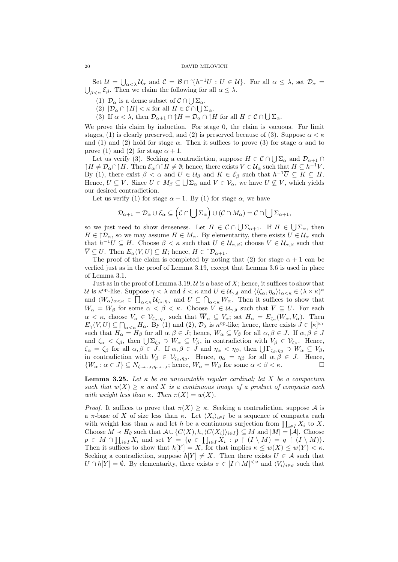Set  $\mathcal{U} = \bigcup_{\alpha < \lambda} \mathcal{U}_{\alpha}$  and  $\mathcal{C} = \mathcal{B} \cap \{h^{-1}U : U \in \mathcal{U}\}\$ . For all  $\alpha \leq \lambda$ , set  $\mathcal{D}_{\alpha} =$  $\bigcup_{\beta<\alpha}\mathcal{E}_{\beta}$ . Then we claim the following for all  $\alpha\leq\lambda$ .

- (1)  $\mathcal{D}_{\alpha}$  is a dense subset of  $\mathcal{C} \cap \bigcup \Sigma_{\alpha}$ .
- (2)  $|\mathcal{D}_{\alpha} \cap \uparrow H| < \kappa$  for all  $H \in \mathcal{C} \cap \bigcup \Sigma_{\alpha}$ .
- (3) If  $\alpha < \lambda$ , then  $\mathcal{D}_{\alpha+1} \cap \uparrow H = \mathcal{D}_{\alpha} \cap \uparrow H$  for all  $H \in \mathcal{C} \cap \bigcup \Sigma_{\alpha}$ .

We prove this claim by induction. For stage 0, the claim is vacuous. For limit stages, (1) is clearly preserved, and (2) is preserved because of (3). Suppose  $\alpha < \kappa$ and (1) and (2) hold for stage  $\alpha$ . Then it suffices to prove (3) for stage  $\alpha$  and to prove (1) and (2) for stage  $\alpha + 1$ .

Let us verify (3). Seeking a contradiction, suppose  $H \in \mathcal{C} \cap \bigcup \Sigma_{\alpha}$  and  $\mathcal{D}_{\alpha+1} \cap$  $\uparrow H \neq \mathcal{D}_{\alpha} \cap \uparrow H$ . Then  $\mathcal{E}_{\alpha} \cap \uparrow H \neq \emptyset$ ; hence, there exists  $V \in \mathcal{U}_{\alpha}$  such that  $H \subseteq h^{-1}V$ . By (1), there exist  $\beta < \alpha$  and  $U \in \mathcal{U}_{\beta}$  and  $K \in \mathcal{E}_{\beta}$  such that  $h^{-1}\overline{U} \subseteq K \subseteq H$ . Hence,  $U \subseteq V$ . Since  $U \in M_\beta \subseteq \bigcup \Sigma_\alpha$  and  $V \in \mathcal{V}_\alpha$ , we have  $U \nsubseteq V$ , which yields our desired contradiction.

Let us verify (1) for stage  $\alpha + 1$ . By (1) for stage  $\alpha$ , we have

$$
\mathcal{D}_{\alpha+1} = \mathcal{D}_{\alpha} \cup \mathcal{E}_{\alpha} \subseteq (\mathcal{C} \cap \bigcup \Sigma_{\alpha}) \cup (\mathcal{C} \cap M_{\alpha}) = \mathcal{C} \cap \bigcup \Sigma_{\alpha+1},
$$

so we just need to show denseness. Let  $H \in \mathcal{C} \cap \bigcup \Sigma_{\alpha+1}$ . If  $H \in \bigcup \Sigma_{\alpha}$ , then  $H \in \mathcal{D}_{\alpha}$ , so we may assume  $H \in M_{\alpha}$ . By elementarity, there exists  $U \in \mathcal{U}_{\alpha}$  such that  $h^{-1}U \subseteq H$ . Choose  $\beta < \kappa$  such that  $U \in \mathcal{U}_{\alpha,\beta}$ ; choose  $V \in \mathcal{U}_{\alpha,\beta}$  such that  $\overline{V} \subseteq U$ . Then  $E_{\alpha}(V, U) \subseteq H$ ; hence,  $H \in \mathcal{D}_{\alpha+1}$ .

The proof of the claim is completed by noting that (2) for stage  $\alpha + 1$  can be verfied just as in the proof of Lemma 3.19, except that Lemma 3.6 is used in place of Lemma 3.1.

Just as in the proof of Lemma 3.19,  $\mathcal U$  is a base of X; hence, it suffices to show that U is  $\kappa^{\text{op}}$ -like. Suppose  $\gamma < \lambda$  and  $\delta < \kappa$  and  $U \in \mathcal{U}_{\gamma,\delta}$  and  $\langle\langle \zeta_\alpha, \eta_\alpha \rangle\rangle_{\alpha < \kappa} \in (\lambda \times \kappa)^\kappa$ and  $\langle W_{\alpha}\rangle_{\alpha<\kappa} \in \prod_{\alpha<\kappa} \mathcal{U}_{\zeta_{\alpha},\eta_{\alpha}}$  and  $U \subseteq \bigcap_{\alpha<\kappa} W_{\alpha}$ . Then it suffices to show that  $W_{\alpha} = W_{\beta}$  for some  $\alpha < \beta < \kappa$ . Choose  $V \in \mathcal{U}_{\gamma,\delta}$  such that  $\overline{V} \subseteq U$ . For each  $\alpha < \kappa$ , choose  $V_{\alpha} \in \mathcal{V}_{\zeta_{\alpha},\eta_{\alpha}}$  such that  $\overline{W}_{\alpha} \subseteq V_{\alpha}$ ; set  $H_{\alpha} = E_{\zeta_{\alpha}}(W_{\alpha},V_{\alpha})$ . Then  $E_{\gamma}(V,U) \subseteq \bigcap_{\alpha<\kappa} H_{\alpha}$ . By (1) and (2),  $\mathcal{D}_{\lambda}$  is  $\kappa^{\text{op-like}}$ ; hence, there exists  $J \in [\kappa]^{\omega_1}$ such that  $H_{\alpha} = H_{\beta}$  for all  $\alpha, \beta \in J$ ; hence,  $W_{\alpha} \subseteq V_{\beta}$  for all  $\alpha, \beta \in J$ . If  $\alpha, \beta \in J$ and  $\zeta_{\alpha} < \zeta_{\beta}$ , then  $\bigcup \Sigma_{\zeta_{\beta}} \ni W_{\alpha} \subseteq V_{\beta}$ , in contradiction with  $V_{\beta} \in V_{\zeta_{\beta}}$ . Hence,  $\zeta_{\alpha} = \zeta_{\beta}$  for all  $\alpha, \beta \in J$ . If  $\alpha, \beta \in J$  and  $\eta_{\alpha} < \eta_{\beta}$ , then  $\bigcup \Gamma_{\zeta_{\beta}, \eta_{\beta}} \ni W_{\alpha} \subseteq V_{\beta}$ , in contradiction with  $V_{\beta} \in \mathcal{V}_{\zeta_{\beta},\eta_{\beta}}$ . Hence,  $\eta_{\alpha} = \eta_{\beta}$  for all  $\alpha, \beta \in J$ . Hence,  $\{W_{\alpha}: \alpha \in J\} \subseteq N_{\zeta_{\min J}, \eta_{\min J}};$  hence,  $W_{\alpha} = W_{\beta}$  for some  $\alpha < \beta < \kappa$ .

**Lemma 3.25.** Let  $\kappa$  be an uncountable regular cardinal; let X be a compactum such that  $w(X) \geq \kappa$  and X is a continuous image of a product of compacta each with weight less than  $\kappa$ . Then  $\pi(X) = w(X)$ .

*Proof.* It suffices to prove that  $\pi(X) \geq \kappa$ . Seeking a contradiction, suppose A is a π-base of X of size less than  $\kappa$ . Let  $\langle X_i \rangle_{i \in I}$  be a sequence of compacta each with weight less than  $\kappa$  and let h be a continuous surjection from  $\prod_{i\in I} X_i$  to X. Choose  $M \prec H_{\theta}$  such that  $\mathcal{A} \cup \{C(X), h, \langle C(X_i) \rangle_{i \in I}\} \subseteq M$  and  $|M| = |\mathcal{A}|$ . Choose  $p \in M \cap \prod_{i \in I} X_i$  and set  $Y = \{q \in \prod_{i \in I} X_i : p \restriction (I \setminus M) = q \restriction (I \setminus M)\}.$ Then it suffices to show that  $h[Y] = X$ , for that implies  $\kappa \leq w(X) \leq w(Y) < \kappa$ . Seeking a contradiction, suppose  $h[Y] \neq X$ . Then there exists  $U \in \mathcal{A}$  such that  $U \cap h[Y] = \emptyset$ . By elementarity, there exists  $\sigma \in [I \cap M]^{<\omega}$  and  $\langle V_i \rangle_{i \in \sigma}$  such that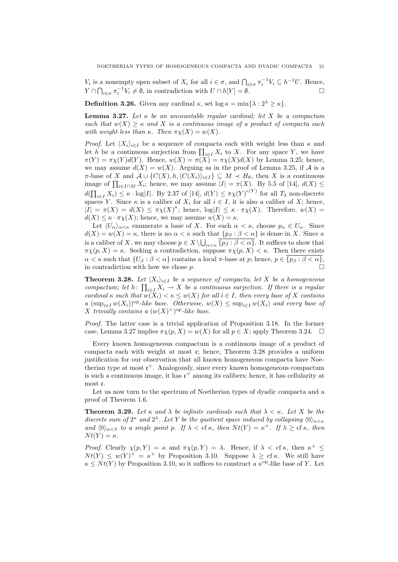$V_i$  is a nonempty open subset of  $X_i$  for all  $i \in \sigma$ , and  $\bigcap_{i \in \sigma} \pi_i^{-1} V_i \subseteq h^{-1} U$ . Hence,  $Y \cap \bigcap_{i \in \sigma} \pi_i^{-1} V_i \neq \emptyset$ , in contradiction with  $U \cap h[Y] = \emptyset$ .

**Definition 3.26.** Given any cardinal  $\kappa$ , set  $\log \kappa = \min\{\lambda : 2^{\lambda} \geq \kappa\}.$ 

**Lemma 3.27.** Let  $\kappa$  be an uncountable regular cardinal; let X be a compactum such that  $w(X) \geq \kappa$  and X is a continuous image of a product of compacta each with weight less than  $\kappa$ . Then  $\pi \chi(X) = w(X)$ .

*Proof.* Let  $\langle X_i \rangle_{i \in I}$  be a sequence of compacta each with weight less than  $\kappa$  and let h be a continuous surjection from  $\prod_{i\in I} X_i$  to X. For any space Y, we have  $\pi(Y) = \pi \chi(Y) d(Y)$ . Hence,  $w(X) = \pi(X) = \pi \chi(X) d(X)$  by Lemma 3.25; hence, we may assume  $d(X) = w(X)$ . Arguing as in the proof of Lemma 3.25, if A is a  $\pi$ -base of X and  $\mathcal{A} \cup \{C(X), h, \langle C(X_i) \rangle_{i \in I} \} \subseteq M \prec H_\theta$ , then X is a continuous image of  $\prod_{i\in I\cap M} X_i$ ; hence, we may assume  $|I| = \pi(X)$ . By 5.5 of [14],  $d(X) \le$  $d(\prod_{i\in I} X_i) \leq \kappa \cdot \log|I|$ . By 2.37 of [14],  $d(Y) \leq \pi \chi(Y)^{c(Y)}$  for all  $T_3$  non-discrete spaces Y. Since  $\kappa$  is a caliber of  $X_i$  for all  $i \in I$ , it is also a caliber of X; hence,  $|I| = \pi(X) = d(X) \leq \pi \chi(X)^{\kappa}$ ; hence,  $\log|I| \leq \kappa \cdot \pi \chi(X)$ . Therefore,  $w(X) =$  $d(X) \leq \kappa \cdot \pi \chi(X)$ ; hence, we may assume  $w(X) = \kappa$ .

Let  $\langle U_{\alpha}\rangle_{\alpha<\kappa}$  enumerate a base of X. For each  $\alpha<\kappa$ , choose  $p_{\alpha}\in U_{\alpha}$ . Since  $d(X) = w(X) = \kappa$ , there is no  $\alpha < \kappa$  such that  $\{p_\beta : \beta < \alpha\}$  is dense in X. Since  $\kappa$ is a caliber of X, we may choose  $p \in X \setminus \bigcup_{\alpha < \kappa} \{p_\beta : \beta < \alpha\}$ . It suffices to show that  $\pi \chi(p, X) = \kappa$ . Seeking a contradiction, suppose  $\pi \chi(p, X) < \kappa$ . Then there exists  $\alpha < \kappa$  such that  $\{U_\beta : \beta < \alpha\}$  contains a local  $\pi$ -base at p; hence,  $p \in \{p_\beta : \beta < \alpha\}$ , in contradiction with how we chose  $p$ .

**Theorem 3.28.** Let  $\langle X_i \rangle_{i \in I}$  be a sequence of compacta; let X be a homogeneous compactum; let h:  $\prod_{i\in I} X_i \to X$  be a continuous surjection. If there is a regular cardinal  $\kappa$  such that  $w(X_i) < \kappa \leq w(X)$  for all  $i \in I$ , then every base of X contains a  $(\sup_{i\in I}w(X_i))^{\text{op}-like}$  base. Otherwise,  $w(X) \leq \sup_{i\in I}w(X_i)$  and every base of X trivially contains a  $(w(X)^+)$ <sup>op</sup>-like base.

Proof. The latter case is a trivial application of Proposition 3.18. In the former case, Lemma 3.27 implies  $\pi \chi(p, X) = w(X)$  for all  $p \in X$ ; apply Theorem 3.24.  $\Box$ 

Every known homogeneous compactum is a continuous image of a product of compacta each with weight at most  $\mathfrak{c}$ ; hence, Theorem 3.28 provides a uniform justification for our observation that all known homogeneous compacta have Noetherian type at most  $\mathfrak{c}^+$ . Analogously, since every known homogeneous compactum is such a continuous image, it has  $\mathfrak{c}^+$  among its calibers; hence, it has cellularity at most c.

Let us now turn to the spectrum of Noetherian types of dyadic compacta and a proof of Theorem 1.6.

**Theorem 3.29.** Let  $\kappa$  and  $\lambda$  be infinite cardinals such that  $\lambda < \kappa$ . Let X be the discrete sum of  $2^{\kappa}$  and  $2^{\lambda}$ . Let Y be the quotient space induced by collapsing  $\langle 0 \rangle_{\alpha < \kappa}$ and  $\langle 0 \rangle_{\alpha < \lambda}$  to a single point p. If  $\lambda <$  cf  $\kappa$ , then  $Nt(Y) = \kappa^+$ . If  $\lambda \geq$  cf  $\kappa$ , then  $N t(Y) = \kappa.$ 

Proof. Clearly  $\chi(p, Y) = \kappa$  and  $\pi \chi(p, Y) = \lambda$ . Hence, if  $\lambda < \text{cf } \kappa$ , then  $\kappa^+ \leq$  $Nt(Y) \leq w(Y)^{+} = \kappa^{+}$  by Proposition 3.10. Suppose  $\lambda \geq \text{cf } \kappa$ . We still have  $\kappa \leq Nt(Y)$  by Proposition 3.10, so it suffices to construct a  $\kappa^{\rm op}$ -like base of Y. Let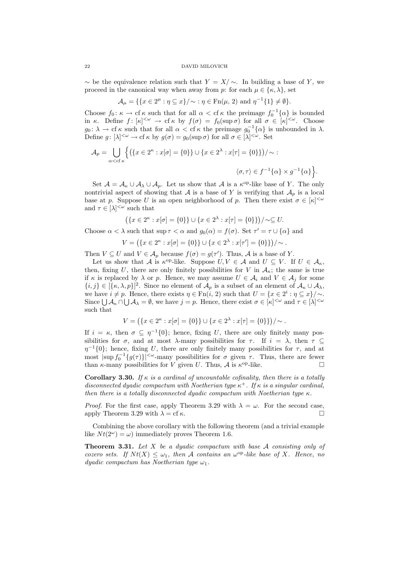$\sim$  be the equivalence relation such that  $Y = X/\sim$ . In building a base of Y, we proceed in the canonical way when away from p: for each  $\mu \in \{\kappa, \lambda\},\$ 

$$
\mathcal{A}_{\mu} = \{ \{ x \in 2^{\mu} : \eta \subseteq x \} / \sim : \eta \in \operatorname{Fn}(\mu, 2) \text{ and } \eta^{-1} \{ 1 \} \neq \emptyset \}.
$$

Choose  $f_0: \kappa \to \text{cf } \kappa$  such that for all  $\alpha < \text{cf } \kappa$  the preimage  $f_0^{-1}\{\alpha\}$  is bounded in κ. Define  $f: [\kappa]^{<\omega} \to \mathrm{cf} \kappa$  by  $f(\sigma) = f_0(\sup \sigma)$  for all  $\sigma \in [\kappa]^{<\omega}$ . Choose  $g_0: \lambda \to \text{cf } \kappa$  such that for all  $\alpha < \text{cf } \kappa$  the preimage  $g_0^{-1}\{\alpha\}$  is unbounded in  $\lambda$ . Define  $g: [\lambda]^{<\omega} \to cf \kappa$  by  $g(\sigma) = g_0(\sup \sigma)$  for all  $\sigma \in [\lambda]^{<\omega}$ . Set

$$
\mathcal{A}_p = \bigcup_{\alpha < \text{cf } \kappa} \left\{ \left( \{ x \in 2^{\kappa} : x[\sigma] = \{0\} \} \cup \{ x \in 2^{\lambda} : x[\tau] = \{0\} \} \right) / \sim : \right\}
$$
\n
$$
\langle \sigma, \tau \rangle \in f^{-1} \{ \alpha \} \times g^{-1} \{ \alpha \} \left\}.
$$

Set  $\mathcal{A} = \mathcal{A}_{\kappa} \cup \mathcal{A}_{\lambda} \cup \mathcal{A}_{p}$ . Let us show that  $\mathcal{A}$  is a  $\kappa^{\text{op}}$ -like base of Y. The only nontrivial aspect of showing that A is a base of Y is verifying that  $A_p$  is a local base at p. Suppose U is an open neighborhood of p. Then there exist  $\sigma \in [\kappa]^{<\omega}$ and  $\tau \in [\lambda]^{<\omega}$  such that

$$
(\{x \in 2^{\kappa} : x[\sigma] = \{0\}\} \cup \{x \in 2^{\lambda} : x[\tau] = \{0\}\}) / \sim \subseteq U.
$$

Choose  $\alpha < \lambda$  such that  $\sup \tau < \alpha$  and  $g_0(\alpha) = f(\sigma)$ . Set  $\tau' = \tau \cup {\alpha}$  and

$$
V = (\{x \in 2^{\kappa} : x[\sigma] = \{0\}\} \cup \{x \in 2^{\lambda} : x[\tau'] = \{0\}\}) / \sim.
$$

Then  $V \subseteq U$  and  $V \in \mathcal{A}_p$  because  $f(\sigma) = g(\tau')$ . Thus,  $\mathcal{A}$  is a base of Y.

Let us show that A is  $\kappa^{\text{op-like}}$ . Suppose  $U, V \in \mathcal{A}$  and  $U \subseteq V$ . If  $U \in \mathcal{A}_{\kappa}$ , then, fixing U, there are only finitely possibilities for V in  $A_{\kappa}$ ; the same is true if  $\kappa$  is replaced by  $\lambda$  or p. Hence, we may assume  $U \in \mathcal{A}_i$  and  $V \in \mathcal{A}_j$  for some  $\{i,j\}\in[\{\kappa,\lambda,p\}]^2$ . Since no element of  $\mathcal{A}_p$  is a subset of an element of  $\mathcal{A}_\kappa\cup\mathcal{A}_\lambda$ , we have  $i \neq p$ . Hence, there exists  $\eta \in \text{Fn}(i, 2)$  such that  $U = \{x \in 2^i : \eta \subseteq x\}/\sim$ . Since  $\bigcup \mathcal{A}_{\kappa} \cap \bigcup \mathcal{A}_{\lambda} = \emptyset$ , we have  $j = p$ . Hence, there exist  $\sigma \in [\kappa]^{<\omega}$  and  $\tau \in [\lambda]^{<\omega}$ such that

$$
V = (\{x \in 2^{\kappa} : x[\sigma] = \{0\}\} \cup \{x \in 2^{\lambda} : x[\tau] = \{0\}\}) / \sim.
$$

If  $i = \kappa$ , then  $\sigma \subseteq \eta^{-1}\{0\}$ ; hence, fixing U, there are only finitely many possibilities for  $\sigma$ , and at most  $\lambda$ -many possibilities for  $\tau$ . If  $i = \lambda$ , then  $\tau \subseteq$  $\eta^{-1}\{0\}$ ; hence, fixing U, there are only finitely many possibilities for  $\tau$ , and at most  $|\sup f_0^{-1}{g(\tau)}|^{&\omega}$ -many possibilities for  $\sigma$  given  $\tau$ . Thus, there are fewer than  $\kappa$ -many possibilities for V given U. Thus, A is  $\kappa^{\rm op}$ -like.

**Corollary 3.30.** If  $\kappa$  is a cardinal of uncountable cofinality, then there is a totally disconnected dyadic compactum with Noetherian type  $\kappa^+$ . If  $\kappa$  is a singular cardinal, then there is a totally disconnected dyadic compactum with Noetherian type  $\kappa$ .

*Proof.* For the first case, apply Theorem 3.29 with  $\lambda = \omega$ . For the second case, apply Theorem 3.29 with  $\lambda = \text{cf } \kappa$ .

Combining the above corollary with the following theorem (and a trivial example like  $N t(2^{\omega}) = \omega$  immediately proves Theorem 1.6.

**Theorem 3.31.** Let  $X$  be a dyadic compactum with base  $A$  consisting only of cozero sets. If  $Nt(X) \leq \omega_1$ , then A contains an  $\omega^{\rm op}$ -like base of X. Hence, no dyadic compactum has Noetherian type  $\omega_1$ .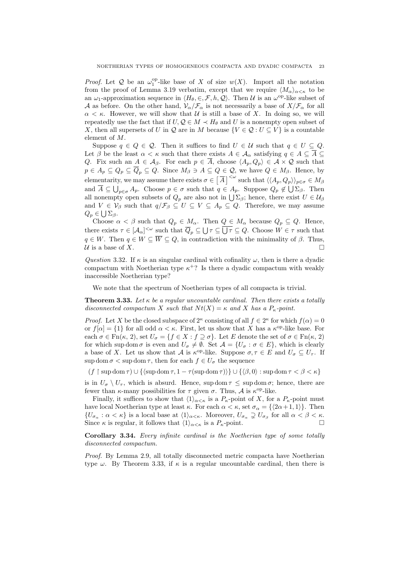*Proof.* Let Q be an  $\omega_1^{\text{op}}$ -like base of X of size  $w(X)$ . Import all the notation from the proof of Lemma 3.19 verbatim, except that we require  $\langle M_{\alpha}\rangle_{\alpha<\kappa}$  to be an  $\omega_1$ -approximation sequence in  $\langle H_\theta, \in, \mathcal{F}, h, \mathcal{Q} \rangle$ . Then U is an  $\omega^{\text{op}}$ -like subset of A as before. On the other hand,  $V_{\alpha}/\mathcal{F}_{\alpha}$  is not necessarily a base of  $X/\mathcal{F}_{\alpha}$  for all  $\alpha < \kappa$ . However, we will show that U is still a base of X. In doing so, we will repeatedly use the fact that if  $U, Q \in M \prec H_{\theta}$  and U is a nonempty open subset of X, then all supersets of U in Q are in M because  $\{V \in \mathcal{Q} : U \subseteq V\}$  is a countable element of M.

Suppose  $q \in Q \in \mathcal{Q}$ . Then it suffices to find  $U \in \mathcal{U}$  such that  $q \in U \subseteq Q$ . Let  $\beta$  be the least  $\alpha < \kappa$  such that there exists  $A \in \mathcal{A}_{\alpha}$  satisfying  $q \in A \subseteq \overline{A} \subseteq$ Q. Fix such an  $A \in \mathcal{A}_{\beta}$ . For each  $p \in \overline{A}$ , choose  $\langle A_p, Q_p \rangle \in \mathcal{A} \times \mathcal{Q}$  such that  $p \in A_p \subseteq Q_p \subseteq \overline{Q}_p \subseteq Q$ . Since  $M_\beta \ni A \subseteq Q \in \mathcal{Q}$ , we have  $Q \in M_\beta$ . Hence, by elementarity, we may assume there exists  $\sigma \in \left[\overline{A}\right]^{<\omega}$  such that  $\langle\langle A_p, Q_p \rangle\rangle_{p \in \sigma} \in M_\beta$ and  $\overline{A} \subseteq \bigcup_{p \in \sigma} A_p$ . Choose  $p \in \sigma$  such that  $q \in A_p$ . Suppose  $Q_p \notin \bigcup \Sigma_{\beta}$ . Then all nonempty open subsets of  $Q_p$  are also not in  $\bigcup \Sigma_\beta$ ; hence, there exist  $U \in \mathcal{U}_\beta$ and  $V \in V_\beta$  such that  $q/\mathcal{F}_\beta \subseteq U \subseteq V \subseteq A_p \subseteq Q$ . Therefore, we may assume  $Q_p \in \bigcup \Sigma_\beta.$ 

Choose  $\alpha < \beta$  such that  $Q_p \in M_\alpha$ . Then  $Q \in M_\alpha$  because  $Q_p \subseteq Q$ . Hence, there exists  $\tau \in [\mathcal{A}_{\alpha}]^{<\omega}$  such that  $\overline{Q}_p \subseteq \bigcup \tau \subseteq \overline{\bigcup \tau} \subseteq Q$ . Choose  $W \in \tau$  such that  $q \in W$ . Then  $q \in W \subseteq \overline{W} \subseteq Q$ , in contradiction with the minimality of  $\beta$ . Thus, U is a base of X.

Question 3.32. If  $\kappa$  is an singular cardinal with cofinality  $\omega$ , then is there a dyadic compactum with Noetherian type  $\kappa^+$ ? Is there a dyadic compactum with weakly inaccessible Noetherian type?

We note that the spectrum of Noetherian types of all compacta is trivial.

**Theorem 3.33.** Let  $\kappa$  be a regular uncountable cardinal. Then there exists a totally disconnected compactum X such that  $N t(X) = \kappa$  and X has a  $P_{\kappa}$ -point.

*Proof.* Let X be the closed subspace of  $2^{\kappa}$  consisting of all  $f \in 2^{\kappa}$  for which  $f(\alpha) = 0$ or  $f[\alpha] = \{1\}$  for all odd  $\alpha < \kappa$ . First, let us show that X has a  $\kappa^{\text{op}}$ -like base. For each  $\sigma \in \text{Fn}(\kappa, 2)$ , set  $U_{\sigma} = \{f \in X : f \supseteq \sigma\}$ . Let E denote the set of  $\sigma \in \text{Fn}(\kappa, 2)$ for which sup dom  $\sigma$  is even and  $U_{\sigma} \neq \emptyset$ . Set  $\mathcal{A} = \{U_{\sigma} : \sigma \in E\}$ , which is clearly a base of X. Let us show that A is  $\kappa^{\text{op}}$ -like. Suppose  $\sigma, \tau \in E$  and  $U_{\sigma} \subseteq U_{\tau}$ . If sup dom  $\sigma < \sup \text{dom }\tau$ , then for each  $f \in U_{\sigma}$  the sequence

 $(f \restriction \sup \mathrm{dom}\,\tau) \cup \{\langle \sup \mathrm{dom}\,\tau, 1 - \tau(\sup \mathrm{dom}\,\tau)\rangle\} \cup \{\langle \beta, 0 \rangle : \sup \mathrm{dom}\,\tau < \beta < \kappa\}$ 

is in  $U_{\sigma} \setminus U_{\tau}$ , which is absurd. Hence, sup dom  $\tau \leq \sup \text{dom } \sigma$ ; hence, there are fewer than  $\kappa$ -many possibilities for  $\tau$  given  $\sigma$ . Thus,  $\mathcal A$  is  $\kappa^{\text{op}}$ -like.

Finally, it suffices to show that  $\langle 1 \rangle_{\alpha \leq \kappa}$  is a P<sub>K</sub>-point of X, for a P<sub>K</sub>-point must have local Noetherian type at least  $\kappa$ . For each  $\alpha < \kappa$ , set  $\sigma_{\alpha} = \{\langle 2\alpha + 1, 1 \rangle\}$ . Then  $\{U_{\sigma_\alpha}: \alpha < \kappa\}$  is a local base at  $\langle 1 \rangle_{\alpha < \kappa}$ . Moreover,  $U_{\sigma_\alpha} \supsetneq U_{\sigma_\beta}$  for all  $\alpha < \beta < \kappa$ . Since  $\kappa$  is regular, it follows that  $\langle 1 \rangle_{\alpha \leq \kappa}$  is a  $P_{\kappa}$ -point.

Corollary 3.34. Every infinite cardinal is the Noetherian type of some totally disconnected compactum.

Proof. By Lemma 2.9, all totally disconnected metric compacta have Noetherian type  $\omega$ . By Theorem 3.33, if  $\kappa$  is a regular uncountable cardinal, then there is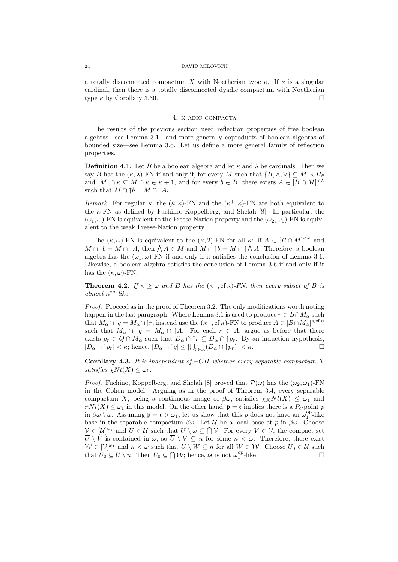a totally disconnected compactum X with Noetherian type  $\kappa$ . If  $\kappa$  is a singular cardinal, then there is a totally disconnected dyadic compactum with Noetherian type  $\kappa$  by Corollary 3.30.

#### 4. k-adic compacta

The results of the previous section used reflection properties of free boolean algebras—see Lemma 3.1—and more generally coproducts of boolean algebras of bounded size—see Lemma 3.6. Let us define a more general family of reflection properties.

**Definition 4.1.** Let B be a boolean algebra and let  $\kappa$  and  $\lambda$  be cardinals. Then we say B has the  $(\kappa, \lambda)$ -FN if and only if, for every M such that  $\{B, \wedge, \vee\} \subseteq M \prec H_{\theta}$ and  $|M| \cap \kappa \subseteq M \cap \kappa \in \kappa + 1$ , and for every  $b \in B$ , there exists  $A \in [B \cap M]^{< \lambda}$ such that  $M \cap \uparrow b = M \cap \uparrow A$ .

Remark. For regular  $\kappa$ , the  $(\kappa, \kappa)$ -FN and the  $(\kappa^+, \kappa)$ -FN are both equivalent to the  $\kappa$ -FN as defined by Fuchino, Koppelberg, and Shelah [8]. In particular, the  $(\omega_1, \omega)$ -FN is equivalent to the Freese-Nation property and the  $(\omega_2, \omega_1)$ -FN is equivalent to the weak Freese-Nation property.

The  $(\kappa, \omega)$ -FN is equivalent to the  $(\kappa, 2)$ -FN for all  $\kappa$ : if  $A \in [B \cap M]^{<\omega}$  and  $M \cap \uparrow b = M \cap \uparrow A$ , then  $\bigwedge A \in M$  and  $M \cap \uparrow b = M \cap \uparrow \bigwedge A$ . Therefore, a boolean algebra has the  $(\omega_1, \omega)$ -FN if and only if it satisfies the conclusion of Lemma 3.1. Likewise, a boolean algebra satisfies the conclusion of Lemma 3.6 if and only if it has the  $(\kappa, \omega)$ -FN.

**Theorem 4.2.** If  $\kappa \geq \omega$  and B has the  $(\kappa^+, \text{cf } \kappa)$ -FN, then every subset of B is almost κ op-like.

Proof. Proceed as in the proof of Theorem 3.2. The only modifications worth noting happen in the last paragraph. Where Lemma 3.1 is used to produce  $r \in B \cap M_\alpha$  such that  $M_\alpha \cap \uparrow q = M_\alpha \cap \uparrow r$ , instead use the  $(\kappa^+, c f \kappa)$ -FN to produce  $A \in [B \cap M_\alpha]^{< c f \kappa}$ such that  $M_{\alpha} \cap \uparrow q = M_{\alpha} \cap \uparrow A$ . For each  $r \in A$ , argue as before that there exists  $p_r \in Q \cap M_\alpha$  such that  $D_\alpha \cap \uparrow r \subseteq D_\alpha \cap \uparrow p_r$ . By an induction hypothesis,  $|D_{\alpha} \cap {\uparrow} p_r| < \kappa$ ; hence,  $|D_{\alpha} \cap {\uparrow} q| \leq |\bigcup_{r \in A} (D_{\alpha} \cap {\uparrow} p_r)| < \kappa$ .

Corollary 4.3. It is independent of  $\neg CH$  whether every separable compactum X satisfies  $\chi N t(X) \leq \omega_1$ .

*Proof.* Fuchino, Koppelberg, and Shelah [8] proved that  $\mathcal{P}(\omega)$  has the  $(\omega_2, \omega_1)$ -FN in the Cohen model. Arguing as in the proof of Theorem 3.4, every separable compactum X, being a continuous image of  $\beta\omega$ , satisfies  $\chi_K N t(X) \leq \omega_1$  and  $\pi N t(X) \leq \omega_1$  in this model. On the other hand,  $\mathfrak{p} = \mathfrak{c}$  implies there is a  $P_{\mathfrak{c}}$ -point p in  $\beta\omega\setminus\omega$ . Assuming  $\mathfrak{p}=\mathfrak{c}>\omega_1$ , let us show that this p does not have an  $\omega_1^{\rm op}$ -like base in the separable compactum  $\beta\omega$ . Let U be a local base at p in  $\beta\omega$ . Choose  $V \in [\mathcal{U}]^{\omega_1}$  and  $U \in \mathcal{U}$  such that  $\overline{U} \setminus \omega \subseteq \bigcap \mathcal{V}$ . For every  $V \in \mathcal{V}$ , the compact set  $U \setminus V$  is contained in  $\omega$ , so  $U \setminus V \subseteq n$  for some  $n < \omega$ . Therefore, there exist  $W \in [\mathcal{V}]^{\omega_1}$  and  $n \lt \omega$  such that  $\overline{U} \setminus W \subseteq n$  for all  $W \in \mathcal{W}$ . Choose  $U_0 \in \mathcal{U}$  such that  $U_0 \subseteq U \setminus n$ . Then  $U_0 \subseteq \bigcap \mathcal{W}$ ; hence,  $\mathcal{U}$  is not  $\omega_1^{\text{op}}$ -like.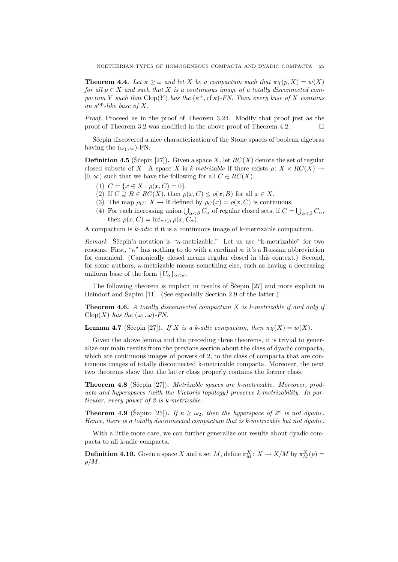**Theorem 4.4.** Let  $\kappa \geq \omega$  and let X be a compactum such that  $\pi_X(p, X) = w(X)$ for all  $p \in X$  and such that X is a continuous image of a totally disconnected compactum Y such that Clop(Y) has the  $(\kappa^+, \text{cf } \kappa)$ -FN. Then every base of X contains an  $\kappa^{\rm op}\text{-}like$  base of X.

Proof. Proceed as in the proof of Theorem 3.24. Modify that proof just as the proof of Theorem 3.2 was modified in the above proof of Theorem 4.2.  $\Box$ 

Stepin discovered a nice characterization of the Stone spaces of boolean algebras having the  $(\omega_1, \omega)$ -FN.

**Definition 4.5** (S`cepin [27]). Given a space X, let  $RC(X)$  denote the set of regular closed subsets of X. A space X is k-metrizable if there exists  $\rho: X \times RC(X) \rightarrow$  $[0,\infty)$  such that we have the following for all  $C \in RC(X)$ .

- (1)  $C = \{x \in X : \rho(x, C) = 0\}.$
- (2) If  $C \supseteq B \in RC(X)$ , then  $\rho(x, C) \leq \rho(x, B)$  for all  $x \in X$ .
- (3) The map  $\rho_C: X \to \mathbb{R}$  defined by  $\rho_C(x) = \rho(x, C)$  is continuous.
- (4) For each increasing union  $\bigcup_{\alpha<\beta}C_{\alpha}$  of regular closed sets, if  $C=\bigcup_{\alpha<\beta}C_{\alpha}$ , then  $\rho(x, C) = \inf_{\alpha < \beta} \rho(x, C_{\alpha}).$

A compactum is k-adic if it is a continuous image of k-metrizable compactum.

*Remark.* Stepin's notation is " $\kappa$ -metrizable." Let us use "k-metrizable" for two reasons. First, " $\kappa$ " has nothing to do with a cardinal  $\kappa$ ; it's a Russian abbreviation for canonical. (Canonically closed means regular closed in this context.) Second, for some authors,  $\kappa$ -metrizable means something else, such as having a decreasing uniform base of the form  $\{U_{\alpha}\}_{{\alpha}<\kappa}$ .

The following theorem is implicit in results of  $\widetilde{S}$ cepin [27] and more explicit in Heindorf and Šapiro  $[11]$ . (See especially Section 2.9 of the latter.)

**Theorem 4.6.** A totally disconnected compactum  $X$  is k-metrizable if and only if Clop(X) has the  $(\omega_1, \omega)$ -FN.

**Lemma 4.7** (Ščepin [27]). If X is a k-adic compactum, then  $\pi \chi(X) = w(X)$ .

Given the above lemma and the preceding three theorems, it is trivial to generalize our main results from the previous section about the class of dyadic compacta, which are continuous images of powers of 2, to the class of compacta that are continuous images of totally disconnected k-metrizable compacta. Moreover, the next two theorems show that the latter class properly contains the former class.

**Theorem 4.8** (Scepin [27]). Metrizable spaces are k-metrizable. Moreover, products and hyperspaces (with the Vietoris topology) preserve k-metrizability. In particular, every power of 2 is k-metrizable.

**Theorem 4.9** (Šapiro [25]). If  $\kappa \geq \omega_2$ , then the hyperspace of  $2^{\kappa}$  is not dyadic. Hence, there is a totally disconnected compactum that is k-metrizable but not dyadic.

With a little more care, we can further generalize our results about dyadic compacta to all k-adic compacta.

**Definition 4.10.** Given a space X and a set M, define  $\pi_M^X: X \to X/M$  by  $\pi_M^X(p) =$  $p/M$ .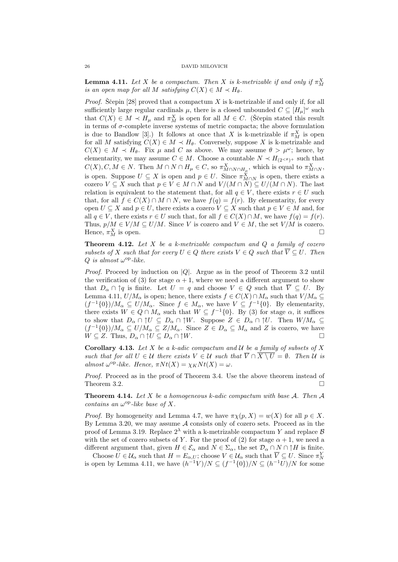**Lemma 4.11.** Let X be a compactum. Then X is k-metrizable if and only if  $\pi_M^X$ is an open map for all M satisfying  $C(X) \in M \prec H_{\theta}$ .

*Proof.* Ščepin [28] proved that a compactum X is k-metrizable if and only if, for all sufficiently large regular cardinals  $\mu$ , there is a closed unbounded  $C \subseteq [H_{\mu}]^{\omega}$  such that  $C(X) \in M \prec H_{\mu}$  and  $\pi_M^X$  is open for all  $M \in C$ . (Siepin stated this result in terms of  $\sigma$ -complete inverse systems of metric compacta; the above formulation is due to Bandlow [3].) It follows at once that X is k-metrizable if  $\pi_M^X$  is open for all M satisfying  $C(X) \in M \prec H_{\theta}$ . Conversely, suppose X is k-metrizable and  $C(X) \in M \prec H_{\theta}$ . Fix  $\mu$  and C as above. We may assume  $\theta > \mu^{\omega}$ ; hence, by elementarity, we may assume  $C \in M$ . Choose a countable  $N \prec H_{(2 \le \theta)^+}$  such that  $C(X)$ ,  $C, M \in N$ . Then  $M \cap N \cap H_{\mu} \in C$ , so  $\pi_{M \cap N \cap H_{\mu}}^{X}$ , which is equal to  $\pi_{M \cap N}^{X}$ , is open. Suppose  $U \subseteq X$  is open and  $p \in U$ . Since  $\pi_{M \cap N}^X$  is open, there exists a cozero  $V \subseteq X$  such that  $p \in V \in M \cap N$  and  $V/(M \cap N) \subseteq U/(M \cap N)$ . The last relation is equivalent to the statement that, for all  $q \in V$ , there exists  $r \in U$  such that, for all  $f \in C(X) \cap M \cap N$ , we have  $f(q) = f(r)$ . By elementarity, for every open  $U \subseteq X$  and  $p \in U$ , there exists a cozero  $V \subseteq X$  such that  $p \in V \in M$  and, for all  $q \in V$ , there exists  $r \in U$  such that, for all  $f \in C(X) \cap M$ , we have  $f(q) = f(r)$ . Thus,  $p/M \in V/M \subseteq U/M$ . Since V is cozero and  $V \in M$ , the set  $V/M$  is cozero. Hence,  $\pi_M^X$  is open.

**Theorem 4.12.** Let  $X$  be a k-metrizable compactum and  $Q$  a family of cozero subsets of X such that for every  $U \in Q$  there exists  $V \in Q$  such that  $\overline{V} \subseteq U$ . Then  $Q$  is almost  $\omega^{\rm op}$ -like.

*Proof.* Proceed by induction on  $|Q|$ . Argue as in the proof of Theorem 3.2 until the verification of (3) for stage  $\alpha + 1$ , where we need a different argument to show that  $D_{\alpha} \cap \uparrow q$  is finite. Let  $U = q$  and choose  $V \in Q$  such that  $\overline{V} \subseteq U$ . By Lemma 4.11,  $U/M_{\alpha}$  is open; hence, there exists  $f \in C(X) \cap M_{\alpha}$  such that  $V/M_{\alpha} \subseteq$  $(f^{-1}{0})/M_{\alpha} \subseteq U/M_{\alpha}$ . Since  $f \in M_{\alpha}$ , we have  $V \subseteq f^{-1}{0}$ . By elementarity, there exists  $W \in Q \cap M_\alpha$  such that  $W \subseteq f^{-1}\{0\}$ . By (3) for stage  $\alpha$ , it suffices to show that  $D_{\alpha} \cap U \subseteq D_{\alpha} \cap W$ . Suppose  $Z \in D_{\alpha} \cap U$ . Then  $W/M_{\alpha} \subseteq$  $(f^{-1}{0})/M_{\alpha} \subseteq U/M_{\alpha} \subseteq Z/M_{\alpha}$ . Since  $Z \in D_{\alpha} \subseteq M_{\alpha}$  and Z is cozero, we have  $W \subseteq Z$ . Thus,  $D_{\alpha} \cap \uparrow U \subseteq D_{\alpha} \cap \uparrow W$ .

Corollary 4.13. Let X be a k-adic compactum and  $U$  be a family of subsets of X such that for all  $U \in \mathcal{U}$  there exists  $V \in \mathcal{U}$  such that  $\overline{V} \cap \overline{X \setminus U} = \emptyset$ . Then  $\mathcal{U}$  is almost  $\omega^{\rm op}\text{-}like$ . Hence,  $\pi Nt(X) = \chi_K Nt(X) = \omega$ .

Proof. Proceed as in the proof of Theorem 3.4. Use the above theorem instead of Theorem 3.2.

**Theorem 4.14.** Let X be a homogeneous k-adic compactum with base  $A$ . Then  $A$ contains an  $\omega^{\rm op}-like$  base of X.

*Proof.* By homogeneity and Lemma 4.7, we have  $\pi_Y(p, X) = w(X)$  for all  $p \in X$ . By Lemma 3.20, we may assume  $A$  consists only of cozero sets. Proceed as in the proof of Lemma 3.19. Replace  $2^{\lambda}$  with a k-metrizable compactum Y and replace  $\beta$ with the set of cozero subsets of Y. For the proof of (2) for stage  $\alpha + 1$ , we need a different argument that, given  $H \in \mathcal{E}_{\alpha}$  and  $N \in \Sigma_{\alpha}$ , the set  $\mathcal{D}_{\alpha} \cap N \cap \uparrow H$  is finite.

Choose  $U \in \mathcal{U}_{\alpha}$  such that  $H = E_{\alpha,U}$ ; choose  $V \in \mathcal{U}_{\alpha}$  such that  $\overline{V} \subseteq U$ . Since  $\pi_N^Y$ is open by Lemma 4.11, we have  $(h^{-1}V)/N \subseteq (f^{-1}{0})/N \subseteq (h^{-1}U)/N$  for some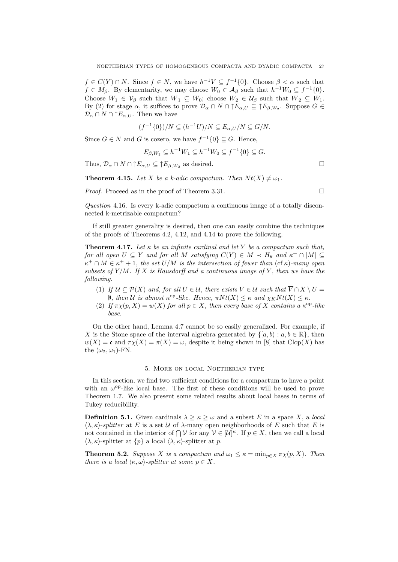$f \in C(Y) \cap N$ . Since  $f \in N$ , we have  $h^{-1}V \subseteq f^{-1}\{0\}$ . Choose  $\beta < \alpha$  such that  $f \in M_\beta$ . By elementarity, we may choose  $W_0 \in \mathcal{A}_\beta$  such that  $h^{-1}W_0 \subseteq f^{-1}\{0\}$ . Choose  $W_1 \in V_\beta$  such that  $\overline{W}_1 \subseteq W_0$ ; choose  $W_2 \in \mathcal{U}_\beta$  such that  $\overline{W}_2 \subseteq W_1$ . By (2) for stage  $\alpha$ , it suffices to prove  $\mathcal{D}_{\alpha} \cap N \cap \uparrow E_{\alpha,U} \subseteq \uparrow E_{\beta,W_2}$ . Suppose  $G \in$  $\mathcal{D}_{\alpha} \cap N \cap \uparrow E_{\alpha,U}$ . Then we have

$$
(f^{-1}{0})/N \subseteq (h^{-1}U)/N \subseteq E_{\alpha,U}/N \subseteq G/N.
$$

Since  $G \in N$  and G is cozero, we have  $f^{-1}\{0\} \subseteq G$ . Hence,

$$
E_{\beta,W_2} \subseteq h^{-1}W_1 \subseteq h^{-1}W_0 \subseteq f^{-1}\{0\} \subseteq G.
$$

Thus,  $\mathcal{D}_{\alpha} \cap N \cap \upharpoonright E_{\alpha,U} \subseteq \upharpoonright E_{\beta,W_2}$  as desired.

**Theorem 4.15.** Let X be a k-adic compactum. Then  $Nt(X) \neq \omega_1$ .

*Proof.* Proceed as in the proof of Theorem 3.31.  $\Box$ 

Question 4.16. Is every k-adic compactum a continuous image of a totally disconnected k-metrizable compactum?

If still greater generality is desired, then one can easily combine the techniques of the proofs of Theorems 4.2, 4.12, and 4.14 to prove the following.

**Theorem 4.17.** Let  $\kappa$  be an infinite cardinal and let Y be a compactum such that, for all open  $U \subseteq Y$  and for all M satisfying  $C(Y) \in M \prec H_{\theta}$  and  $\kappa^+ \cap |M| \subseteq$  $\kappa^+ \cap M \in \kappa^+ + 1$ , the set  $U/M$  is the intersection of fewer than  $(\text{cf } \kappa)$ -many open subsets of  $Y/M$ . If X is Hausdorff and a continuous image of Y, then we have the following.

- (1) If  $\mathcal{U} \subseteq \mathcal{P}(X)$  and, for all  $U \in \mathcal{U}$ , there exists  $V \in \mathcal{U}$  such that  $\overline{V} \cap \overline{X \setminus U} =$  $\emptyset$ , then U is almost  $\kappa^{\text{op}}$ -like. Hence,  $\pi N t(X) \leq \kappa$  and  $\chi_K N t(X) \leq \kappa$ .
- (2) If  $\pi \chi(p, X) = w(X)$  for all  $p \in X$ , then every base of X contains a  $\kappa^{\rm op}$ -like base.

On the other hand, Lemma 4.7 cannot be so easily generalized. For example, if X is the Stone space of the interval algrebra generated by  $\{[a, b) : a, b \in \mathbb{R}\},\$  then  $w(X) = \mathfrak{c}$  and  $\pi_X(X) = \pi(X) = \omega$ , despite it being shown in [8] that Clop(X) has the  $(\omega_2, \omega_1)$ -FN.

# 5. More on local Noetherian type

In this section, we find two sufficient conditions for a compactum to have a point with an  $\omega^{\rm op}$ -like local base. The first of these conditions will be used to prove Theorem 1.7. We also present some related results about local bases in terms of Tukey reducibility.

**Definition 5.1.** Given cardinals  $\lambda \geq \kappa \geq \omega$  and a subset E in a space X, a local  $\langle \lambda, \kappa \rangle$ -splitter at E is a set U of  $\lambda$ -many open neighborhoods of E such that E is not contained in the interior of  $\bigcap V$  for any  $V \in |\mathcal{U}|^{\kappa}$ . If  $p \in X$ , then we call a local  $\langle \lambda, \kappa \rangle$ -splitter at  $\{p\}$  a local  $\langle \lambda, \kappa \rangle$ -splitter at p.

**Theorem 5.2.** Suppose X is a compactum and  $\omega_1 \leq \kappa = \min_{p \in X} \pi \chi(p, X)$ . Then there is a local  $\langle \kappa, \omega \rangle$ -splitter at some  $p \in X$ .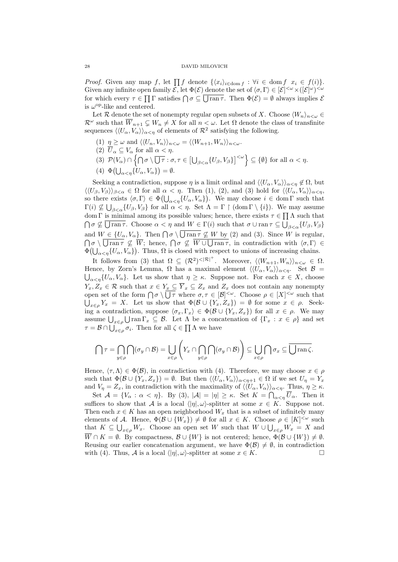*Proof.* Given any map f, let  $\prod f$  denote  $\{\langle x_i \rangle_{i \in \text{dom } f} : \forall i \in \text{dom } f \ x_i \in f(i)\}.$ Given any infinite open family  $\mathcal{E}$ , let  $\Phi(\mathcal{E})$  denote the set of  $\langle \sigma, \Gamma \rangle \in [\mathcal{E}]^{<\omega} \times ([\mathcal{E}]^{\omega})^{<\omega}$ for which every  $\tau \in \prod \Gamma$  satisfies  $\bigcap \sigma \subseteq \bigcup \text{ran }\tau$ . Then  $\Phi(\mathcal{E}) = \emptyset$  always implies  $\mathcal{E}$ is  $\omega^{\rm op}\text{-like}$  and centered.

Let R denote the set of nonempty regular open subsets of X. Choose  $\langle W_n \rangle_{n \leq \omega} \in$  $\mathcal{R}^{\omega}$  such that  $\overline{W}_{n+1} \subsetneq W_n \neq X$  for all  $n < \omega$ . Let  $\Omega$  denote the class of transfinite sequences  $\langle\langle U_{\alpha}, V_{\alpha} \rangle\rangle_{\alpha \leq \eta}$  of elements of  $\mathcal{R}^2$  satisfying the following.

- (1)  $\eta \geq \omega$  and  $\langle \langle U_n, V_n \rangle \rangle_{n \langle \omega} = \langle \langle W_{n+1}, W_n \rangle \rangle_{n \langle \omega}$ .
- (2)  $\overline{U}_{\alpha} \subseteq V_{\alpha}$  for all  $\alpha < \eta$ .
- (3)  $\mathcal{P}(V_{\alpha}) \cap \left\{ \bigcap \sigma \setminus \overline{\bigcup_{\tau}} : \sigma, \tau \in \left[\bigcup_{\beta < \alpha} \{U_{\beta}, V_{\beta}\}\right]^{\leq \omega} \right\} \subseteq \{\emptyset\}$  for all  $\alpha < \eta$ .
- (4)  $\Phi\left(\bigcup_{\alpha<\eta}\{U_{\alpha},V_{\alpha}\}\right)=\emptyset.$

Seeking a contradiction, suppose  $\eta$  is a limit ordinal and  $\langle\langle U_{\alpha}, V_{\alpha}\rangle\rangle_{\alpha\leq\eta}\notin\Omega$ , but  $\langle\langle U_{\beta}, V_{\beta}\rangle\rangle_{\beta<\alpha} \in \Omega$  for all  $\alpha<\eta$ . Then (1), (2), and (3) hold for  $\langle\langle U_{\alpha}, V_{\alpha}\rangle\rangle_{\alpha<\eta}$ , so there exists  $\langle \sigma, \Gamma \rangle \in \Phi(\bigcup_{\alpha < \eta} \{U_{\alpha}, V_{\alpha}\})$ . We may choose  $i \in \text{dom } \Gamma$  such that  $\Gamma(i) \nsubseteq \bigcup_{\beta < \alpha} \{U_{\beta}, V_{\beta}\}\$  for all  $\alpha < \eta$ . Set  $\Lambda = \Gamma \upharpoonright (\text{dom}\,\Gamma \setminus \{i\})$ . We may assume dom Γ is minimal among its possible values; hence, there exists  $\tau \in \prod \Lambda$  such that  $\bigcap \sigma \not\subseteq \bigcup \operatorname{ran} \tau$ . Choose  $\alpha < \eta$  and  $W \in \Gamma(i)$  such that  $\sigma \cup \operatorname{ran} \tau \subseteq \bigcup_{\beta < \alpha} \{U_{\beta}, V_{\beta}\}\$ and  $W \in \{U_\alpha, V_\alpha\}$ . Then  $\bigcap \sigma \setminus \bigcup \text{ran } \tau \not\subseteq W$  by (2) and (3). Since W is regular,  $\bigcap \sigma \setminus \bigcup \text{ran } \tau \not\subseteq \overline{W}$ ; hence,  $\bigcap \sigma \not\subseteq W \cup \bigcup \text{ran } \tau$ , in contradiction with  $\langle \sigma, \Gamma \rangle \in$  $\Phi(\bigcup_{\alpha<\eta}\{U_{\alpha},V_{\alpha}\})$ . Thus,  $\Omega$  is closed with respect to unions of increasing chains.

It follows from (3) that  $\Omega \subseteq (\mathcal{R}^2)^{|\mathcal{R}|^+}$ . Moreover,  $\langle \langle W_{n+1}, W_n \rangle \rangle_{n \leq \omega} \in \Omega$ . Hence, by Zorn's Lemma,  $\Omega$  has a maximal element  $\langle\langle U_{\alpha}, V_{\alpha}\rangle\rangle_{\alpha<\eta}$ . Set  $\beta$  =  $\bigcup_{\alpha<\eta}\{U_{\alpha},V_{\alpha}\}.$  Let us show that  $\eta\geq\kappa$ . Suppose not. For each  $x\in X$ , choose  $Y_x, Z_x \in \mathcal{R}$  such that  $x \in Y_x \subseteq \overline{Y}_x \subseteq Z_x$  and  $Z_x$  does not contain any nonempty open set of the form  $\bigcap \sigma \setminus \overline{\bigcup \tau}$  where  $\sigma, \tau \in [\mathcal{B}]^{<\omega}$ . Choose  $\rho \in [X]^{<\omega}$  such that  $\bigcup_{x \in \rho} Y_x = X$ . Let us show that  $\Phi(\mathcal{B} \cup \{Y_x, Z_x\}) = \emptyset$  for some  $x \in \rho$ . Seeking a contradiction, suppose  $\langle \sigma_x, \Gamma_x \rangle \in \Phi(\mathcal{B} \cup \{Y_x, Z_x\})$  for all  $x \in \rho$ . We may assume  $\bigcup_{x \in \rho} \bigcup \text{ran } \Gamma_x \subseteq \mathcal{B}$ . Let  $\Lambda$  be a concatenation of  $\{\Gamma_x : x \in \rho\}$  and set  $\tau = \mathcal{B} \cap \bigcup_{x \in \rho} \sigma_i$ . Then for all  $\zeta \in \prod \Lambda$  we have

$$
\bigcap \tau = \bigcap_{y \in \rho} \bigcap (\sigma_y \cap \mathcal{B}) = \bigcup_{x \in \rho} \left( Y_x \cap \bigcap_{y \in \rho} \bigcap (\sigma_y \cap \mathcal{B}) \right) \subseteq \bigcup_{x \in \rho} \bigcap \sigma_x \subseteq \overline{\bigcup \operatorname{ran} \zeta}.
$$

Hence,  $\langle \tau, \Lambda \rangle \in \Phi(\mathcal{B})$ , in contradiction with (4). Therefore, we may choose  $x \in \rho$ such that  $\Phi(\mathcal{B} \cup \{Y_x, Z_x\}) = \emptyset$ . But then  $\langle\langle U_\alpha, V_\alpha\rangle\rangle_{\alpha \leq \eta+1} \in \Omega$  if we set  $U_\eta = Y_x$ and  $V_{\eta} = Z_x$ , in contradiction with the maximality of  $\langle\langle U_{\alpha}, V_{\alpha}\rangle\rangle_{\alpha < \eta}$ . Thus,  $\eta \geq \kappa$ .

Set  $\mathcal{A} = \{V_\alpha : \alpha < \eta\}$ . By (3),  $|\mathcal{A}| = |\eta| \geq \kappa$ . Set  $K = \bigcap_{\alpha < \eta} \overline{U}_{\alpha}$ . Then it suffices to show that A is a local  $\langle |\eta|, \omega \rangle$ -splitter at some  $x \in K$ . Suppose not. Then each  $x \in K$  has an open neighborhood  $W_x$  that is a subset of infinitely many elements of A. Hence,  $\Phi(\mathcal{B} \cup \{W_x\}) \neq \emptyset$  for all  $x \in K$ . Choose  $\rho \in [K]^{<\omega}$  such that  $K \subseteq \bigcup_{x \in \rho} W_x$ . Choose an open set W such that  $W \cup \bigcup_{x \in \rho} W_x = X$  and  $\overline{W} \cap K = \emptyset$ . By compactness,  $\mathcal{B} \cup \{W\}$  is not centered; hence,  $\Phi(\mathcal{B} \cup \{W\}) \neq \emptyset$ . Reusing our earlier concatenation argument, we have  $\Phi(\mathcal{B}) \neq \emptyset$ , in contradiction with (4). Thus, A is a local  $\langle |\eta|, \omega \rangle$ -splitter at some  $x \in K$ .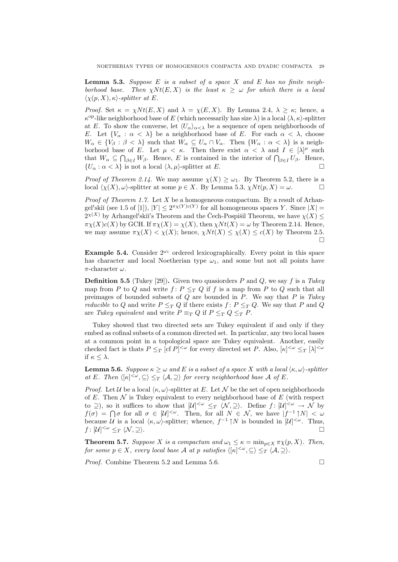**Lemma 5.3.** Suppose E is a subset of a space X and E has no finite neighborhood base. Then  $\chi N t(E, X)$  is the least  $\kappa \geq \omega$  for which there is a local  $\langle \chi(p, X), \kappa \rangle$ -splitter at E.

*Proof.* Set  $\kappa = \chi N t(E, X)$  and  $\lambda = \chi(E, X)$ . By Lemma 2.4,  $\lambda > \kappa$ ; hence, a  $\kappa^{\text{op}}$ -like neighborhood base of E (which necessarily has size  $\lambda$ ) is a local  $\langle \lambda, \kappa \rangle$ -splitter at E. To show the converse, let  $\langle U_{\alpha}\rangle_{\alpha<\lambda}$  be a sequence of open neighborhoods of E. Let  ${V_\alpha : \alpha < \lambda}$  be a neighborhood base of E. For each  $\alpha < \lambda$ , choose  $W_{\alpha} \in \{V_{\beta} : \beta < \lambda\}$  such that  $W_{\alpha} \subseteq U_{\alpha} \cap V_{\alpha}$ . Then  $\{W_{\alpha} : \alpha < \lambda\}$  is a neighborhood base of E. Let  $\mu < \kappa$ . Then there exist  $\alpha < \lambda$  and  $I \in [\lambda]^{\mu}$  such that  $W_{\alpha} \subseteq \bigcap_{\beta \in I} W_{\beta}$ . Hence, E is contained in the interior of  $\bigcap_{\beta \in I} U_{\beta}$ . Hence,  $\{U_{\alpha} : \alpha < \lambda\}$  is not a local  $\langle \lambda, \mu \rangle$ -splitter at E.

*Proof of Theorem 2.14.* We may assume  $\chi(X) \geq \omega_1$ . By Theorem 5.2, there is a local  $\langle \chi(X), \omega \rangle$ -splitter at some  $p \in X$ . By Lemma 5.3,  $\chi N t(p, X) = \omega$ .

*Proof of Theorem 1.7.* Let  $X$  be a homogeneous compactum. By a result of Arhangel'skiĭ (see 1.5 of [1]),  $|Y| \leq 2^{\pi \chi(Y)c(Y)}$  for all homogeneous spaces Y. Since  $|X| =$  $2^{\chi(X)}$  by Arhangel'skii's Theorem and the Čech-Pospišil Theorem, we have  $\chi(X) \leq$  $\pi_X(X)c(X)$  by GCH. If  $\pi_X(X) = \chi(X)$ , then  $\chi N t(X) = \omega$  by Theorem 2.14. Hence, we may assume  $\pi \chi(X) < \chi(X)$ ; hence,  $\chi N t(X) \leq \chi(X) \leq c(X)$  by Theorem 2.5.  $\Box$ 

**Example 5.4.** Consider  $2^{\omega_1}$  ordered lexicographically. Every point in this space has character and local Noetherian type  $\omega_1$ , and some but not all points have π-character ω.

**Definition 5.5** (Tukey [29]). Given two quasioners P and Q, we say f is a Tukey map from P to Q and write  $f: P \leq_T Q$  if f is a map from P to Q such that all preimages of bounded subsets of  $Q$  are bounded in  $P$ . We say that  $P$  is Tukey *reducible* to Q and write  $P \leq_T Q$  if there exists  $f: P \leq_T Q$ . We say that P and Q are Tukey equivalent and write  $P \equiv_T Q$  if  $P \leq_T Q \leq_T P$ .

Tukey showed that two directed sets are Tukey equivalent if and only if they embed as cofinal subsets of a common directed set. In particular, any two local bases at a common point in a topological space are Tukey equivalent. Another, easily checked fact is thats  $P \leq_T [\text{cf } P]^{<\omega}$  for every directed set P. Also,  $[\kappa]^{<\omega} \leq_T [\lambda]^{<\omega}$ if  $\kappa \leq \lambda$ .

**Lemma 5.6.** Suppose  $\kappa > \omega$  and E is a subset of a space X with a local  $\langle \kappa, \omega \rangle$ -splitter at E. Then  $\langle [\kappa]^{<\omega}, \subseteq \rangle \leq_T \langle A, \supseteq \rangle$  for every neighborhood base A of E.

*Proof.* Let U be a local  $\langle \kappa, \omega \rangle$ -splitter at E. Let N be the set of open neighborhoods of E. Then  $N$  is Tukey equivalent to every neighborhood base of  $E$  (with respect to  $\supseteq$ ), so it suffices to show that  $[\mathcal{U}]^{<\omega} \leq_T \langle \mathcal{N}, \supseteq \rangle$ . Define  $f : [\mathcal{U}]^{<\omega} \to \mathcal{N}$  by  $f(\sigma) = \bigcap \sigma$  for all  $\sigma \in [\mathcal{U}]^{<\omega}$ . Then, for all  $N \in \mathcal{N}$ , we have  $|f^{-1} \uparrow N| < \omega$ because U is a local  $\langle \kappa, \omega \rangle$ -splitter; whence,  $f^{-1} \uparrow N$  is bounded in  $\lbrack \mathcal{U} \rbrack^{<\omega}$ . Thus,  $f: [U]^{<\omega} \leq_T \langle N, \supseteq \rangle.$ 

**Theorem 5.7.** Suppose X is a compactum and  $\omega_1 \leq \kappa = \min_{p \in X} \pi \chi(p, X)$ . Then, for some  $p \in X$ , every local base A at p satisfies  $\langle [\kappa]^{<\omega}, \subseteq \rangle \leq_T \langle A, \supseteq \rangle$ .

*Proof.* Combine Theorem 5.2 and Lemma 5.6. □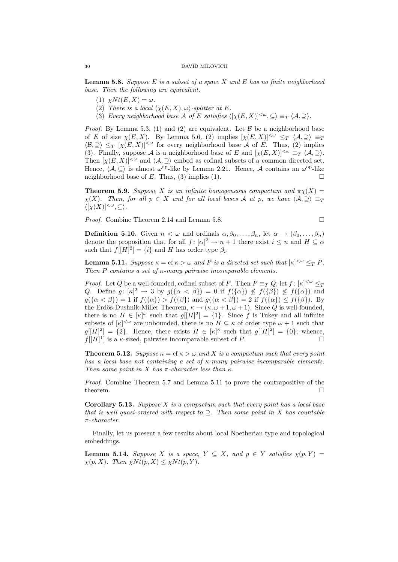**Lemma 5.8.** Suppose E is a subset of a space X and E has no finite neighborhood base. Then the following are equivalent.

- (1)  $\chi N t(E, X) = \omega$ .
- (2) There is a local  $\langle \chi(E, X), \omega \rangle$ -splitter at E.
- (3) Every neighborhood base A of E satisfies  $\langle [\chi(E, X)]^{<\omega}, \subseteq \rangle \equiv_T \langle A, \supseteq \rangle$ .

*Proof.* By Lemma 5.3, (1) and (2) are equivalent. Let  $\beta$  be a neighborhood base of E of size  $\chi(E, X)$ . By Lemma 5.6, (2) implies  $[\chi(E, X)]^{\langle \omega} \leq_T \langle A, \supseteq \rangle \equiv_T$  $\langle \mathcal{B}, \supseteq \rangle \leq_T [\chi(E, X)]^{<\omega}$  for every neighborhood base A of E. Thus, (2) implies (3). Finally, suppose A is a neighborhood base of E and  $[\chi(E, X)]^{\langle \omega} \equiv_T \langle A, \supseteq \rangle$ . Then  $[\chi(E, X)]^{\leq \omega}$  and  $\langle A, \supseteq \rangle$  embed as cofinal subsets of a common directed set. Hence,  $\langle A, \subseteq \rangle$  is almost  $\omega^{\text{op-like}}$  by Lemma 2.21. Hence, A contains an  $\omega^{\text{op-like}}$ neighborhood base of E. Thus, (3) implies (1).

**Theorem 5.9.** Suppose X is an infinite homogeneous compactum and  $\pi\chi(X)$  $\chi(X)$ . Then, for all  $p \in X$  and for all local bases A at p, we have  $\langle A, \supseteq \rangle \equiv_T$  $\langle [\chi(X)]^{<\omega}, \subseteq \rangle.$ 

Proof. Combine Theorem 2.14 and Lemma 5.8.

$$
\qquad \qquad \Box
$$

**Definition 5.10.** Given  $n < \omega$  and ordinals  $\alpha, \beta_0, \ldots, \beta_n$ , let  $\alpha \to (\beta_0, \ldots, \beta_n)$ denote the proposition that for all  $f: [\alpha]^2 \to n+1$  there exist  $i \leq n$  and  $H \subseteq \alpha$ such that  $f[[H]^2] = \{i\}$  and H has order type  $\beta_i$ .

**Lemma 5.11.** Suppose  $\kappa = \text{cf } \kappa > \omega$  and P is a directed set such that  $[\kappa]^{<\omega} \leq_T P$ . Then P contains a set of  $\kappa$ -many pairwise incomparable elements.

*Proof.* Let Q be a well-founded, cofinal subset of P. Then  $P \equiv_T Q$ ; let  $f: [\kappa]^{<\omega} \leq_T I$ Q. Define  $g: [\kappa]^2 \to 3$  by  $g({\{\alpha < \beta\}}) = 0$  if  $f({\{\alpha\}}) \nleq f({\{\beta\}}) \nleq f({\{\alpha\}})$  and  $g(\{\alpha < \beta\}) = 1$  if  $f(\{\alpha\}) > f(\{\beta\})$  and  $g(\{\alpha < \beta\}) = 2$  if  $f(\{\alpha\}) \le f(\{\beta\})$ . By the Erdös-Dushnik-Miller Theorem,  $\kappa \to (\kappa, \omega + 1, \omega + 1)$ . Since Q is well-founded, there is no  $H \in [\kappa]^{\omega}$  such that  $g[[H]^2] = \{1\}$ . Since f is Tukey and all infinite subsets of  $|\kappa|^{<\omega}$  are unbounded, there is no  $H \subseteq \kappa$  of order type  $\omega + 1$  such that  $g[[H]^2] = \{2\}.$  Hence, there exists  $H \in [\kappa]^{\kappa}$  such that  $g[[H]^2] = \{0\};$  whence,  $f[[H]^1]$  is a  $\kappa$ -sized, pairwise incomparable subset of P.

**Theorem 5.12.** Suppose  $\kappa = \text{cf } \kappa > \omega$  and X is a compactum such that every point has a local base not containing a set of κ-many pairwise incomparable elements. Then some point in X has  $\pi$ -character less than  $\kappa$ .

Proof. Combine Theorem 5.7 and Lemma 5.11 to prove the contrapositive of the theorem.  $\Box$ 

**Corollary 5.13.** Suppose  $X$  is a compactum such that every point has a local base that is well quasi-ordered with respect to  $\supseteq$ . Then some point in X has countable π-character.

Finally, let us present a few results about local Noetherian type and topological embeddings.

**Lemma 5.14.** Suppose X is a space,  $Y \subseteq X$ , and  $p \in Y$  satisfies  $\chi(p, Y) =$  $\chi(p, X)$ . Then  $\chi N t(p, X) \leq \chi N t(p, Y)$ .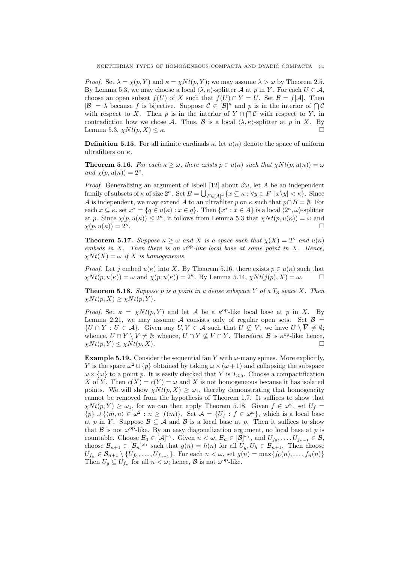*Proof.* Set  $\lambda = \chi(p, Y)$  and  $\kappa = \chi N t(p, Y)$ ; we may assume  $\lambda > \omega$  by Theorem 2.5. By Lemma 5.3, we may choose a local  $\langle \lambda, \kappa \rangle$ -splitter A at p in Y. For each  $U \in \mathcal{A}$ , choose an open subset  $f(U)$  of X such that  $f(U) \cap Y = U$ . Set  $\mathcal{B} = f[\mathcal{A}]$ . Then  $|\mathcal{B}| = \lambda$  because f is bijective. Suppose  $\mathcal{C} \in |\mathcal{B}|^{\kappa}$  and p is in the interior of  $\bigcap \mathcal{C}$ with respect to X. Then p is in the interior of  $Y \cap \bigcap \mathcal{C}$  with respect to Y, in contradiction how we chose A. Thus, B is a local  $\langle \lambda, \kappa \rangle$ -splitter at p in X. By Lemma 5.3,  $\chi N t(p, X) \leq \kappa$ .

**Definition 5.15.** For all infinite cardinals  $\kappa$ , let  $u(\kappa)$  denote the space of uniform ultrafilters on  $\kappa$ .

**Theorem 5.16.** For each  $\kappa \geq \omega$ , there exists  $p \in u(\kappa)$  such that  $\chi Nt(p, u(\kappa)) = \omega$ and  $\chi(p, u(\kappa)) = 2^{\kappa}$ .

*Proof.* Generalizing an argument of Isbell [12] about  $\beta\omega$ , let A be an independent family of subsets of  $\kappa$  of size  $2^{\kappa}$ . Set  $B = \bigcup_{F \in [A]^{\omega}} \{x \subseteq \kappa : \forall y \in F |x \setminus y| < \kappa\}$ . Since A is independent, we may extend A to an ultrafilter p on  $\kappa$  such that  $p \cap B = \emptyset$ . For each  $x \subseteq \kappa$ , set  $x^* = \{q \in u(\kappa) : x \in q\}$ . Then  $\{x^* : x \in A\}$  is a local  $\langle 2^{\kappa}, \omega \rangle$ -splitter at p. Since  $\chi(p, u(\kappa)) \leq 2^{\kappa}$ , it follows from Lemma 5.3 that  $\chi N t(p, u(\kappa)) = \omega$  and  $\chi(p, u(\kappa)) = 2^{\kappa}.$ .

**Theorem 5.17.** Suppose  $\kappa \geq \omega$  and X is a space such that  $\chi(X) = 2^{\kappa}$  and  $u(\kappa)$ embeds in X. Then there is an  $\omega^{\rm op}$ -like local base at some point in X. Hence,  $\chi N t(X) = \omega$  if X is homogeneous.

*Proof.* Let j embed  $u(\kappa)$  into X. By Theorem 5.16, there exists  $p \in u(\kappa)$  such that  $\chi Nt(p, u(\kappa)) = \omega$  and  $\chi(p, u(\kappa)) = 2^{\kappa}$ . By Lemma 5.14,  $\chi Nt(j(p), X) = \omega$ .

**Theorem 5.18.** Suppose p is a point in a dense subspace Y of a  $T_3$  space X. Then  $\chi N t(p, X) \geq \chi N t(p, Y).$ 

Proof. Set  $\kappa = \chi N t(p, Y)$  and let A be a  $\kappa^{\text{op-like}}$  local base at p in X. By Lemma 2.21, we may assume A consists only of regular open sets. Set  $\mathcal{B} =$  $\{U \cap Y : U \in \mathcal{A}\}\$ . Given any  $U, V \in \mathcal{A}$  such that  $U \nsubseteq V$ , we have  $U \setminus \overline{V} \neq \emptyset$ ; whence,  $U \cap Y \setminus \overline{V} \neq \emptyset$ ; whence,  $U \cap Y \not\subseteq V \cap Y$ . Therefore,  $\mathcal{B}$  is  $\kappa^{\text{op-like}}$ ; hence,  $\chi N t(p, Y) \leq \chi N t(p, X).$ 

**Example 5.19.** Consider the sequential fan Y with  $\omega$ -many spines. More explicitly, Y is the space  $\omega^2 \cup \{p\}$  obtained by taking  $\omega \times (\omega + 1)$  and collapsing the subspace  $\omega \times {\omega}$  to a point p. It is easily checked that Y is  $T_{3.5}$ . Choose a compactification X of Y. Then  $c(X) = c(Y) = \omega$  and X is not homogeneous because it has isolated points. We will show  $\chi N t(p, X) \geq \omega_1$ , thereby demonstrating that homogeneity cannot be removed from the hypothesis of Theorem 1.7. It suffices to show that  $\chi N t(p,Y) \geq \omega_1$ , for we can then apply Theorem 5.18. Given  $f \in \omega^{\omega}$ , set  $U_f =$  ${p} \cup \{\langle m,n \rangle \in \omega^2 : n \ge f(m)\}.$  Set  $\mathcal{A} = \{U_f : f \in \omega^\omega\}$ , which is a local base at p in Y. Suppose  $\mathcal{B} \subseteq \mathcal{A}$  and  $\mathcal{B}$  is a local base at p. Then it suffices to show that  $\beta$  is not  $\omega^{\text{op}}$ -like. By an easy diagonalization argument, no local base at p is countable. Choose  $\mathcal{B}_0 \in [\mathcal{A}]^{\omega_1}$ . Given  $n < \omega, \mathcal{B}_n \in [\mathcal{B}]^{\omega_1}$ , and  $U_{f_0}, \ldots, U_{f_{n-1}} \in \mathcal{B}$ , choose  $\mathcal{B}_{n+1} \in [\mathcal{B}_n]^{\omega_1}$  such that  $g(n) = h(n)$  for all  $U_g, U_h \in \mathcal{B}_{n+1}$ . Then choose  $U_{f_n} \in \mathcal{B}_{n+1} \setminus \{U_{f_0}, \ldots, U_{f_{n-1}}\}.$  For each  $n < \omega$ , set  $g(n) = \max\{f_0(n), \ldots, f_n(n)\}\$ Then  $U_g \subseteq U_{f_n}$  for all  $n < \omega$ ; hence,  $\beta$  is not  $\omega^{\text{op}}$ -like.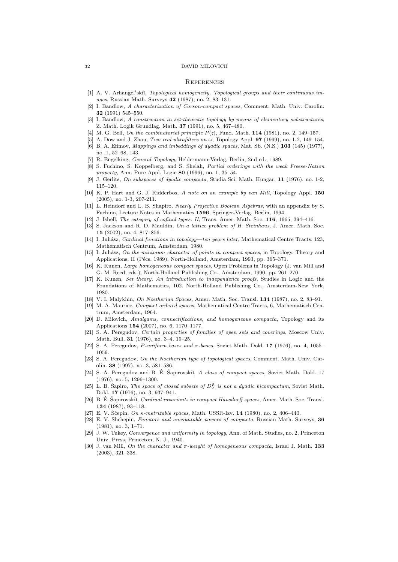#### **REFERENCES**

- [1] A. V. Arhangel'skiĭ, *Topological homogeneity. Topological groups and their continuous im*ages, Russian Math. Surveys 42 (1987), no. 2, 83–131.
- [2] I. Bandlow, A characterization of Corson-compact spaces, Comment. Math. Univ. Carolin. 32 (1991) 545–550.
- [3] I. Bandlow, A construction in set-theoretic topology by means of elementary substructures, Z. Math. Logik Grundlag. Math. 37 (1991), no. 5, 467–480.
- [4] M. G. Bell, On the combinatorial principle  $P(\mathfrak{c})$ , Fund. Math. 114 (1981), no. 2, 149–157.
- [5] A. Dow and J. Zhou, Two real ultrafilters on  $\omega$ , Topology Appl. 97 (1999), no. 1-2, 149-154.
- [6] B. A. Efimov, Mappings and imbeddings of dyadic spaces, Mat. Sb. (N.S.) 103 (145) (1977), no. 1, 52–68, 143.
- [7] R. Engelking, General Topology, Heldermann-Verlag, Berlin, 2nd ed., 1989.
- [8] S. Fuchino, S. Koppelberg, and S. Shelah, Partial orderings with the weak Freese-Nation property, Ann. Pure Appl. Logic  $80$  (1996), no. 1, 35–54.
- [9] J. Gerlits, On subspaces of dyadic compacta, Studia Sci. Math. Hungar. 11 (1976), no. 1-2, 115–120.
- [10] K. P. Hart and G. J. Ridderbos, A note on an example by van Mill, Topology Appl. 150 (2005), no. 1-3, 207-211.
- [11] L. Heindorf and L. B. Shapiro, *Nearly Projective Boolean Algebras*, with an appendix by S. Fuchino, Lecture Notes in Mathematics 1596, Springer-Verlag, Berlin, 1994.
- [12] J. Isbell, The category of cofinal types. II, Trans. Amer. Math. Soc. 116, 1965, 394–416.
- [13] S. Jackson and R. D. Mauldin, On a lattice problem of H. Steinhaus, J. Amer. Math. Soc. 15 (2002), no. 4, 817–856.
- [14] I. Juhász, Cardinal functions in topology—ten years later, Mathematical Centre Tracts, 123, Mathematisch Centrum, Amsterdam, 1980.
- [15] I. Juhász, On the minimum character of points in compact spaces, in Topology. Theory and Applications, II (Pécs, 1989), North-Holland, Amsterdam, 1993, pp. 365-371.
- [16] K. Kunen, Large homogeneous compact spaces, Open Problems in Topology (J. van Mill and G. M. Reed, eds.), North-Holland Publishing Co., Amsterdam, 1990, pp. 261–270.
- [17] K. Kunen, Set theory. An introduction to independence proofs, Studies in Logic and the Foundations of Mathematics, 102. North-Holland Publishing Co., Amsterdam-New York, 1980.
- [18] V. I. Malykhin, On Noetherian Spaces, Amer. Math. Soc. Transl. 134 (1987), no. 2, 83–91.
- [19] M. A. Maurice, Compact ordered spaces, Mathematical Centre Tracts, 6, Mathematisch Centrum, Amsterdam, 1964.
- [20] D. Milovich, Amalgams, connectifications, and homogeneous compacta, Topology and its Applications 154 (2007), no. 6, 1170–1177.
- [21] S. A. Peregudov, Certain properties of families of open sets and coverings, Moscow Univ. Math. Bull. 31 (1976), no. 3–4, 19–25.
- [22] S. A. Peregudov,  $P\text{-uniform bases}$  and  $\pi\text{-bases}$ , Soviet Math. Dokl. 17 (1976), no. 4, 1055– 1059.
- [23] S. A. Peregudov, On the Noetherian type of topological spaces, Comment. Math. Univ. Carolin. 38 (1997), no. 3, 581–586.
- [24] S. A. Peregudov and B. É. Šapirovskiĭ,  $A$  class of compact spaces, Soviet Math. Dokl. 17 (1976), no. 5, 1296–1300.
- [25] L. B. Šapiro, *The space of closed subsets of*  $D_2^{\aleph}$  *is not a dyadic bicompactum*, Soviet Math. Dokl. 17 (1976), no. 3, 937–941.
- [26] B. É. Šapirovskiĭ, *Cardinal invariants in compact Hausdorff spaces*, Amer. Math. Soc. Transl. 134 (1987), 93–118.
- [27] E. V. Ščepin,  $On$   $\kappa$ -metrizable spaces, Math. USSR-Izv. 14 (1980), no. 2, 406-440.
- [28] E. V. Shchepin, Functors and uncountable powers of compacta, Russian Math. Surveys, 36 (1981), no. 3, 1–71.
- [29] J. W. Tukey, Convergence and uniformity in topology, Ann. of Math. Studies, no. 2, Princeton Univ. Press, Princeton, N. J., 1940.
- [30] J. van Mill, On the character and  $\pi$ -weight of homogeneous compacta, Israel J. Math. 133 (2003), 321–338.